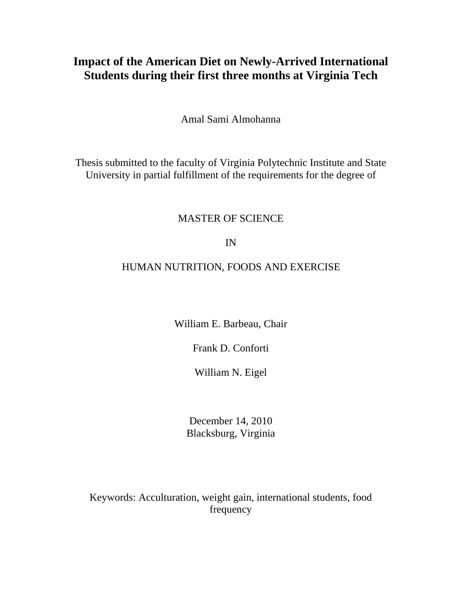## **Impact of the American Diet on Newly-Arrived International Students during their first three months at Virginia Tech**

Amal Sami Almohanna

Thesis submitted to the faculty of Virginia Polytechnic Institute and State University in partial fulfillment of the requirements for the degree of

### MASTER OF SCIENCE

IN

## HUMAN NUTRITION, FOODS AND EXERCISE

William E. Barbeau, Chair

Frank D. Conforti

William N. Eigel

December 14, 2010 Blacksburg, Virginia

Keywords: Acculturation, weight gain, international students, food frequency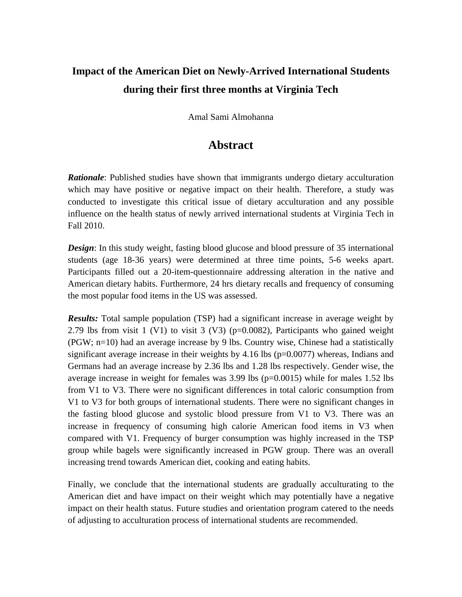# **Impact of the American Diet on Newly-Arrived International Students during their first three months at Virginia Tech**

Amal Sami Almohanna

## **Abstract**

<span id="page-1-0"></span>*Rationale*: Published studies have shown that immigrants undergo dietary acculturation which may have positive or negative impact on their health. Therefore, a study was conducted to investigate this critical issue of dietary acculturation and any possible influence on the health status of newly arrived international students at Virginia Tech in Fall 2010.

**Design:** In this study weight, fasting blood glucose and blood pressure of 35 international students (age 18-36 years) were determined at three time points, 5-6 weeks apart. Participants filled out a 20-item-questionnaire addressing alteration in the native and American dietary habits. Furthermore, 24 hrs dietary recalls and frequency of consuming the most popular food items in the US was assessed.

*Results:* Total sample population (TSP) had a significant increase in average weight by 2.79 lbs from visit 1 (V1) to visit 3 (V3) (p=0.0082), Participants who gained weight (PGW; n=10) had an average increase by 9 lbs. Country wise, Chinese had a statistically significant average increase in their weights by  $4.16$  lbs ( $p=0.0077$ ) whereas, Indians and Germans had an average increase by 2.36 lbs and 1.28 lbs respectively. Gender wise, the average increase in weight for females was  $3.99$  lbs ( $p=0.0015$ ) while for males 1.52 lbs from V1 to V3. There were no significant differences in total caloric consumption from V1 to V3 for both groups of international students. There were no significant changes in the fasting blood glucose and systolic blood pressure from V1 to V3. There was an increase in frequency of consuming high calorie American food items in V3 when compared with V1. Frequency of burger consumption was highly increased in the TSP group while bagels were significantly increased in PGW group. There was an overall increasing trend towards American diet, cooking and eating habits.

Finally, we conclude that the international students are gradually acculturating to the American diet and have impact on their weight which may potentially have a negative impact on their health status. Future studies and orientation program catered to the needs of adjusting to acculturation process of international students are recommended.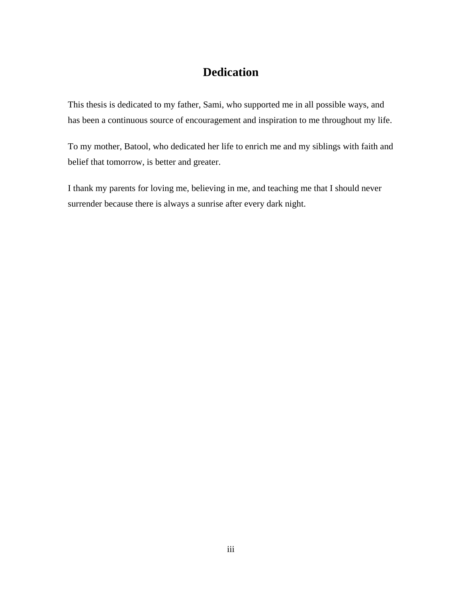## **Dedication**

<span id="page-2-0"></span>This thesis is dedicated to my father, Sami, who supported me in all possible ways, and has been a continuous source of encouragement and inspiration to me throughout my life.

To my mother, Batool, who dedicated her life to enrich me and my siblings with faith and belief that tomorrow, is better and greater.

I thank my parents for loving me, believing in me, and teaching me that I should never surrender because there is always a sunrise after every dark night.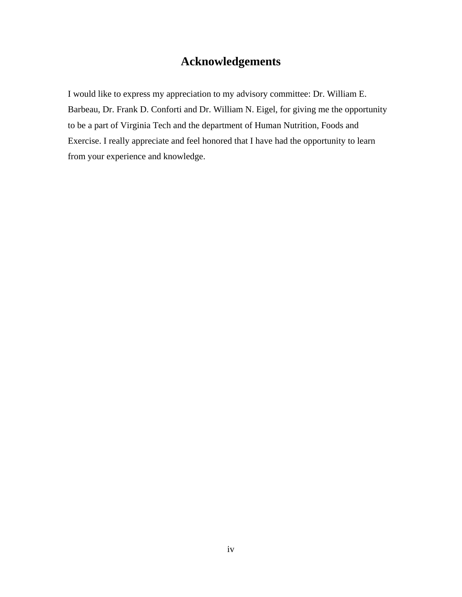## **Acknowledgements**

<span id="page-3-0"></span>I would like to express my appreciation to my advisory committee: Dr. William E. Barbeau, Dr. Frank D. Conforti and Dr. William N. Eigel, for giving me the opportunity to be a part of Virginia Tech and the department of Human Nutrition, Foods and Exercise. I really appreciate and feel honored that I have had the opportunity to learn from your experience and knowledge.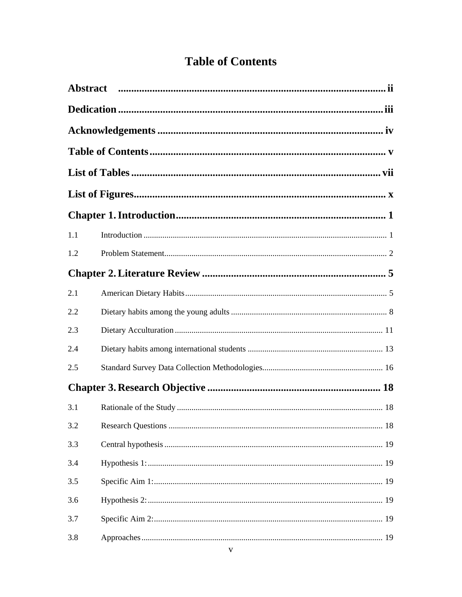# <span id="page-4-0"></span>**Table of Contents**

| 1.1 |  |  |  |  |  |
|-----|--|--|--|--|--|
| 1.2 |  |  |  |  |  |
|     |  |  |  |  |  |
| 2.1 |  |  |  |  |  |
| 2.2 |  |  |  |  |  |
| 2.3 |  |  |  |  |  |
| 2.4 |  |  |  |  |  |
| 2.5 |  |  |  |  |  |
|     |  |  |  |  |  |
| 3.1 |  |  |  |  |  |
| 3.2 |  |  |  |  |  |
| 3.3 |  |  |  |  |  |
| 3.4 |  |  |  |  |  |
| 3.5 |  |  |  |  |  |
| 3.6 |  |  |  |  |  |
| 3.7 |  |  |  |  |  |
| 3.8 |  |  |  |  |  |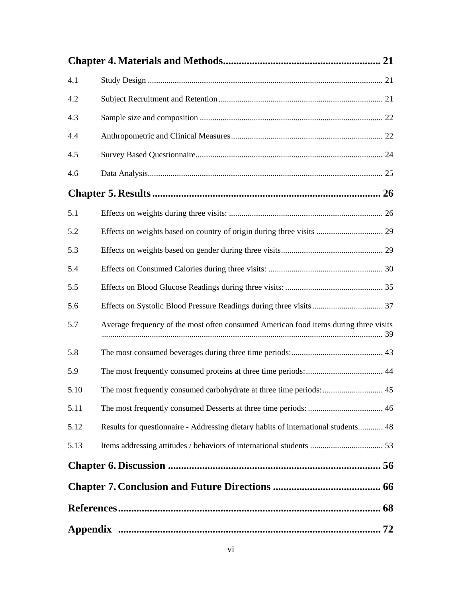| 4.1  |                                                                                      |
|------|--------------------------------------------------------------------------------------|
| 4.2  |                                                                                      |
| 4.3  |                                                                                      |
| 4.4  |                                                                                      |
| 4.5  |                                                                                      |
| 4.6  |                                                                                      |
|      |                                                                                      |
| 5.1  |                                                                                      |
| 5.2  |                                                                                      |
| 5.3  |                                                                                      |
| 5.4  |                                                                                      |
| 5.5  |                                                                                      |
| 5.6  |                                                                                      |
| 5.7  | Average frequency of the most often consumed American food items during three visits |
| 5.8  |                                                                                      |
| 5.9  |                                                                                      |
| 5.10 | The most frequently consumed carbohydrate at three time periods:  45                 |
| 5.11 |                                                                                      |
| 5.12 | Results for questionnaire - Addressing dietary habits of international students 48   |
| 5.13 |                                                                                      |
|      |                                                                                      |
|      |                                                                                      |
|      |                                                                                      |
|      |                                                                                      |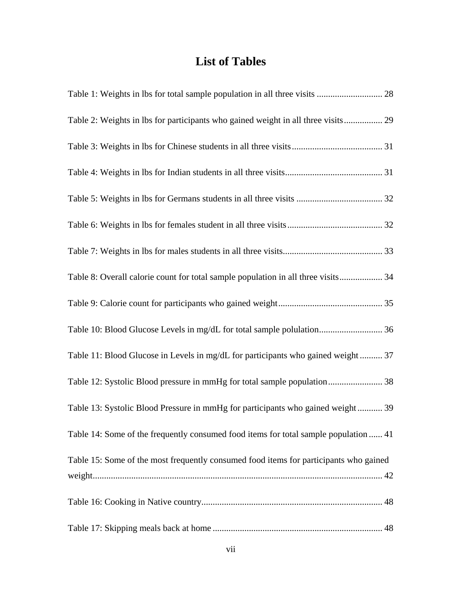# **List of Tables**

<span id="page-6-0"></span>

| Table 2: Weights in lbs for participants who gained weight in all three visits 29     |
|---------------------------------------------------------------------------------------|
|                                                                                       |
|                                                                                       |
|                                                                                       |
|                                                                                       |
|                                                                                       |
| Table 8: Overall calorie count for total sample population in all three visits 34     |
|                                                                                       |
| Table 10: Blood Glucose Levels in mg/dL for total sample polulation 36                |
| Table 11: Blood Glucose in Levels in mg/dL for participants who gained weight 37      |
| Table 12: Systolic Blood pressure in mmHg for total sample population 38              |
| Table 13: Systolic Blood Pressure in mmHg for participants who gained weight 39       |
| Table 14: Some of the frequently consumed food items for total sample population  41  |
| Table 15: Some of the most frequently consumed food items for participants who gained |
|                                                                                       |
|                                                                                       |
|                                                                                       |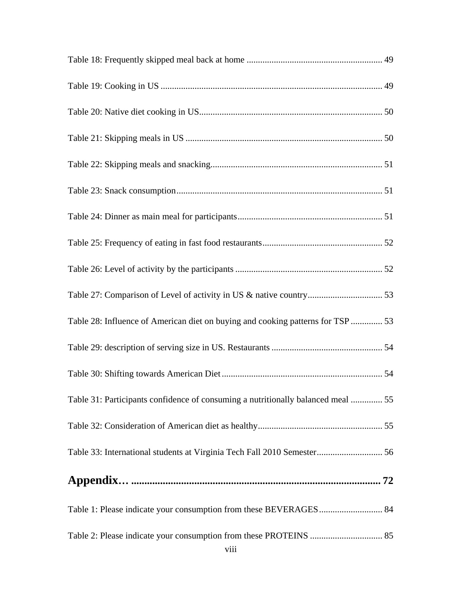| Table 28: Influence of American diet on buying and cooking patterns for TSP  53  |
|----------------------------------------------------------------------------------|
|                                                                                  |
|                                                                                  |
| Table 31: Participants confidence of consuming a nutritionally balanced meal  55 |
|                                                                                  |
| Table 33: International students at Virginia Tech Fall 2010 Semester 56          |
|                                                                                  |
| Table 1: Please indicate your consumption from these BEVERAGES 84                |
| viii                                                                             |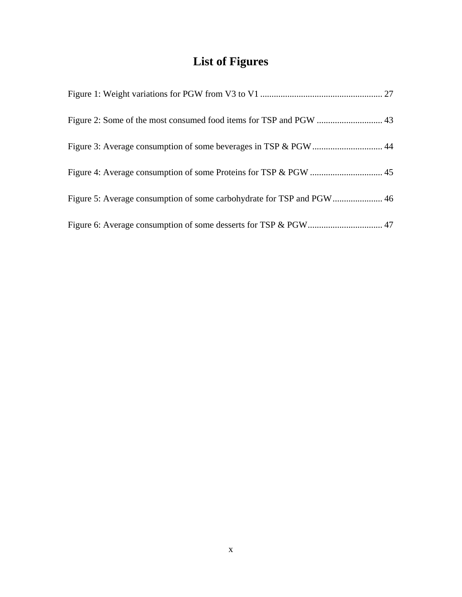# **List of Figures**

<span id="page-9-0"></span>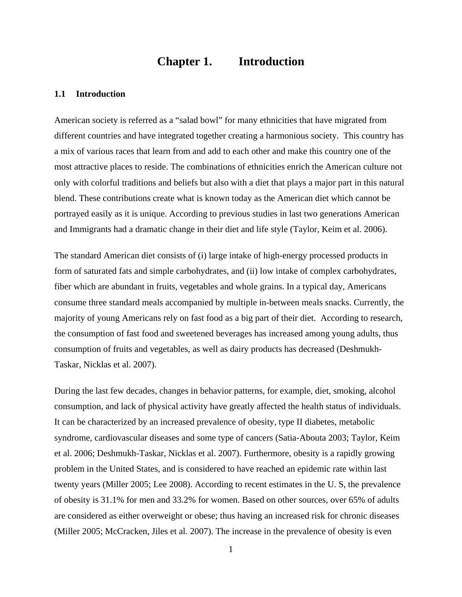## **Chapter 1. Introduction**

#### <span id="page-10-1"></span><span id="page-10-0"></span>**1.1 Introduction**

American society is referred as a "salad bowl" for many ethnicities that have migrated from different countries and have integrated together creating a harmonious society. This country has a mix of various races that learn from and add to each other and make this country one of the most attractive places to reside. The combinations of ethnicities enrich the American culture not only with colorful traditions and beliefs but also with a diet that plays a major part in this natural blend. These contributions create what is known today as the American diet which cannot be portrayed easily as it is unique. According to previous studies in last two generations American and Immigrants had a dramatic change in their diet and life style (Taylor, Keim et al. 2006).

The standard American diet consists of (i) large intake of high-energy processed products in form of saturated fats and simple carbohydrates, and (ii) low intake of complex carbohydrates, fiber which are abundant in fruits, vegetables and whole grains. In a typical day, Americans consume three standard meals accompanied by multiple in-between meals snacks. Currently, the majority of young Americans rely on fast food as a big part of their diet. According to research, the consumption of fast food and sweetened beverages has increased among young adults, thus consumption of fruits and vegetables, as well as dairy products has decreased (Deshmukh-Taskar, Nicklas et al. 2007).

During the last few decades, changes in behavior patterns, for example, diet, smoking, alcohol consumption, and lack of physical activity have greatly affected the health status of individuals. It can be characterized by an increased prevalence of obesity, type II diabetes, metabolic syndrome, cardiovascular diseases and some type of cancers (Satia-Abouta 2003; Taylor, Keim et al. 2006; Deshmukh-Taskar, Nicklas et al. 2007). Furthermore, obesity is a rapidly growing problem in the United States, and is considered to have reached an epidemic rate within last twenty years (Miller 2005; Lee 2008). According to recent estimates in the U. S, the prevalence of obesity is 31.1% for men and 33.2% for women. Based on other sources, over 65% of adults are considered as either overweight or obese; thus having an increased risk for chronic diseases (Miller 2005; McCracken, Jiles et al. 2007). The increase in the prevalence of obesity is even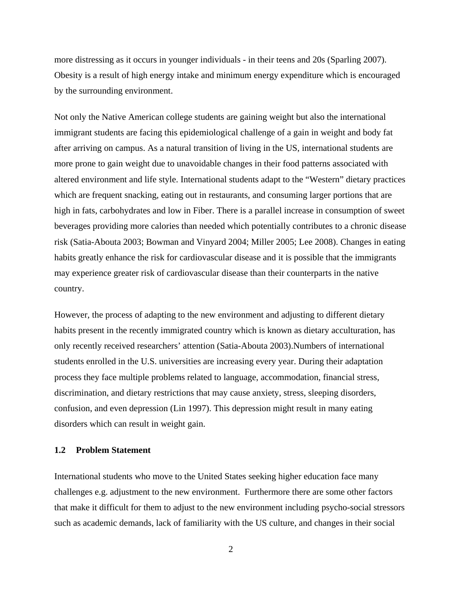more distressing as it occurs in younger individuals - in their teens and 20s (Sparling 2007). Obesity is a result of high energy intake and minimum energy expenditure which is encouraged by the surrounding environment.

Not only the Native American college students are gaining weight but also the international immigrant students are facing this epidemiological challenge of a gain in weight and body fat after arriving on campus. As a natural transition of living in the US, international students are more prone to gain weight due to unavoidable changes in their food patterns associated with altered environment and life style. International students adapt to the "Western" dietary practices which are frequent snacking, eating out in restaurants, and consuming larger portions that are high in fats, carbohydrates and low in Fiber. There is a parallel increase in consumption of sweet beverages providing more calories than needed which potentially contributes to a chronic disease risk (Satia-Abouta 2003; Bowman and Vinyard 2004; Miller 2005; Lee 2008). Changes in eating habits greatly enhance the risk for cardiovascular disease and it is possible that the immigrants may experience greater risk of cardiovascular disease than their counterparts in the native country.

However, the process of adapting to the new environment and adjusting to different dietary habits present in the recently immigrated country which is known as dietary acculturation, has only recently received researchers' attention (Satia-Abouta 2003).Numbers of international students enrolled in the U.S. universities are increasing every year. During their adaptation process they face multiple problems related to language, accommodation, financial stress, discrimination, and dietary restrictions that may cause anxiety, stress, sleeping disorders, confusion, and even depression (Lin 1997). This depression might result in many eating disorders which can result in weight gain.

#### <span id="page-11-0"></span>**1.2 Problem Statement**

International students who move to the United States seeking higher education face many challenges e.g. adjustment to the new environment. Furthermore there are some other factors that make it difficult for them to adjust to the new environment including psycho-social stressors such as academic demands, lack of familiarity with the US culture, and changes in their social

2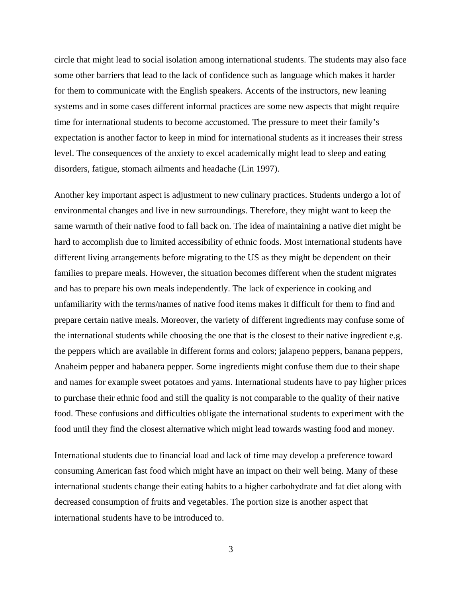circle that might lead to social isolation among international students. The students may also face some other barriers that lead to the lack of confidence such as language which makes it harder for them to communicate with the English speakers. Accents of the instructors, new leaning systems and in some cases different informal practices are some new aspects that might require time for international students to become accustomed. The pressure to meet their family's expectation is another factor to keep in mind for international students as it increases their stress level. The consequences of the anxiety to excel academically might lead to sleep and eating disorders, fatigue, stomach ailments and headache (Lin 1997).

Another key important aspect is adjustment to new culinary practices. Students undergo a lot of environmental changes and live in new surroundings. Therefore, they might want to keep the same warmth of their native food to fall back on. The idea of maintaining a native diet might be hard to accomplish due to limited accessibility of ethnic foods. Most international students have different living arrangements before migrating to the US as they might be dependent on their families to prepare meals. However, the situation becomes different when the student migrates and has to prepare his own meals independently. The lack of experience in cooking and unfamiliarity with the terms/names of native food items makes it difficult for them to find and prepare certain native meals. Moreover, the variety of different ingredients may confuse some of the international students while choosing the one that is the closest to their native ingredient e.g. the peppers which are available in different forms and colors; jalapeno peppers, banana peppers, Anaheim pepper and habanera pepper. Some ingredients might confuse them due to their shape and names for example sweet potatoes and yams. International students have to pay higher prices to purchase their ethnic food and still the quality is not comparable to the quality of their native food. These confusions and difficulties obligate the international students to experiment with the food until they find the closest alternative which might lead towards wasting food and money.

International students due to financial load and lack of time may develop a preference toward consuming American fast food which might have an impact on their well being. Many of these international students change their eating habits to a higher carbohydrate and fat diet along with decreased consumption of fruits and vegetables. The portion size is another aspect that international students have to be introduced to.

3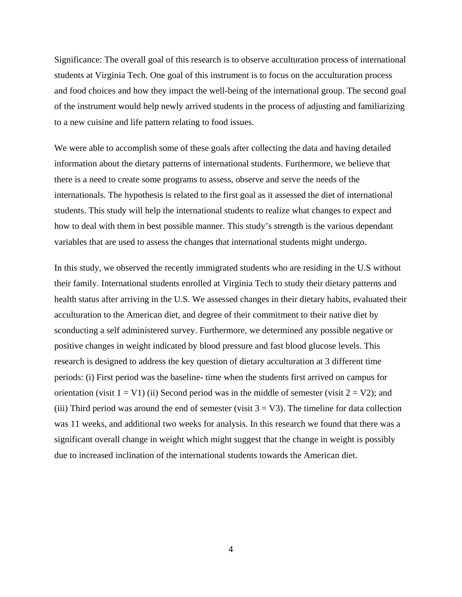Significance: The overall goal of this research is to observe acculturation process of international students at Virginia Tech. One goal of this instrument is to focus on the acculturation process and food choices and how they impact the well-being of the international group. The second goal of the instrument would help newly arrived students in the process of adjusting and familiarizing to a new cuisine and life pattern relating to food issues.

We were able to accomplish some of these goals after collecting the data and having detailed information about the dietary patterns of international students. Furthermore, we believe that there is a need to create some programs to assess, observe and serve the needs of the internationals. The hypothesis is related to the first goal as it assessed the diet of international students. This study will help the international students to realize what changes to expect and how to deal with them in best possible manner. This study's strength is the various dependant variables that are used to assess the changes that international students might undergo.

In this study, we observed the recently immigrated students who are residing in the U.S without their family. International students enrolled at Virginia Tech to study their dietary patterns and health status after arriving in the U.S. We assessed changes in their dietary habits, evaluated their acculturation to the American diet, and degree of their commitment to their native diet by sconducting a self administered survey. Furthermore, we determined any possible negative or positive changes in weight indicated by blood pressure and fast blood glucose levels. This research is designed to address the key question of dietary acculturation at 3 different time periods: (i) First period was the baseline- time when the students first arrived on campus for orientation (visit  $1 = V1$ ) (ii) Second period was in the middle of semester (visit  $2 = V2$ ); and (iii) Third period was around the end of semester (visit  $3 = V3$ ). The timeline for data collection was 11 weeks, and additional two weeks for analysis. In this research we found that there was a significant overall change in weight which might suggest that the change in weight is possibly due to increased inclination of the international students towards the American diet.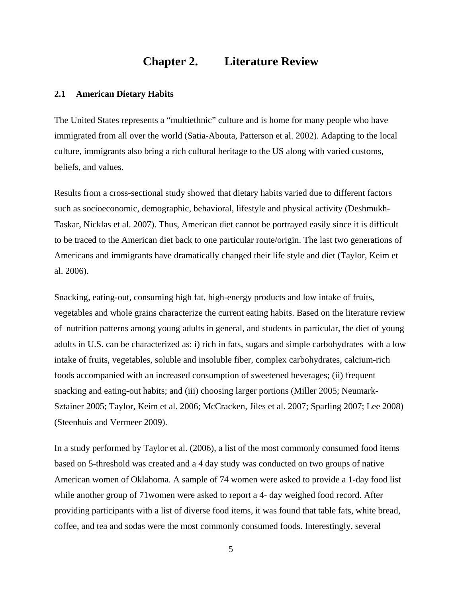## **Chapter 2. Literature Review**

#### <span id="page-14-1"></span><span id="page-14-0"></span>**2.1 American Dietary Habits**

The United States represents a "multiethnic" culture and is home for many people who have immigrated from all over the world (Satia-Abouta, Patterson et al. 2002). Adapting to the local culture, immigrants also bring a rich cultural heritage to the US along with varied customs, beliefs, and values.

Results from a cross-sectional study showed that dietary habits varied due to different factors such as socioeconomic, demographic, behavioral, lifestyle and physical activity (Deshmukh-Taskar, Nicklas et al. 2007). Thus, American diet cannot be portrayed easily since it is difficult to be traced to the American diet back to one particular route/origin. The last two generations of Americans and immigrants have dramatically changed their life style and diet (Taylor, Keim et al. 2006).

Snacking, eating-out, consuming high fat, high-energy products and low intake of fruits, vegetables and whole grains characterize the current eating habits. Based on the literature review of nutrition patterns among young adults in general, and students in particular, the diet of young adults in U.S. can be characterized as: i) rich in fats, sugars and simple carbohydrates with a low intake of fruits, vegetables, soluble and insoluble fiber, complex carbohydrates, calcium-rich foods accompanied with an increased consumption of sweetened beverages; (ii) frequent snacking and eating-out habits; and (iii) choosing larger portions (Miller 2005; Neumark-Sztainer 2005; Taylor, Keim et al. 2006; McCracken, Jiles et al. 2007; Sparling 2007; Lee 2008) (Steenhuis and Vermeer 2009).

In a study performed by Taylor et al. (2006), a list of the most commonly consumed food items based on 5-threshold was created and a 4 day study was conducted on two groups of native American women of Oklahoma. A sample of 74 women were asked to provide a 1-day food list while another group of 71women were asked to report a 4- day weighed food record. After providing participants with a list of diverse food items, it was found that table fats, white bread, coffee, and tea and sodas were the most commonly consumed foods. Interestingly, several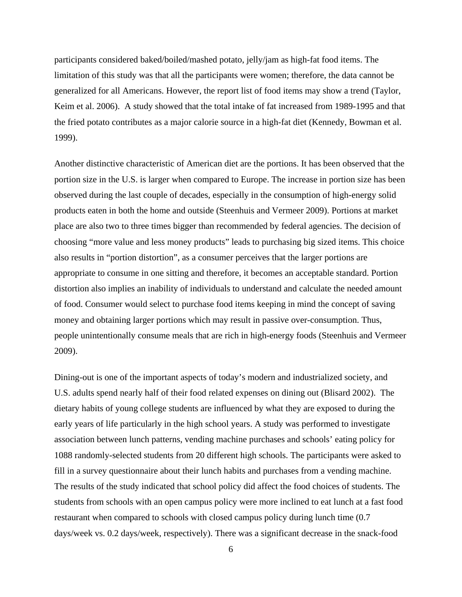participants considered baked/boiled/mashed potato, jelly/jam as high-fat food items. The limitation of this study was that all the participants were women; therefore, the data cannot be generalized for all Americans. However, the report list of food items may show a trend (Taylor, Keim et al. 2006). A study showed that the total intake of fat increased from 1989-1995 and that the fried potato contributes as a major calorie source in a high-fat diet (Kennedy, Bowman et al. 1999).

Another distinctive characteristic of American diet are the portions. It has been observed that the portion size in the U.S. is larger when compared to Europe. The increase in portion size has been observed during the last couple of decades, especially in the consumption of high-energy solid products eaten in both the home and outside (Steenhuis and Vermeer 2009). Portions at market place are also two to three times bigger than recommended by federal agencies. The decision of choosing "more value and less money products" leads to purchasing big sized items. This choice also results in "portion distortion", as a consumer perceives that the larger portions are appropriate to consume in one sitting and therefore, it becomes an acceptable standard. Portion distortion also implies an inability of individuals to understand and calculate the needed amount of food. Consumer would select to purchase food items keeping in mind the concept of saving money and obtaining larger portions which may result in passive over-consumption. Thus, people unintentionally consume meals that are rich in high-energy foods (Steenhuis and Vermeer 2009).

Dining-out is one of the important aspects of today's modern and industrialized society, and U.S. adults spend nearly half of their food related expenses on dining out (Blisard 2002). The dietary habits of young college students are influenced by what they are exposed to during the early years of life particularly in the high school years. A study was performed to investigate association between lunch patterns, vending machine purchases and schools' eating policy for 1088 randomly-selected students from 20 different high schools. The participants were asked to fill in a survey questionnaire about their lunch habits and purchases from a vending machine. The results of the study indicated that school policy did affect the food choices of students. The students from schools with an open campus policy were more inclined to eat lunch at a fast food restaurant when compared to schools with closed campus policy during lunch time (0.7 days/week vs. 0.2 days/week, respectively). There was a significant decrease in the snack-food

6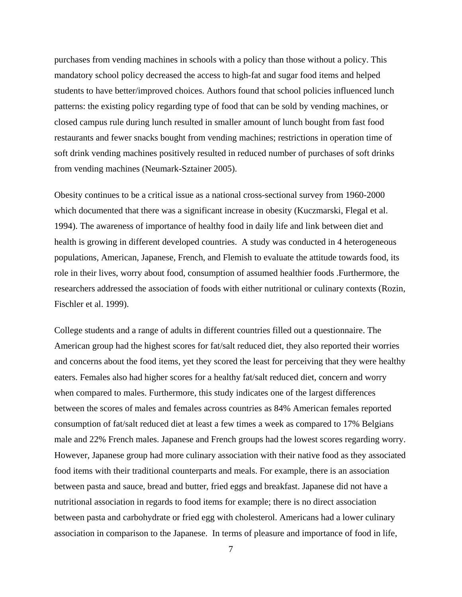purchases from vending machines in schools with a policy than those without a policy. This mandatory school policy decreased the access to high-fat and sugar food items and helped students to have better/improved choices. Authors found that school policies influenced lunch patterns: the existing policy regarding type of food that can be sold by vending machines, or closed campus rule during lunch resulted in smaller amount of lunch bought from fast food restaurants and fewer snacks bought from vending machines; restrictions in operation time of soft drink vending machines positively resulted in reduced number of purchases of soft drinks from vending machines (Neumark-Sztainer 2005).

Obesity continues to be a critical issue as a national cross-sectional survey from 1960-2000 which documented that there was a significant increase in obesity (Kuczmarski, Flegal et al. 1994). The awareness of importance of healthy food in daily life and link between diet and health is growing in different developed countries. A study was conducted in 4 heterogeneous populations, American, Japanese, French, and Flemish to evaluate the attitude towards food, its role in their lives, worry about food, consumption of assumed healthier foods .Furthermore, the researchers addressed the association of foods with either nutritional or culinary contexts (Rozin, Fischler et al. 1999).

College students and a range of adults in different countries filled out a questionnaire. The American group had the highest scores for fat/salt reduced diet, they also reported their worries and concerns about the food items, yet they scored the least for perceiving that they were healthy eaters. Females also had higher scores for a healthy fat/salt reduced diet, concern and worry when compared to males. Furthermore, this study indicates one of the largest differences between the scores of males and females across countries as 84% American females reported consumption of fat/salt reduced diet at least a few times a week as compared to 17% Belgians male and 22% French males. Japanese and French groups had the lowest scores regarding worry. However, Japanese group had more culinary association with their native food as they associated food items with their traditional counterparts and meals. For example, there is an association between pasta and sauce, bread and butter, fried eggs and breakfast. Japanese did not have a nutritional association in regards to food items for example; there is no direct association between pasta and carbohydrate or fried egg with cholesterol. Americans had a lower culinary association in comparison to the Japanese. In terms of pleasure and importance of food in life,

7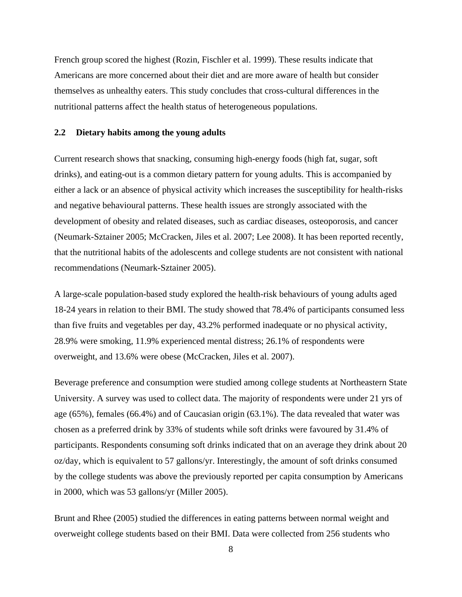French group scored the highest (Rozin, Fischler et al. 1999). These results indicate that Americans are more concerned about their diet and are more aware of health but consider themselves as unhealthy eaters. This study concludes that cross-cultural differences in the nutritional patterns affect the health status of heterogeneous populations.

#### <span id="page-17-0"></span>**2.2 Dietary habits among the young adults**

Current research shows that snacking, consuming high-energy foods (high fat, sugar, soft drinks), and eating-out is a common dietary pattern for young adults. This is accompanied by either a lack or an absence of physical activity which increases the susceptibility for health-risks and negative behavioural patterns. These health issues are strongly associated with the development of obesity and related diseases, such as cardiac diseases, osteoporosis, and cancer (Neumark-Sztainer 2005; McCracken, Jiles et al. 2007; Lee 2008). It has been reported recently, that the nutritional habits of the adolescents and college students are not consistent with national recommendations (Neumark-Sztainer 2005).

A large-scale population-based study explored the health-risk behaviours of young adults aged 18-24 years in relation to their BMI. The study showed that 78.4% of participants consumed less than five fruits and vegetables per day, 43.2% performed inadequate or no physical activity, 28.9% were smoking, 11.9% experienced mental distress; 26.1% of respondents were overweight, and 13.6% were obese (McCracken, Jiles et al. 2007).

Beverage preference and consumption were studied among college students at Northeastern State University. A survey was used to collect data. The majority of respondents were under 21 yrs of age (65%), females (66.4%) and of Caucasian origin (63.1%). The data revealed that water was chosen as a preferred drink by 33% of students while soft drinks were favoured by 31.4% of participants. Respondents consuming soft drinks indicated that on an average they drink about 20 oz/day, which is equivalent to 57 gallons/yr. Interestingly, the amount of soft drinks consumed by the college students was above the previously reported per capita consumption by Americans in 2000, which was 53 gallons/yr (Miller 2005).

Brunt and Rhee (2005) studied the differences in eating patterns between normal weight and overweight college students based on their BMI. Data were collected from 256 students who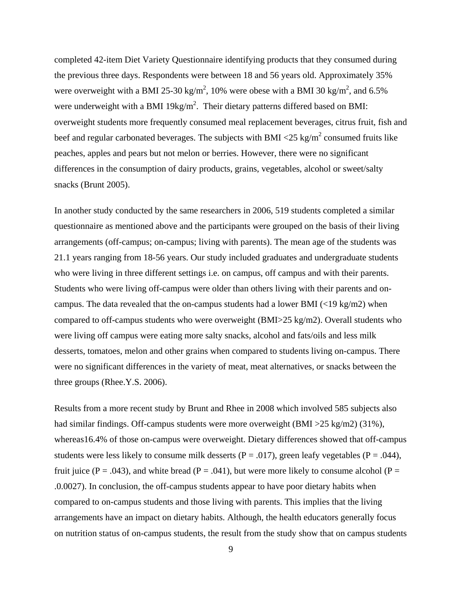completed 42-item Diet Variety Questionnaire identifying products that they consumed during the previous three days. Respondents were between 18 and 56 years old. Approximately 35% were overweight with a BMI 25-30 kg/m<sup>2</sup>, 10% were obese with a BMI 30 kg/m<sup>2</sup>, and 6.5% were underweight with a BMI 19kg/ $m^2$ . Their dietary patterns differed based on BMI: overweight students more frequently consumed meal replacement beverages, citrus fruit, fish and beef and regular carbonated beverages. The subjects with BMI  $\langle 25 \text{ kg/m}^2 \rangle$  consumed fruits like peaches, apples and pears but not melon or berries. However, there were no significant differences in the consumption of dairy products, grains, vegetables, alcohol or sweet/salty snacks (Brunt 2005).

In another study conducted by the same researchers in 2006, 519 students completed a similar questionnaire as mentioned above and the participants were grouped on the basis of their living arrangements (off-campus; on-campus; living with parents). The mean age of the students was 21.1 years ranging from 18-56 years. Our study included graduates and undergraduate students who were living in three different settings i.e. on campus, off campus and with their parents. Students who were living off-campus were older than others living with their parents and oncampus. The data revealed that the on-campus students had a lower BMI  $\left($ <19 kg/m2) when compared to off-campus students who were overweight (BMI>25 kg/m2). Overall students who were living off campus were eating more salty snacks, alcohol and fats/oils and less milk desserts, tomatoes, melon and other grains when compared to students living on-campus. There were no significant differences in the variety of meat, meat alternatives, or snacks between the three groups (Rhee.Y.S. 2006).

Results from a more recent study by Brunt and Rhee in 2008 which involved 585 subjects also had similar findings. Off-campus students were more overweight (BMI > 25 kg/m2) (31%), whereas16.4% of those on-campus were overweight. Dietary differences showed that off-campus students were less likely to consume milk desserts ( $P = .017$ ), green leafy vegetables ( $P = .044$ ), fruit juice ( $P = .043$ ), and white bread ( $P = .041$ ), but were more likely to consume alcohol ( $P =$ .0.0027). In conclusion, the off-campus students appear to have poor dietary habits when compared to on-campus students and those living with parents. This implies that the living arrangements have an impact on dietary habits. Although, the health educators generally focus on nutrition status of on-campus students, the result from the study show that on campus students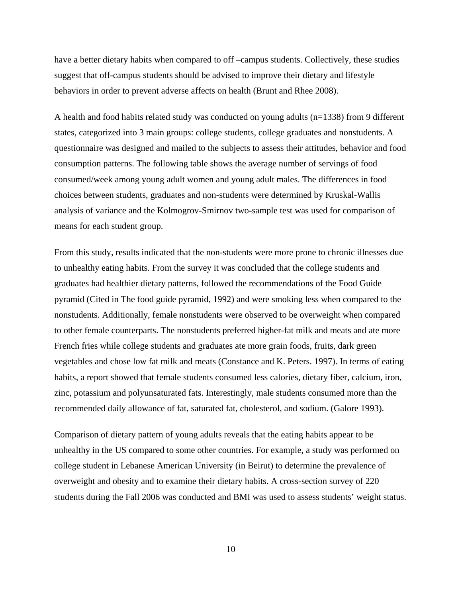have a better dietary habits when compared to off –campus students. Collectively, these studies suggest that off-campus students should be advised to improve their dietary and lifestyle behaviors in order to prevent adverse affects on health (Brunt and Rhee 2008).

A health and food habits related study was conducted on young adults (n=1338) from 9 different states, categorized into 3 main groups: college students, college graduates and nonstudents. A questionnaire was designed and mailed to the subjects to assess their attitudes, behavior and food consumption patterns. The following table shows the average number of servings of food consumed/week among young adult women and young adult males. The differences in food choices between students, graduates and non-students were determined by Kruskal-Wallis analysis of variance and the Kolmogrov-Smirnov two-sample test was used for comparison of means for each student group.

From this study, results indicated that the non-students were more prone to chronic illnesses due to unhealthy eating habits. From the survey it was concluded that the college students and graduates had healthier dietary patterns, followed the recommendations of the Food Guide pyramid (Cited in The food guide pyramid, 1992) and were smoking less when compared to the nonstudents. Additionally, female nonstudents were observed to be overweight when compared to other female counterparts. The nonstudents preferred higher-fat milk and meats and ate more French fries while college students and graduates ate more grain foods, fruits, dark green vegetables and chose low fat milk and meats (Constance and K. Peters. 1997). In terms of eating habits, a report showed that female students consumed less calories, dietary fiber, calcium, iron, zinc, potassium and polyunsaturated fats. Interestingly, male students consumed more than the recommended daily allowance of fat, saturated fat, cholesterol, and sodium. (Galore 1993).

Comparison of dietary pattern of young adults reveals that the eating habits appear to be unhealthy in the US compared to some other countries. For example, a study was performed on college student in Lebanese American University (in Beirut) to determine the prevalence of overweight and obesity and to examine their dietary habits. A cross-section survey of 220 students during the Fall 2006 was conducted and BMI was used to assess students' weight status.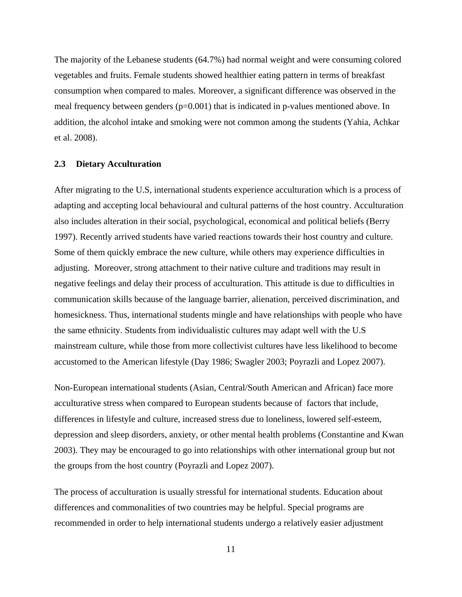The majority of the Lebanese students (64.7%) had normal weight and were consuming colored vegetables and fruits. Female students showed healthier eating pattern in terms of breakfast consumption when compared to males. Moreover, a significant difference was observed in the meal frequency between genders  $(p=0.001)$  that is indicated in p-values mentioned above. In addition, the alcohol intake and smoking were not common among the students (Yahia, Achkar et al. 2008).

#### <span id="page-20-0"></span>**2.3 Dietary Acculturation**

After migrating to the U.S, international students experience acculturation which is a process of adapting and accepting local behavioural and cultural patterns of the host country. Acculturation also includes alteration in their social, psychological, economical and political beliefs (Berry 1997). Recently arrived students have varied reactions towards their host country and culture. Some of them quickly embrace the new culture, while others may experience difficulties in adjusting. Moreover, strong attachment to their native culture and traditions may result in negative feelings and delay their process of acculturation. This attitude is due to difficulties in communication skills because of the language barrier, alienation, perceived discrimination, and homesickness. Thus, international students mingle and have relationships with people who have the same ethnicity. Students from individualistic cultures may adapt well with the U.S mainstream culture, while those from more collectivist cultures have less likelihood to become accustomed to the American lifestyle (Day 1986; Swagler 2003; Poyrazli and Lopez 2007).

Non-European international students (Asian, Central/South American and African) face more acculturative stress when compared to European students because of factors that include, differences in lifestyle and culture, increased stress due to loneliness, lowered self-esteem, depression and sleep disorders, anxiety, or other mental health problems (Constantine and Kwan 2003). They may be encouraged to go into relationships with other international group but not the groups from the host country (Poyrazli and Lopez 2007).

The process of acculturation is usually stressful for international students. Education about differences and commonalities of two countries may be helpful. Special programs are recommended in order to help international students undergo a relatively easier adjustment

11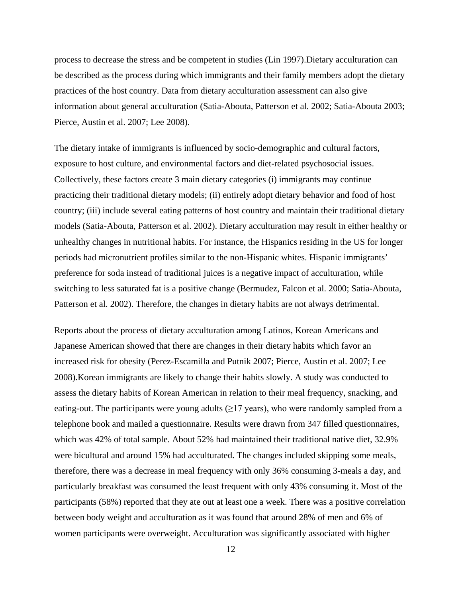process to decrease the stress and be competent in studies (Lin 1997).Dietary acculturation can be described as the process during which immigrants and their family members adopt the dietary practices of the host country. Data from dietary acculturation assessment can also give information about general acculturation (Satia-Abouta, Patterson et al. 2002; Satia-Abouta 2003; Pierce, Austin et al. 2007; Lee 2008).

The dietary intake of immigrants is influenced by socio-demographic and cultural factors, exposure to host culture, and environmental factors and diet-related psychosocial issues. Collectively, these factors create 3 main dietary categories (i) immigrants may continue practicing their traditional dietary models; (ii) entirely adopt dietary behavior and food of host country; (iii) include several eating patterns of host country and maintain their traditional dietary models (Satia-Abouta, Patterson et al. 2002). Dietary acculturation may result in either healthy or unhealthy changes in nutritional habits. For instance, the Hispanics residing in the US for longer periods had micronutrient profiles similar to the non-Hispanic whites. Hispanic immigrants' preference for soda instead of traditional juices is a negative impact of acculturation, while switching to less saturated fat is a positive change (Bermudez, Falcon et al. 2000; Satia-Abouta, Patterson et al. 2002). Therefore, the changes in dietary habits are not always detrimental.

Reports about the process of dietary acculturation among Latinos, Korean Americans and Japanese American showed that there are changes in their dietary habits which favor an increased risk for obesity (Perez-Escamilla and Putnik 2007; Pierce, Austin et al. 2007; Lee 2008).Korean immigrants are likely to change their habits slowly. A study was conducted to assess the dietary habits of Korean American in relation to their meal frequency, snacking, and eating-out. The participants were young adults  $(\geq)17$  years), who were randomly sampled from a telephone book and mailed a questionnaire. Results were drawn from 347 filled questionnaires, which was 42% of total sample. About 52% had maintained their traditional native diet, 32.9% were bicultural and around 15% had acculturated. The changes included skipping some meals, therefore, there was a decrease in meal frequency with only 36% consuming 3-meals a day, and particularly breakfast was consumed the least frequent with only 43% consuming it. Most of the participants (58%) reported that they ate out at least one a week. There was a positive correlation between body weight and acculturation as it was found that around 28% of men and 6% of women participants were overweight. Acculturation was significantly associated with higher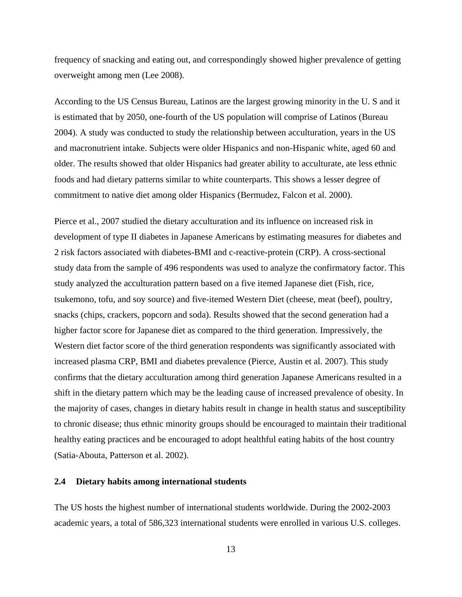frequency of snacking and eating out, and correspondingly showed higher prevalence of getting overweight among men (Lee 2008).

According to the US Census Bureau, Latinos are the largest growing minority in the U. S and it is estimated that by 2050, one-fourth of the US population will comprise of Latinos (Bureau 2004). A study was conducted to study the relationship between acculturation, years in the US and macronutrient intake. Subjects were older Hispanics and non-Hispanic white, aged 60 and older. The results showed that older Hispanics had greater ability to acculturate, ate less ethnic foods and had dietary patterns similar to white counterparts. This shows a lesser degree of commitment to native diet among older Hispanics (Bermudez, Falcon et al. 2000).

Pierce et al., 2007 studied the dietary acculturation and its influence on increased risk in development of type II diabetes in Japanese Americans by estimating measures for diabetes and 2 risk factors associated with diabetes-BMI and c-reactive-protein (CRP). A cross-sectional study data from the sample of 496 respondents was used to analyze the confirmatory factor. This study analyzed the acculturation pattern based on a five itemed Japanese diet (Fish, rice, tsukemono, tofu, and soy source) and five-itemed Western Diet (cheese, meat (beef), poultry, snacks (chips, crackers, popcorn and soda). Results showed that the second generation had a higher factor score for Japanese diet as compared to the third generation. Impressively, the Western diet factor score of the third generation respondents was significantly associated with increased plasma CRP, BMI and diabetes prevalence (Pierce, Austin et al. 2007). This study confirms that the dietary acculturation among third generation Japanese Americans resulted in a shift in the dietary pattern which may be the leading cause of increased prevalence of obesity. In the majority of cases, changes in dietary habits result in change in health status and susceptibility to chronic disease; thus ethnic minority groups should be encouraged to maintain their traditional healthy eating practices and be encouraged to adopt healthful eating habits of the host country (Satia-Abouta, Patterson et al. 2002).

#### <span id="page-22-0"></span>**2.4 Dietary habits among international students**

The US hosts the highest number of international students worldwide. During the 2002-2003 academic years, a total of 586,323 international students were enrolled in various U.S. colleges.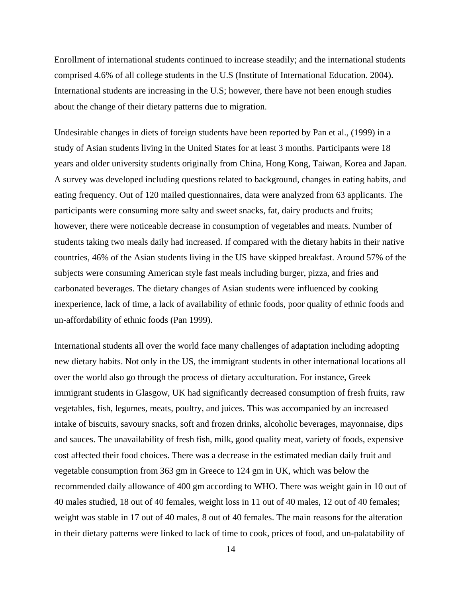Enrollment of international students continued to increase steadily; and the international students comprised 4.6% of all college students in the U.S (Institute of International Education. 2004). International students are increasing in the U.S; however, there have not been enough studies about the change of their dietary patterns due to migration.

Undesirable changes in diets of foreign students have been reported by Pan et al., (1999) in a study of Asian students living in the United States for at least 3 months. Participants were 18 years and older university students originally from China, Hong Kong, Taiwan, Korea and Japan. A survey was developed including questions related to background, changes in eating habits, and eating frequency. Out of 120 mailed questionnaires, data were analyzed from 63 applicants. The participants were consuming more salty and sweet snacks, fat, dairy products and fruits; however, there were noticeable decrease in consumption of vegetables and meats. Number of students taking two meals daily had increased. If compared with the dietary habits in their native countries, 46% of the Asian students living in the US have skipped breakfast. Around 57% of the subjects were consuming American style fast meals including burger, pizza, and fries and carbonated beverages. The dietary changes of Asian students were influenced by cooking inexperience, lack of time, a lack of availability of ethnic foods, poor quality of ethnic foods and un-affordability of ethnic foods (Pan 1999).

International students all over the world face many challenges of adaptation including adopting new dietary habits. Not only in the US, the immigrant students in other international locations all over the world also go through the process of dietary acculturation. For instance, Greek immigrant students in Glasgow, UK had significantly decreased consumption of fresh fruits, raw vegetables, fish, legumes, meats, poultry, and juices. This was accompanied by an increased intake of biscuits, savoury snacks, soft and frozen drinks, alcoholic beverages, mayonnaise, dips and sauces. The unavailability of fresh fish, milk, good quality meat, variety of foods, expensive cost affected their food choices. There was a decrease in the estimated median daily fruit and vegetable consumption from 363 gm in Greece to 124 gm in UK, which was below the recommended daily allowance of 400 gm according to WHO. There was weight gain in 10 out of 40 males studied, 18 out of 40 females, weight loss in 11 out of 40 males, 12 out of 40 females; weight was stable in 17 out of 40 males, 8 out of 40 females. The main reasons for the alteration in their dietary patterns were linked to lack of time to cook, prices of food, and un-palatability of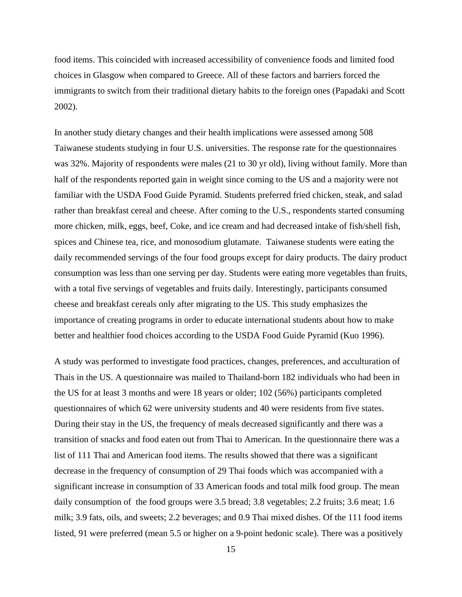food items. This coincided with increased accessibility of convenience foods and limited food choices in Glasgow when compared to Greece. All of these factors and barriers forced the immigrants to switch from their traditional dietary habits to the foreign ones (Papadaki and Scott 2002).

In another study dietary changes and their health implications were assessed among 508 Taiwanese students studying in four U.S. universities. The response rate for the questionnaires was 32%. Majority of respondents were males (21 to 30 yr old), living without family. More than half of the respondents reported gain in weight since coming to the US and a majority were not familiar with the USDA Food Guide Pyramid. Students preferred fried chicken, steak, and salad rather than breakfast cereal and cheese. After coming to the U.S., respondents started consuming more chicken, milk, eggs, beef, Coke, and ice cream and had decreased intake of fish/shell fish, spices and Chinese tea, rice, and monosodium glutamate. Taiwanese students were eating the daily recommended servings of the four food groups except for dairy products. The dairy product consumption was less than one serving per day. Students were eating more vegetables than fruits, with a total five servings of vegetables and fruits daily. Interestingly, participants consumed cheese and breakfast cereals only after migrating to the US. This study emphasizes the importance of creating programs in order to educate international students about how to make better and healthier food choices according to the USDA Food Guide Pyramid (Kuo 1996).

A study was performed to investigate food practices, changes, preferences, and acculturation of Thais in the US. A questionnaire was mailed to Thailand-born 182 individuals who had been in the US for at least 3 months and were 18 years or older; 102 (56%) participants completed questionnaires of which 62 were university students and 40 were residents from five states. During their stay in the US, the frequency of meals decreased significantly and there was a transition of snacks and food eaten out from Thai to American. In the questionnaire there was a list of 111 Thai and American food items. The results showed that there was a significant decrease in the frequency of consumption of 29 Thai foods which was accompanied with a significant increase in consumption of 33 American foods and total milk food group. The mean daily consumption of the food groups were 3.5 bread; 3.8 vegetables; 2.2 fruits; 3.6 meat; 1.6 milk; 3.9 fats, oils, and sweets; 2.2 beverages; and 0.9 Thai mixed dishes. Of the 111 food items listed, 91 were preferred (mean 5.5 or higher on a 9-point hedonic scale). There was a positively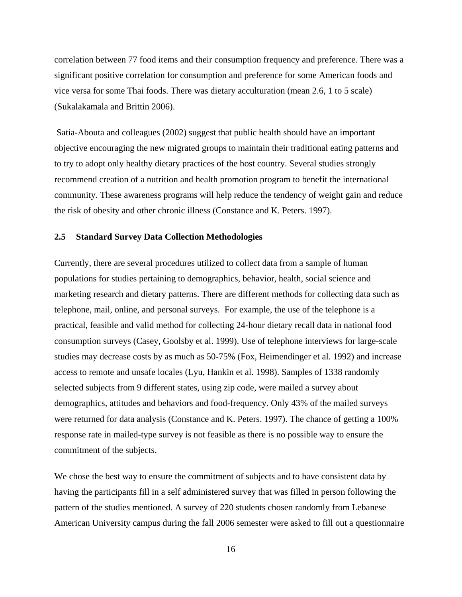correlation between 77 food items and their consumption frequency and preference. There was a significant positive correlation for consumption and preference for some American foods and vice versa for some Thai foods. There was dietary acculturation (mean 2.6, 1 to 5 scale) (Sukalakamala and Brittin 2006).

Satia-Abouta and colleagues (2002) suggest that public health should have an important objective encouraging the new migrated groups to maintain their traditional eating patterns and to try to adopt only healthy dietary practices of the host country. Several studies strongly recommend creation of a nutrition and health promotion program to benefit the international community. These awareness programs will help reduce the tendency of weight gain and reduce the risk of obesity and other chronic illness (Constance and K. Peters. 1997).

#### <span id="page-25-0"></span>**2.5 Standard Survey Data Collection Methodologies**

Currently, there are several procedures utilized to collect data from a sample of human populations for studies pertaining to demographics, behavior, health, social science and marketing research and dietary patterns. There are different methods for collecting data such as telephone, mail, online, and personal surveys. For example, the use of the telephone is a practical, feasible and valid method for collecting 24-hour dietary recall data in national food consumption surveys (Casey, Goolsby et al. 1999). Use of telephone interviews for large-scale studies may decrease costs by as much as 50-75% (Fox, Heimendinger et al. 1992) and increase access to remote and unsafe locales (Lyu, Hankin et al. 1998). Samples of 1338 randomly selected subjects from 9 different states, using zip code, were mailed a survey about demographics, attitudes and behaviors and food-frequency. Only 43% of the mailed surveys were returned for data analysis (Constance and K. Peters. 1997). The chance of getting a 100% response rate in mailed-type survey is not feasible as there is no possible way to ensure the commitment of the subjects.

We chose the best way to ensure the commitment of subjects and to have consistent data by having the participants fill in a self administered survey that was filled in person following the pattern of the studies mentioned. A survey of 220 students chosen randomly from Lebanese American University campus during the fall 2006 semester were asked to fill out a questionnaire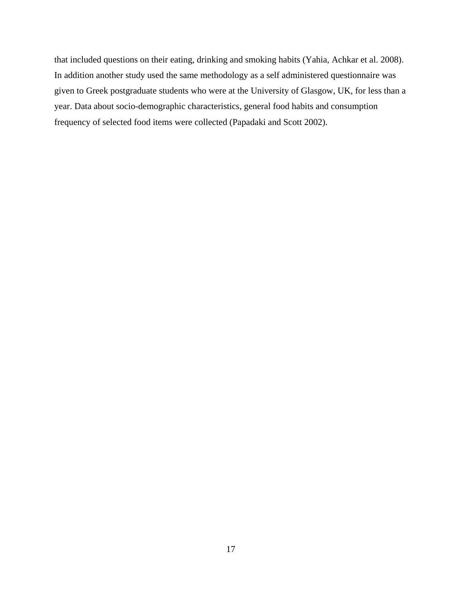that included questions on their eating, drinking and smoking habits (Yahia, Achkar et al. 2008). In addition another study used the same methodology as a self administered questionnaire was given to Greek postgraduate students who were at the University of Glasgow, UK, for less than a year. Data about socio-demographic characteristics, general food habits and consumption frequency of selected food items were collected (Papadaki and Scott 2002).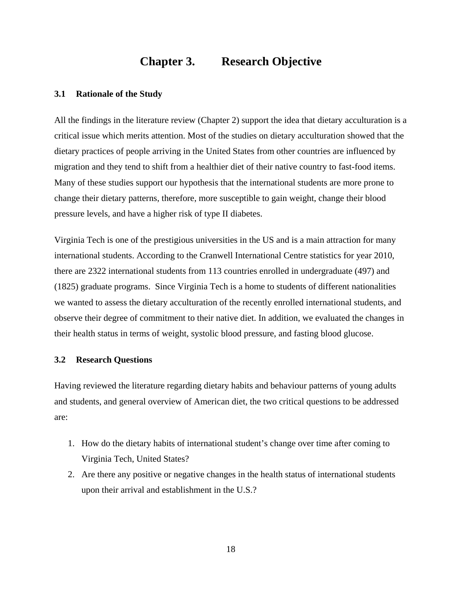## **Chapter 3. Research Objective**

#### <span id="page-27-1"></span><span id="page-27-0"></span>**3.1 Rationale of the Study**

All the findings in the literature review (Chapter 2) support the idea that dietary acculturation is a critical issue which merits attention. Most of the studies on dietary acculturation showed that the dietary practices of people arriving in the United States from other countries are influenced by migration and they tend to shift from a healthier diet of their native country to fast-food items. Many of these studies support our hypothesis that the international students are more prone to change their dietary patterns, therefore, more susceptible to gain weight, change their blood pressure levels, and have a higher risk of type II diabetes.

Virginia Tech is one of the prestigious universities in the US and is a main attraction for many international students. According to the Cranwell International Centre statistics for year 2010, there are 2322 international students from 113 countries enrolled in undergraduate (497) and (1825) graduate programs. Since Virginia Tech is a home to students of different nationalities we wanted to assess the dietary acculturation of the recently enrolled international students, and observe their degree of commitment to their native diet. In addition, we evaluated the changes in their health status in terms of weight, systolic blood pressure, and fasting blood glucose.

#### <span id="page-27-2"></span>**3.2 Research Questions**

Having reviewed the literature regarding dietary habits and behaviour patterns of young adults and students, and general overview of American diet, the two critical questions to be addressed are:

- 1. How do the dietary habits of international student's change over time after coming to Virginia Tech, United States?
- 2. Are there any positive or negative changes in the health status of international students upon their arrival and establishment in the U.S.?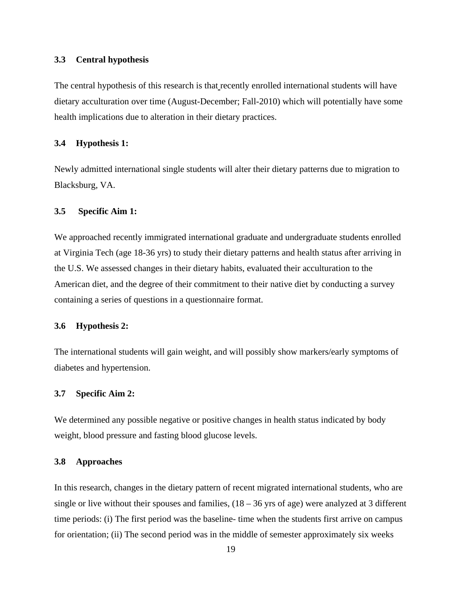#### <span id="page-28-0"></span>**3.3 Central hypothesis**

The central hypothesis of this research is that recently enrolled international students will have dietary acculturation over time (August-December; Fall-2010) which will potentially have some health implications due to alteration in their dietary practices.

#### <span id="page-28-1"></span>**3.4 Hypothesis 1:**

Newly admitted international single students will alter their dietary patterns due to migration to Blacksburg, VA.

#### <span id="page-28-2"></span>**3.5 Specific Aim 1:**

We approached recently immigrated international graduate and undergraduate students enrolled at Virginia Tech (age 18-36 yrs) to study their dietary patterns and health status after arriving in the U.S. We assessed changes in their dietary habits, evaluated their acculturation to the American diet, and the degree of their commitment to their native diet by conducting a survey containing a series of questions in a questionnaire format.

#### <span id="page-28-3"></span>**3.6 Hypothesis 2:**

The international students will gain weight, and will possibly show markers/early symptoms of diabetes and hypertension.

#### <span id="page-28-4"></span>**3.7 Specific Aim 2:**

We determined any possible negative or positive changes in health status indicated by body weight, blood pressure and fasting blood glucose levels.

#### <span id="page-28-5"></span>**3.8 Approaches**

In this research, changes in the dietary pattern of recent migrated international students, who are single or live without their spouses and families,  $(18 – 36$  yrs of age) were analyzed at 3 different time periods: (i) The first period was the baseline- time when the students first arrive on campus for orientation; (ii) The second period was in the middle of semester approximately six weeks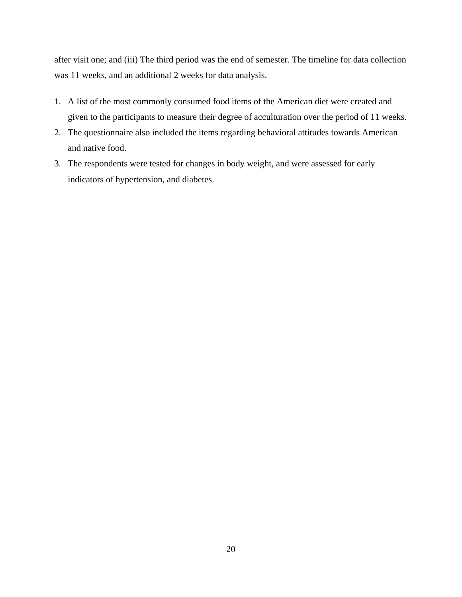after visit one; and (iii) The third period was the end of semester. The timeline for data collection was 11 weeks, and an additional 2 weeks for data analysis.

- 1. A list of the most commonly consumed food items of the American diet were created and given to the participants to measure their degree of acculturation over the period of 11 weeks.
- 2. The questionnaire also included the items regarding behavioral attitudes towards American and native food.
- 3. The respondents were tested for changes in body weight, and were assessed for early indicators of hypertension, and diabetes.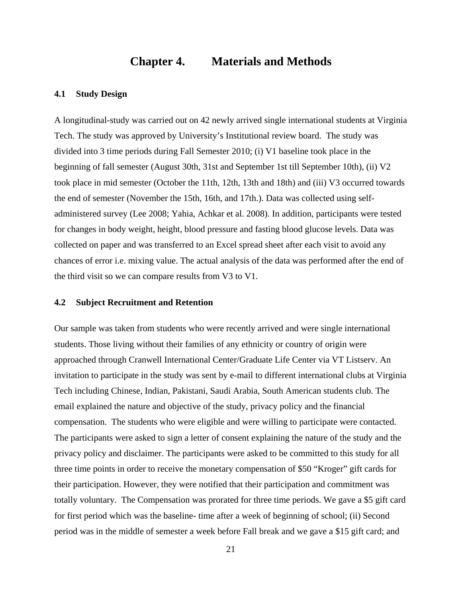## **Chapter 4. Materials and Methods**

#### <span id="page-30-1"></span><span id="page-30-0"></span>**4.1 Study Design**

A longitudinal-study was carried out on 42 newly arrived single international students at Virginia Tech. The study was approved by University's Institutional review board. The study was divided into 3 time periods during Fall Semester 2010; (i) V1 baseline took place in the beginning of fall semester (August 30th, 31st and September 1st till September 10th), (ii) V2 took place in mid semester (October the 11th, 12th, 13th and 18th) and (iii) V3 occurred towards the end of semester (November the 15th, 16th, and 17th.). Data was collected using selfadministered survey (Lee 2008; Yahia, Achkar et al. 2008). In addition, participants were tested for changes in body weight, height, blood pressure and fasting blood glucose levels. Data was collected on paper and was transferred to an Excel spread sheet after each visit to avoid any chances of error i.e. mixing value. The actual analysis of the data was performed after the end of the third visit so we can compare results from V3 to V1.

#### <span id="page-30-2"></span>**4.2 Subject Recruitment and Retention**

Our sample was taken from students who were recently arrived and were single international students. Those living without their families of any ethnicity or country of origin were approached through Cranwell International Center/Graduate Life Center via VT Listserv. An invitation to participate in the study was sent by e-mail to different international clubs at Virginia Tech including Chinese, Indian, Pakistani, Saudi Arabia, South American students club. The email explained the nature and objective of the study, privacy policy and the financial compensation. The students who were eligible and were willing to participate were contacted. The participants were asked to sign a letter of consent explaining the nature of the study and the privacy policy and disclaimer. The participants were asked to be committed to this study for all three time points in order to receive the monetary compensation of \$50 "Kroger" gift cards for their participation. However, they were notified that their participation and commitment was totally voluntary. The Compensation was prorated for three time periods. We gave a \$5 gift card for first period which was the baseline- time after a week of beginning of school; (ii) Second period was in the middle of semester a week before Fall break and we gave a \$15 gift card; and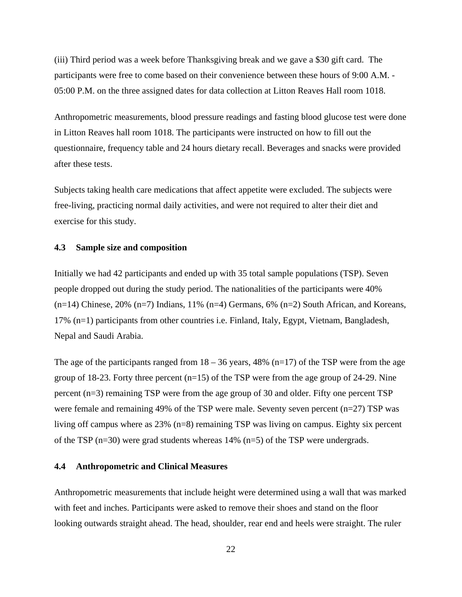(iii) Third period was a week before Thanksgiving break and we gave a \$30 gift card. The participants were free to come based on their convenience between these hours of 9:00 A.M. - 05:00 P.M. on the three assigned dates for data collection at Litton Reaves Hall room 1018.

Anthropometric measurements, blood pressure readings and fasting blood glucose test were done in Litton Reaves hall room 1018. The participants were instructed on how to fill out the questionnaire, frequency table and 24 hours dietary recall. Beverages and snacks were provided after these tests.

Subjects taking health care medications that affect appetite were excluded. The subjects were free-living, practicing normal daily activities, and were not required to alter their diet and exercise for this study.

#### <span id="page-31-0"></span>**4.3 Sample size and composition**

Initially we had 42 participants and ended up with 35 total sample populations (TSP). Seven people dropped out during the study period. The nationalities of the participants were 40%  $(n=14)$  Chinese, 20%  $(n=7)$  Indians, 11%  $(n=4)$  Germans, 6%  $(n=2)$  South African, and Koreans, 17% (n=1) participants from other countries i.e. Finland, Italy, Egypt, Vietnam, Bangladesh, Nepal and Saudi Arabia.

The age of the participants ranged from  $18 - 36$  years, 48% (n=17) of the TSP were from the age group of 18-23. Forty three percent  $(n=15)$  of the TSP were from the age group of 24-29. Nine percent (n=3) remaining TSP were from the age group of 30 and older. Fifty one percent TSP were female and remaining 49% of the TSP were male. Seventy seven percent (n=27) TSP was living off campus where as 23% (n=8) remaining TSP was living on campus. Eighty six percent of the TSP ( $n=30$ ) were grad students whereas 14% ( $n=5$ ) of the TSP were undergrads.

#### <span id="page-31-1"></span>**4.4 Anthropometric and Clinical Measures**

Anthropometric measurements that include height were determined using a wall that was marked with feet and inches. Participants were asked to remove their shoes and stand on the floor looking outwards straight ahead. The head, shoulder, rear end and heels were straight. The ruler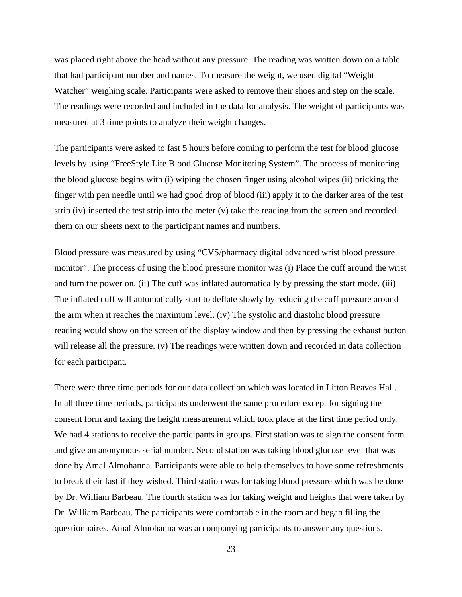was placed right above the head without any pressure. The reading was written down on a table that had participant number and names. To measure the weight, we used digital "Weight Watcher" weighing scale. Participants were asked to remove their shoes and step on the scale. The readings were recorded and included in the data for analysis. The weight of participants was measured at 3 time points to analyze their weight changes.

The participants were asked to fast 5 hours before coming to perform the test for blood glucose levels by using "FreeStyle Lite Blood Glucose Monitoring System". The process of monitoring the blood glucose begins with (i) wiping the chosen finger using alcohol wipes (ii) pricking the finger with pen needle until we had good drop of blood (iii) apply it to the darker area of the test strip (iv) inserted the test strip into the meter (v) take the reading from the screen and recorded them on our sheets next to the participant names and numbers.

Blood pressure was measured by using "CVS/pharmacy digital advanced wrist blood pressure monitor". The process of using the blood pressure monitor was (i) Place the cuff around the wrist and turn the power on. (ii) The cuff was inflated automatically by pressing the start mode. (iii) The inflated cuff will automatically start to deflate slowly by reducing the cuff pressure around the arm when it reaches the maximum level. (iv) The systolic and diastolic blood pressure reading would show on the screen of the display window and then by pressing the exhaust button will release all the pressure. (v) The readings were written down and recorded in data collection for each participant.

There were three time periods for our data collection which was located in Litton Reaves Hall. In all three time periods, participants underwent the same procedure except for signing the consent form and taking the height measurement which took place at the first time period only. We had 4 stations to receive the participants in groups. First station was to sign the consent form and give an anonymous serial number. Second station was taking blood glucose level that was done by Amal Almohanna. Participants were able to help themselves to have some refreshments to break their fast if they wished. Third station was for taking blood pressure which was be done by Dr. William Barbeau. The fourth station was for taking weight and heights that were taken by Dr. William Barbeau. The participants were comfortable in the room and began filling the questionnaires. Amal Almohanna was accompanying participants to answer any questions.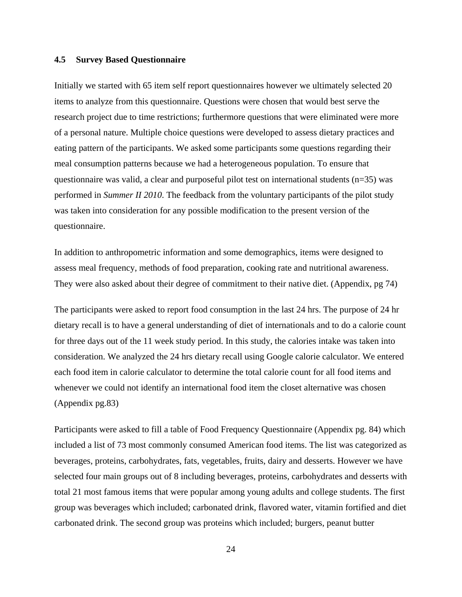#### <span id="page-33-0"></span>**4.5 Survey Based Questionnaire**

Initially we started with 65 item self report questionnaires however we ultimately selected 20 items to analyze from this questionnaire. Questions were chosen that would best serve the research project due to time restrictions; furthermore questions that were eliminated were more of a personal nature. Multiple choice questions were developed to assess dietary practices and eating pattern of the participants. We asked some participants some questions regarding their meal consumption patterns because we had a heterogeneous population. To ensure that questionnaire was valid, a clear and purposeful pilot test on international students  $(n=35)$  was performed in *Summer II 2010*. The feedback from the voluntary participants of the pilot study was taken into consideration for any possible modification to the present version of the questionnaire.

In addition to anthropometric information and some demographics, items were designed to assess meal frequency, methods of food preparation, cooking rate and nutritional awareness. They were also asked about their degree of commitment to their native diet. (Appendix, pg 74)

The participants were asked to report food consumption in the last 24 hrs. The purpose of 24 hr dietary recall is to have a general understanding of diet of internationals and to do a calorie count for three days out of the 11 week study period. In this study, the calories intake was taken into consideration. We analyzed the 24 hrs dietary recall using Google calorie calculator. We entered each food item in calorie calculator to determine the total calorie count for all food items and whenever we could not identify an international food item the closet alternative was chosen (Appendix pg.83)

Participants were asked to fill a table of Food Frequency Questionnaire (Appendix pg. 84) which included a list of 73 most commonly consumed American food items. The list was categorized as beverages, proteins, carbohydrates, fats, vegetables, fruits, dairy and desserts. However we have selected four main groups out of 8 including beverages, proteins, carbohydrates and desserts with total 21 most famous items that were popular among young adults and college students. The first group was beverages which included; carbonated drink, flavored water, vitamin fortified and diet carbonated drink. The second group was proteins which included; burgers, peanut butter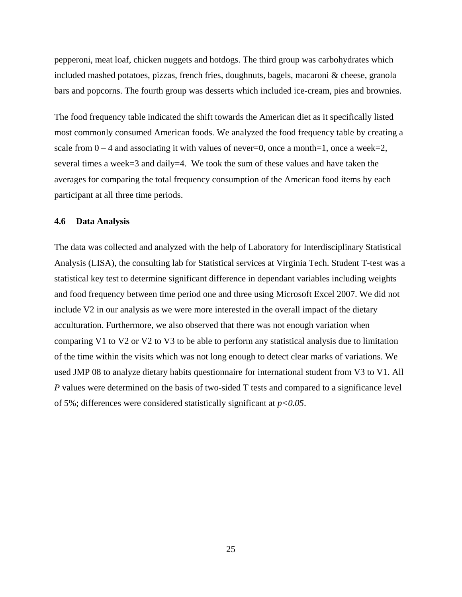pepperoni, meat loaf, chicken nuggets and hotdogs. The third group was carbohydrates which included mashed potatoes, pizzas, french fries, doughnuts, bagels, macaroni & cheese, granola bars and popcorns. The fourth group was desserts which included ice-cream, pies and brownies.

The food frequency table indicated the shift towards the American diet as it specifically listed most commonly consumed American foods. We analyzed the food frequency table by creating a scale from  $0 - 4$  and associating it with values of never=0, once a month=1, once a week=2, several times a week=3 and daily=4. We took the sum of these values and have taken the averages for comparing the total frequency consumption of the American food items by each participant at all three time periods.

#### <span id="page-34-0"></span>**4.6 Data Analysis**

The data was collected and analyzed with the help of Laboratory for Interdisciplinary Statistical Analysis (LISA), the consulting lab for Statistical services at Virginia Tech. Student T-test was a statistical key test to determine significant difference in dependant variables including weights and food frequency between time period one and three using Microsoft Excel 2007. We did not include V2 in our analysis as we were more interested in the overall impact of the dietary acculturation. Furthermore, we also observed that there was not enough variation when comparing V1 to V2 or V2 to V3 to be able to perform any statistical analysis due to limitation of the time within the visits which was not long enough to detect clear marks of variations. We used JMP 08 to analyze dietary habits questionnaire for international student from V3 to V1. All *P* values were determined on the basis of two-sided T tests and compared to a significance level of 5%; differences were considered statistically significant at *p<0.05*.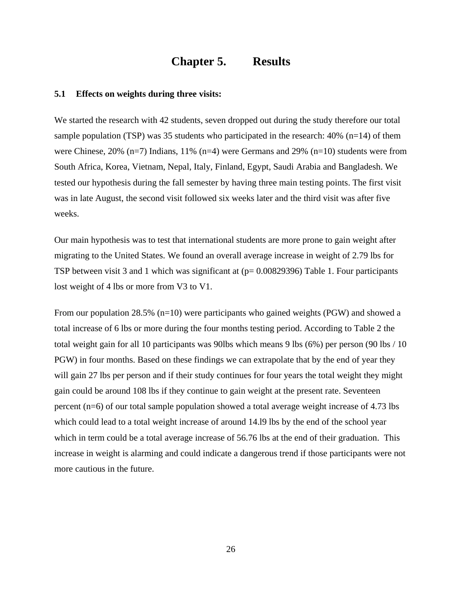### **Chapter 5. Results**

#### <span id="page-35-1"></span><span id="page-35-0"></span>**5.1 Effects on weights during three visits:**

We started the research with 42 students, seven dropped out during the study therefore our total sample population (TSP) was 35 students who participated in the research:  $40\%$  (n=14) of them were Chinese, 20% (n=7) Indians, 11% (n=4) were Germans and 29% (n=10) students were from South Africa, Korea, Vietnam, Nepal, Italy, Finland, Egypt, Saudi Arabia and Bangladesh. We tested our hypothesis during the fall semester by having three main testing points. The first visit was in late August, the second visit followed six weeks later and the third visit was after five weeks.

Our main hypothesis was to test that international students are more prone to gain weight after migrating to the United States. We found an overall average increase in weight of 2.79 lbs for TSP between visit 3 and 1 which was significant at ( $p= 0.00829396$ ) [Table 1.](#page-37-0) Four participants lost weight of 4 lbs or more from V3 to V1.

From our population 28.5% (n=10) were participants who gained weights (PGW) and showed a total increase of 6 lbs or more during the four months testing period. According to [Table 2](#page-38-2) the total weight gain for all 10 participants was 90lbs which means 9 lbs (6%) per person (90 lbs / 10 PGW) in four months. Based on these findings we can extrapolate that by the end of year they will gain 27 lbs per person and if their study continues for four years the total weight they might gain could be around 108 lbs if they continue to gain weight at the present rate. Seventeen percent (n=6) of our total sample population showed a total average weight increase of 4.73 lbs which could lead to a total weight increase of around 14.l9 lbs by the end of the school year which in term could be a total average increase of 56.76 lbs at the end of their graduation. This increase in weight is alarming and could indicate a dangerous trend if those participants were not more cautious in the future.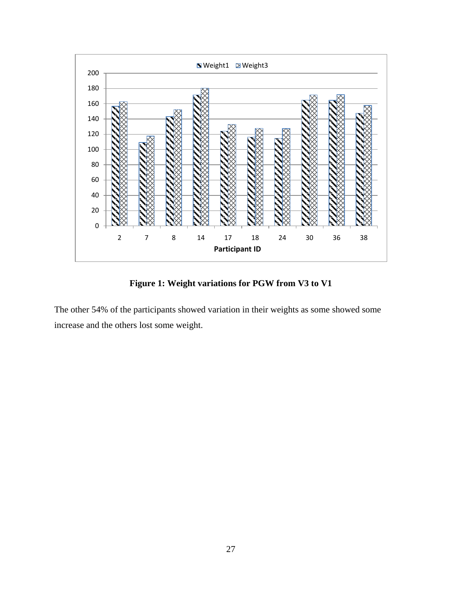

**Figure 1: Weight variations for PGW from V3 to V1**

The other 54% of the participants showed variation in their weights as some showed some increase and the others lost some weight.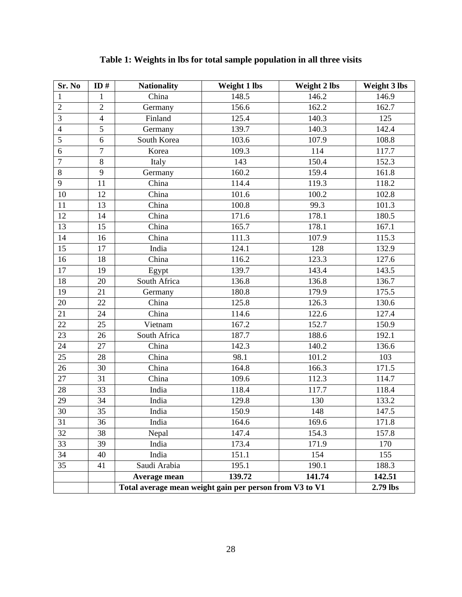| Sr. No                   | ID $#$         | <b>Nationality</b>                                      | Weight 1 lbs | <b>Weight 2 lbs</b> | Weight 3 lbs |
|--------------------------|----------------|---------------------------------------------------------|--------------|---------------------|--------------|
| 1                        | $\mathbf{1}$   | $\overline{\text{China}}$                               | 148.5        | 146.2               | 146.9        |
| $\overline{2}$           | $\overline{2}$ | Germany                                                 | 156.6        | 162.2               | 162.7        |
| $\overline{3}$           | $\overline{4}$ | Finland                                                 | 125.4        | 140.3               | 125          |
| $\overline{\mathcal{L}}$ | 5              | Germany                                                 | 139.7        | 140.3               | 142.4        |
| 5                        | 6              | South Korea                                             | 103.6        | 107.9               | 108.8        |
| 6                        | $\overline{7}$ | Korea                                                   | 109.3        | 114                 | 117.7        |
| $\overline{7}$           | $8\,$          | Italy                                                   | 143          | 150.4               | 152.3        |
| 8                        | 9              | Germany                                                 | 160.2        | 159.4               | 161.8        |
| 9                        | 11             | China                                                   | 114.4        | 119.3               | 118.2        |
| 10                       | 12             | China                                                   | 101.6        | 100.2               | 102.8        |
| 11                       | 13             | China                                                   | 100.8        | 99.3                | 101.3        |
| 12                       | 14             | China                                                   | 171.6        | 178.1               | 180.5        |
| 13                       | 15             | China                                                   | 165.7        | 178.1               | 167.1        |
| 14                       | 16             | China                                                   | 111.3        | 107.9               | 115.3        |
| 15                       | 17             | India                                                   | 124.1        | 128                 | 132.9        |
| 16                       | 18             | China                                                   | 116.2        | 123.3               | 127.6        |
| 17                       | 19             | Egypt                                                   | 139.7        | 143.4               | 143.5        |
| 18                       | 20             | South Africa                                            | 136.8        | 136.8               | 136.7        |
| 19                       | 21             | Germany                                                 | 180.8        | 179.9               | 175.5        |
| 20                       | 22             | China                                                   | 125.8        | 126.3               | 130.6        |
| 21                       | 24             | China                                                   | 114.6        | 122.6               | 127.4        |
| 22                       | 25             | Vietnam                                                 | 167.2        | 152.7               | 150.9        |
| 23                       | 26             | South Africa                                            | 187.7        | 188.6               | 192.1        |
| 24                       | 27             | China                                                   | 142.3        | 140.2               | 136.6        |
| 25                       | 28             | China                                                   | 98.1         | 101.2               | 103          |
| 26                       | 30             | China                                                   | 164.8        | 166.3               | 171.5        |
| 27                       | 31             | China                                                   | 109.6        | 112.3               | 114.7        |
| 28                       | 33             | India                                                   | 118.4        | 117.7               | 118.4        |
| 29                       | 34             | India                                                   | 129.8        | 130                 | 133.2        |
| 30                       | 35             | India                                                   | 150.9        | 148                 | 147.5        |
| 31                       | 36             | India                                                   | 164.6        | 169.6               | 171.8        |
| 32                       | 38             | Nepal                                                   | 147.4        | 154.3               | 157.8        |
| 33                       | 39             | India                                                   | 173.4        | 171.9               | 170          |
| 34                       | 40             | India                                                   | 151.1        | 154                 | 155          |
| 35                       | 41             | Saudi Arabia                                            | 195.1        | 190.1               | 188.3        |
|                          |                | Average mean                                            | 139.72       | 141.74              | 142.51       |
|                          |                | Total average mean weight gain per person from V3 to V1 |              |                     | 2.79 lbs     |

# **Table 1: Weights in lbs for total sample population in all three visits**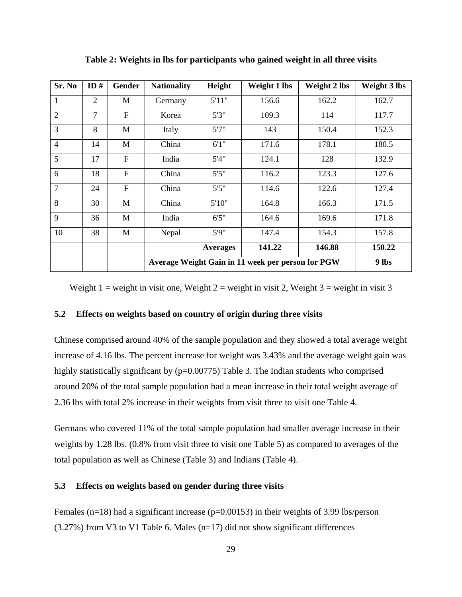| Sr. No         | ID $#$         | <b>Gender</b> | <b>Nationality</b>                                | Height          | Weight 1 lbs | <b>Weight 2 lbs</b> | Weight 3 lbs |
|----------------|----------------|---------------|---------------------------------------------------|-----------------|--------------|---------------------|--------------|
| $\mathbf{1}$   | $\overline{2}$ | M             | Germany                                           | 5'11"           | 156.6        | 162.2               | 162.7        |
| $\overline{2}$ | $\overline{7}$ | $\mathbf{F}$  | Korea                                             | 5'3''           | 109.3        | 114                 | 117.7        |
| 3              | 8              | M             | Italy                                             | 5'7''           | 143          | 150.4               | 152.3        |
| $\overline{4}$ | 14             | M             | China                                             | 6'1''           | 171.6        | 178.1               | 180.5        |
| 5              | 17             | $\mathbf{F}$  | India                                             | 5'4''           | 124.1        | 128                 | 132.9        |
| 6              | 18             | F             | China                                             | 5'5''           | 116.2        | 123.3               | 127.6        |
| $\overline{7}$ | 24             | $\mathbf{F}$  | China                                             | 5'5''           | 114.6        | 122.6               | 127.4        |
| 8              | 30             | M             | China                                             | 5'10"           | 164.8        | 166.3               | 171.5        |
| 9              | 36             | M             | India                                             | 6'5''           | 164.6        | 169.6               | 171.8        |
| 10             | 38             | M             | Nepal                                             | 5'9''           | 147.4        | 154.3               | 157.8        |
|                |                |               |                                                   | <b>Averages</b> | 141.22       | 146.88              | 150.22       |
|                |                |               | Average Weight Gain in 11 week per person for PGW | 9 lbs           |              |                     |              |

**Table 2: Weights in lbs for participants who gained weight in all three visits**

Weight 1 = weight in visit one, Weight 2 = weight in visit 2, Weight 3 = weight in visit 3

#### **5.2 Effects on weights based on country of origin during three visits**

Chinese comprised around 40% of the sample population and they showed a total average weight increase of 4.16 lbs. The percent increase for weight was 3.43% and the average weight gain was highly statistically significant by  $(p=0.00775)$  [Table](#page-39-0) 3. The Indian students who comprised around 20% of the total sample population had a mean increase in their total weight average of 2.36 lbs with total 2% increase in their weights from visit three to visit one [Table 4.](#page-40-0)

Germans who covered 11% of the total sample population had smaller average increase in their weights by 1.28 lbs. (0.8% from visit three to visit one [Table 5\)](#page-41-0) as compared to averages of the total population as well as Chinese [\(Table](#page-39-0) 3) and Indians [\(Table 4\)](#page-40-0).

#### **5.3 Effects on weights based on gender during three visits**

Females ( $n=18$ ) had a significant increase ( $p=0.00153$ ) in their weights of 3.99 lbs/ $p$ erson  $(3.27%)$  from V3 to V1 [Table 6.](#page-41-1) Males  $(n=17)$  did not show significant differences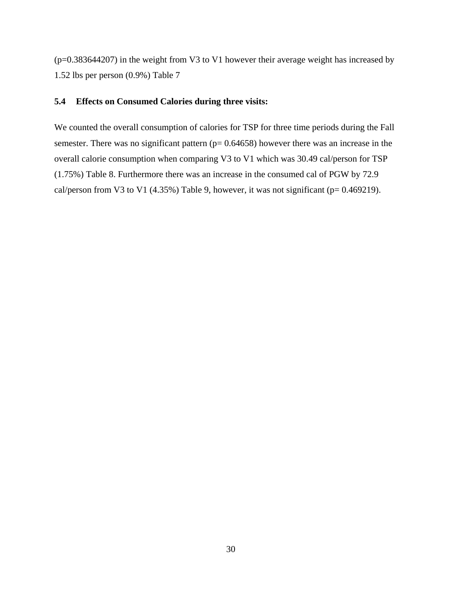(p=0.383644207) in the weight from V3 to V1 however their average weight has increased by 1.52 lbs per person (0.9%) [Table 7](#page-42-0)

#### **5.4 Effects on Consumed Calories during three visits:**

<span id="page-39-0"></span>We counted the overall consumption of calories for TSP for three time periods during the Fall semester. There was no significant pattern ( $p= 0.64658$ ) however there was an increase in the overall calorie consumption when comparing V3 to V1 which was 30.49 cal/person for TSP (1.75%) [Table](#page-42-1) 8. Furthermore there was an increase in the consumed cal of PGW by 72.9 cal/person from V3 to V1 (4.35%) [Table](#page-43-0) 9, however, it was not significant ( $p= 0.469219$ ).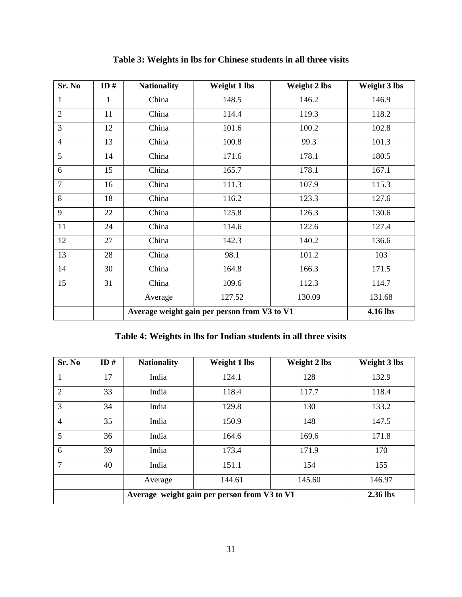| Sr. No         | ID# | <b>Nationality</b> | <b>Weight 1 lbs</b>                          | Weight 2 lbs | Weight 3 lbs |  |  |
|----------------|-----|--------------------|----------------------------------------------|--------------|--------------|--|--|
| 1              | 1   | China              | 148.5                                        | 146.2        | 146.9        |  |  |
| $\overline{2}$ | 11  | China              | 114.4                                        | 119.3        | 118.2        |  |  |
| 3              | 12  | China              | 101.6                                        | 100.2        | 102.8        |  |  |
| $\overline{4}$ | 13  | China              | 100.8                                        | 99.3         | 101.3        |  |  |
| 5              | 14  | China              | 171.6                                        | 178.1        | 180.5        |  |  |
| 6              | 15  | China              | 165.7                                        | 178.1        | 167.1        |  |  |
| $\overline{7}$ | 16  | China              | 111.3                                        | 107.9        | 115.3        |  |  |
| 8              | 18  | China              | 116.2                                        | 123.3        | 127.6        |  |  |
| 9              | 22  | China              | 125.8                                        | 126.3        | 130.6        |  |  |
| 11             | 24  | China              | 114.6                                        | 122.6        | 127.4        |  |  |
| 12             | 27  | China              | 142.3                                        | 140.2        | 136.6        |  |  |
| 13             | 28  | China              | 98.1                                         | 101.2        | 103          |  |  |
| 14             | 30  | China              | 164.8                                        | 166.3        | 171.5        |  |  |
| 15             | 31  | China              | 109.6                                        | 112.3        | 114.7        |  |  |
|                |     | Average            | 127.52                                       | 130.09       | 131.68       |  |  |
|                |     |                    | Average weight gain per person from V3 to V1 |              |              |  |  |

**Table 3: Weights in lbs for Chinese students in all three visits**

## **Table 4: Weights in lbs for Indian students in all three visits**

<span id="page-40-0"></span>

| Sr. No         | ID $#$ | <b>Nationality</b> | Weight 1 lbs                                 | Weight 2 lbs | Weight 3 lbs |
|----------------|--------|--------------------|----------------------------------------------|--------------|--------------|
| 1              | 17     | India              | 124.1                                        | 128          | 132.9        |
| $\overline{2}$ | 33     | India              | 118.4                                        | 117.7        | 118.4        |
| 3              | 34     | India              | 129.8                                        | 130          | 133.2        |
| $\overline{4}$ | 35     | India              | 150.9                                        | 148          | 147.5        |
| 5              | 36     | India              | 164.6                                        | 169.6        | 171.8        |
| 6              | 39     | India              | 173.4                                        | 171.9        | 170          |
| 7              | 40     | India              | 151.1                                        | 154          | 155          |
|                |        | Average            | 144.61                                       | 145.60       | 146.97       |
|                |        |                    | Average weight gain per person from V3 to V1 |              | 2.36 lbs     |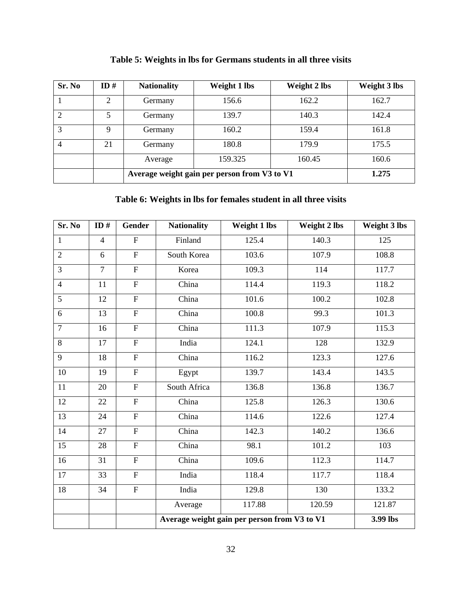<span id="page-41-0"></span>

| Sr. No | ID# | <b>Nationality</b> | Weight 1 lbs                                 | <b>Weight 2 lbs</b> | Weight 3 lbs |
|--------|-----|--------------------|----------------------------------------------|---------------------|--------------|
|        | 2   | Germany            | 156.6                                        | 162.2               | 162.7        |
| 2      | 5   | Germany            | 139.7                                        | 140.3               | 142.4        |
| 3      | 9   | Germany            | 160.2                                        | 159.4               | 161.8        |
| 4      | 21  | Germany            | 180.8                                        | 179.9               | 175.5        |
|        |     | Average            | 159.325                                      | 160.45              | 160.6        |
|        |     |                    | Average weight gain per person from V3 to V1 |                     | 1.275        |

**Table 5: Weights in lbs for Germans students in all three visits**

# **Table 6: Weights in lbs for females student in all three visits**

<span id="page-41-1"></span>

| Sr. No         | ID $#$         | <b>Gender</b>             | <b>Nationality</b> | Weight 1 lbs                                 | <b>Weight 2 lbs</b> | <b>Weight 3 lbs</b> |
|----------------|----------------|---------------------------|--------------------|----------------------------------------------|---------------------|---------------------|
| $\mathbf{1}$   | $\overline{4}$ | ${\bf F}$                 | Finland            | 125.4                                        | 140.3               | 125                 |
| $\overline{2}$ | 6              | $\overline{F}$            | South Korea        | 103.6                                        | 107.9               | 108.8               |
| $\overline{3}$ | $\overline{7}$ | $\overline{F}$            | Korea              | 109.3                                        | 114                 | 117.7               |
| $\overline{4}$ | 11             | $\overline{F}$            | China              | 114.4                                        | 119.3               | 118.2               |
| 5              | 12             | $\overline{F}$            | China              | 101.6                                        | 100.2               | 102.8               |
| 6              | 13             | $\overline{F}$            | China              | 100.8                                        | 99.3                | 101.3               |
| $\overline{7}$ | 16             | $\overline{F}$            | China              | 111.3                                        | 107.9               | 115.3               |
| $8\,$          | 17             | $\overline{F}$            | India              | 124.1                                        | 128                 | 132.9               |
| 9              | 18             | $\overline{F}$            | China              | 116.2                                        | 123.3               | 127.6               |
| 10             | 19             | $\boldsymbol{\mathrm{F}}$ | Egypt              | 139.7                                        | 143.4               | 143.5               |
| 11             | 20             | $\overline{F}$            | South Africa       | 136.8                                        | 136.8               | 136.7               |
| 12             | 22             | $\overline{F}$            | China              | 125.8                                        | 126.3               | 130.6               |
| 13             | 24             | $\overline{F}$            | China              | 114.6                                        | 122.6               | 127.4               |
| 14             | 27             | $\overline{F}$            | China              | 142.3                                        | 140.2               | 136.6               |
| 15             | 28             | $\overline{F}$            | China              | 98.1                                         | 101.2               | 103                 |
| 16             | 31             | $\boldsymbol{\mathrm{F}}$ | China              | 109.6                                        | 112.3               | 114.7               |
| 17             | 33             | $\overline{F}$            | India              | 118.4                                        | 117.7               | 118.4               |
| 18             | 34             | ${\bf F}$                 | India              | 129.8                                        | 130                 | 133.2               |
|                |                |                           | Average            | 117.88                                       | 120.59              | 121.87              |
|                |                |                           |                    | Average weight gain per person from V3 to V1 |                     |                     |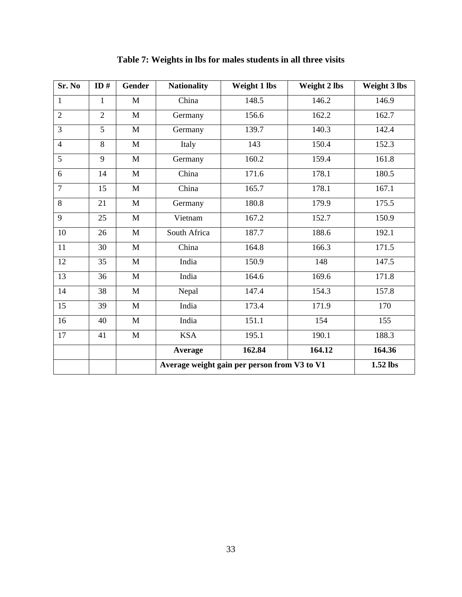<span id="page-42-1"></span><span id="page-42-0"></span>

| Sr. No         | ID#            | <b>Gender</b> | <b>Nationality</b>                           | Weight 1 lbs | Weight 2 lbs | Weight 3 lbs |
|----------------|----------------|---------------|----------------------------------------------|--------------|--------------|--------------|
| 1              | 1              | $\mathbf{M}$  | China                                        | 148.5        | 146.2        | 146.9        |
| $\overline{2}$ | $\overline{2}$ | $\mathbf{M}$  | Germany                                      | 156.6        | 162.2        | 162.7        |
| 3              | 5              | $\mathbf{M}$  | Germany                                      | 139.7        | 140.3        | 142.4        |
| $\overline{4}$ | 8              | $\mathbf{M}$  | Italy                                        | 143          | 150.4        | 152.3        |
| 5              | 9              | $\mathbf M$   | Germany                                      | 160.2        | 159.4        | 161.8        |
| 6              | 14             | $\mathbf{M}$  | China                                        | 171.6        | 178.1        | 180.5        |
| $\overline{7}$ | 15             | $\mathbf{M}$  | China                                        | 165.7        | 178.1        | 167.1        |
| 8              | 21             | $\mathbf{M}$  | Germany                                      | 180.8        | 179.9        | 175.5        |
| 9              | 25             | $\mathbf{M}$  | Vietnam                                      | 167.2        | 152.7        | 150.9        |
| 10             | 26             | $\mathbf{M}$  | South Africa                                 | 187.7        | 188.6        | 192.1        |
| 11             | 30             | $\mathbf{M}$  | China                                        | 164.8        | 166.3        | 171.5        |
| 12             | 35             | $\mathbf{M}$  | India                                        | 150.9        | 148          | 147.5        |
| 13             | 36             | $\mathbf{M}$  | India                                        | 164.6        | 169.6        | 171.8        |
| 14             | 38             | $\mathbf{M}$  | Nepal                                        | 147.4        | 154.3        | 157.8        |
| 15             | 39             | $\mathbf{M}$  | India                                        | 173.4        | 171.9        | 170          |
| 16             | 40             | M             | India                                        | 151.1        | 154          | 155          |
| 17             | 41             | $\mathbf{M}$  | <b>KSA</b>                                   | 195.1        | 190.1        | 188.3        |
|                |                |               | Average                                      | 162.84       | 164.12       | 164.36       |
|                |                |               | Average weight gain per person from V3 to V1 | 1.52 lbs     |              |              |

**Table 7: Weights in lbs for males students in all three visits**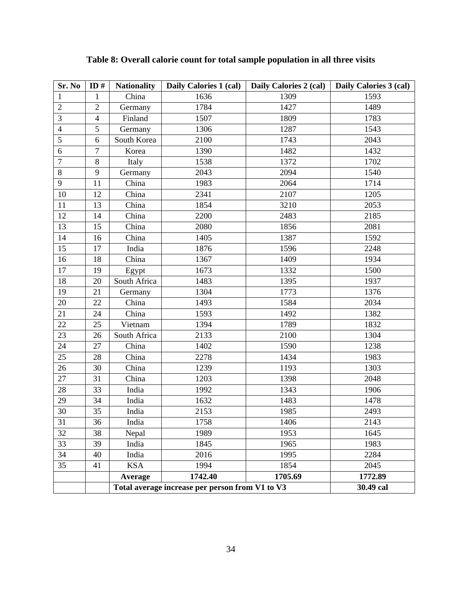<span id="page-43-0"></span>

| Sr. No                  | ID $#$         | <b>Nationality</b> | Daily Calories 1 (cal)                          | Daily Calories 2 (cal) | Daily Calories 3 (cal) |
|-------------------------|----------------|--------------------|-------------------------------------------------|------------------------|------------------------|
| 1                       | $\mathbf{1}$   | China              | 1636                                            | 1309                   | 1593                   |
| $\mathfrak 2$           | $\overline{2}$ | Germany            | 1784                                            | 1427                   | 1489                   |
| 3                       | $\overline{4}$ | Finland            | 1507                                            | 1809                   | 1783                   |
| $\overline{\mathbf{4}}$ | 5              | Germany            | 1306                                            | 1287                   | 1543                   |
| 5                       | 6              | South Korea        | 2100                                            | 1743                   | 2043                   |
| 6                       | $\overline{7}$ | Korea              | 1390                                            | 1482                   | 1432                   |
| $\boldsymbol{7}$        | $8\,$          | Italy              | 1538                                            | 1372                   | 1702                   |
| 8                       | 9              | Germany            | 2043                                            | 2094                   | 1540                   |
| 9                       | 11             | China              | 1983                                            | 2064                   | 1714                   |
| 10                      | 12             | China              | 2341                                            | 2107                   | 1205                   |
| 11                      | 13             | China              | 1854                                            | 3210                   | 2053                   |
| 12                      | 14             | China              | 2200                                            | 2483                   | 2185                   |
| 13                      | 15             | China              | 2080                                            | 1856                   | 2081                   |
| 14                      | 16             | China              | 1405                                            | 1387                   | 1592                   |
| 15                      | 17             | India              | 1876                                            | 1596                   | 2248                   |
| 16                      | 18             | China              | 1367                                            | 1409                   | 1934                   |
| 17                      | 19             | Egypt              | 1673                                            | 1332                   | 1500                   |
| 18                      | 20             | South Africa       | 1483                                            | 1395                   | 1937                   |
| 19                      | 21             | Germany            | 1304                                            | 1773                   | 1376                   |
| 20                      | 22             | China              | 1493                                            | 1584                   | 2034                   |
| 21                      | 24             | China              | 1593                                            | 1492                   | 1382                   |
| 22                      | 25             | Vietnam            | 1394                                            | 1789                   | 1832                   |
| 23                      | 26             | South Africa       | 2133                                            | 2100                   | 1304                   |
| 24                      | 27             | China              | 1402                                            | 1590                   | 1238                   |
| 25                      | 28             | China              | 2278                                            | 1434                   | 1983                   |
| 26                      | 30             | China              | 1239                                            | 1193                   | 1303                   |
| 27                      | 31             | China              | 1203                                            | 1398                   | 2048                   |
| 28                      | 33             | India              | 1992                                            | 1343                   | 1906                   |
| 29                      | 34             | India              | 1632                                            | 1483                   | 1478                   |
| 30                      | 35             | India              | 2153                                            | 1985                   | 2493                   |
| 31                      | 36             | India              | 1758                                            | 1406                   | 2143                   |
| 32                      | 38             | Nepal              | 1989                                            | 1953                   | 1645                   |
| 33                      | 39             | India              | 1845                                            | 1965                   | 1983                   |
| 34                      | 40             | India              | 2016                                            | 1995                   | 2284                   |
| 35                      | 41             | <b>KSA</b>         | 1994                                            | 1854                   | 2045                   |
|                         |                | Average            | 1742.40                                         | 1705.69                | 1772.89                |
|                         |                |                    | Total average increase per person from V1 to V3 |                        | 30.49 cal              |

**Table 8: Overall calorie count for total sample population in all three visits**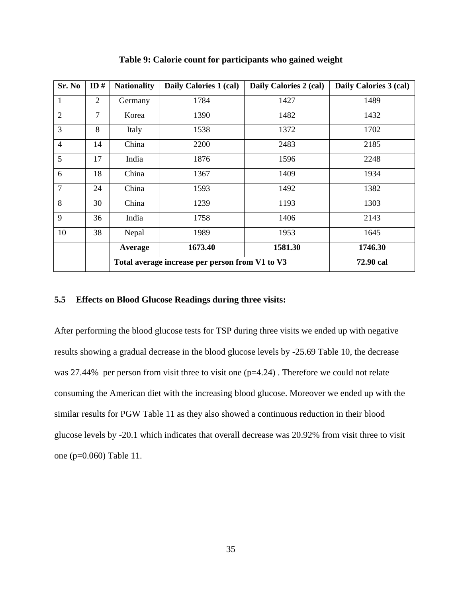| Sr. No         | ID# | <b>Nationality</b> | Daily Calories 1 (cal)                          | Daily Calories 2 (cal) | Daily Calories 3 (cal) |
|----------------|-----|--------------------|-------------------------------------------------|------------------------|------------------------|
| 1              | 2   | Germany            | 1784                                            | 1427                   | 1489                   |
| $\overline{2}$ | 7   | Korea              | 1390                                            | 1482                   | 1432                   |
| 3              | 8   | Italy              | 1538                                            | 1372                   | 1702                   |
| $\overline{4}$ | 14  | China              | 2200                                            | 2483                   | 2185                   |
| 5              | 17  | India              | 1876                                            | 1596                   | 2248                   |
| 6              | 18  | China              | 1367                                            | 1409                   | 1934                   |
| $\overline{7}$ | 24  | China              | 1593                                            | 1492                   | 1382                   |
| 8              | 30  | China              | 1239                                            | 1193                   | 1303                   |
| 9              | 36  | India              | 1758                                            | 1406                   | 2143                   |
| 10             | 38  | Nepal              | 1989                                            | 1953                   | 1645                   |
|                |     | Average            | 1673.40                                         | 1581.30                | 1746.30                |
|                |     |                    | Total average increase per person from V1 to V3 | 72.90 cal              |                        |

**Table 9: Calorie count for participants who gained weight**

#### **5.5 Effects on Blood Glucose Readings during three visits:**

After performing the blood glucose tests for TSP during three visits we ended up with negative results showing a gradual decrease in the blood glucose levels by -25.69 [Table 10,](#page-45-0) the decrease was 27.44% per person from visit three to visit one (p=4.24). Therefore we could not relate consuming the American diet with the increasing blood glucose. Moreover we ended up with the similar results for PGW [Table 11](#page-46-0) as they also showed a continuous reduction in their blood glucose levels by -20.1 which indicates that overall decrease was 20.92% from visit three to visit one (p=0.060) [Table 11.](#page-46-0)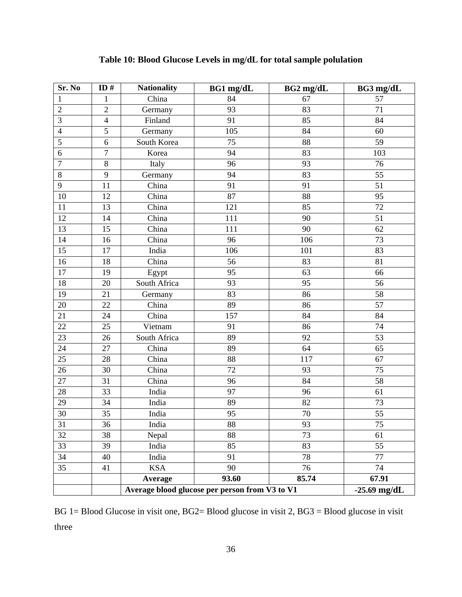<span id="page-45-0"></span>

| Sr. No          | ID#            | <b>Nationality</b> | $BG1$ mg/dL                                    | $BG2$ mg/dL | BG3 mg/dL       |
|-----------------|----------------|--------------------|------------------------------------------------|-------------|-----------------|
| 1               | $\mathbf{1}$   | China              | 84                                             | 67          | 57              |
| $\overline{2}$  | $\overline{2}$ | Germany            | 93                                             | 83          | 71              |
| $\overline{3}$  | $\overline{4}$ | Finland            | 91                                             | 85          | 84              |
| $\overline{4}$  | $\overline{5}$ | Germany            | 105                                            | 84          | 60              |
| 5               | 6              | South Korea        | 75                                             | 88          | 59              |
| 6               | $\tau$         | Korea              | 94                                             | 83          | 103             |
| $\overline{7}$  | $8\,$          | Italy              | 96                                             | 93          | 76              |
| $8\,$           | 9              | Germany            | 94                                             | 83          | 55              |
| 9               | 11             | China              | 91                                             | 91          | $\overline{51}$ |
| 10              | 12             | China              | 87                                             | 88          | 95              |
| $11\,$          | 13             | China              | 121                                            | 85          | 72              |
| 12              | 14             | China              | 111                                            | 90          | 51              |
| 13              | 15             | China              | 111                                            | 90          | 62              |
| $\overline{14}$ | 16             | China              | 96                                             | 106         | $\overline{73}$ |
| 15              | 17             | India              | 106                                            | 101         | 83              |
| 16              | 18             | China              | 56                                             | 83          | 81              |
| 17              | 19             | Egypt              | 95                                             | 63          | 66              |
| 18              | 20             | South Africa       | 93                                             | 95          | 56              |
| $\overline{19}$ | 21             | Germany            | $\overline{83}$                                | 86          | 58              |
| 20              | 22             | China              | 89                                             | 86          | 57              |
| 21              | 24             | China              | 157                                            | 84          | 84              |
| 22              | 25             | Vietnam            | 91                                             | 86          | 74              |
| 23              | 26             | South Africa       | 89                                             | 92          | 53              |
| $\overline{24}$ | 27             | China              | 89                                             | 64          | 65              |
| $\overline{25}$ | 28             | China              | 88                                             | 117         | 67              |
| 26              | 30             | China              | 72                                             | 93          | 75              |
| 27              | 31             | China              | 96                                             | 84          | 58              |
| 28              | 33             | India              | 97                                             | 96          | 61              |
| $\overline{29}$ | 34             | India              | $\overline{89}$                                | 82          | 73              |
| 30              | 35             | India              | 95                                             | $70\,$      | 55              |
| 31              | 36             | India              | 88                                             | 93          | 75              |
| 32              | 38             | Nepal              | 88                                             | 73          | 61              |
| 33              | 39             | India              | 85                                             | 83          | 55              |
| 34              | 40             | India              | 91                                             | 78          | 77              |
| 35              | 41             | <b>KSA</b>         | 90                                             | 76          | 74              |
|                 |                | Average            | 93.60                                          | 85.74       | 67.91           |
|                 |                |                    | Average blood glucose per person from V3 to V1 |             | $-25.69$ mg/dL  |

## **Table 10: Blood Glucose Levels in mg/dL for total sample polulation**

BG 1= Blood Glucose in visit one, BG2= Blood glucose in visit 2, BG3 = Blood glucose in visit three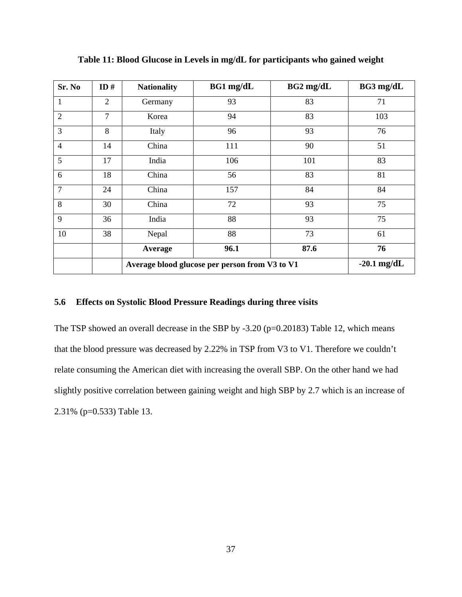| Sr. No         | ID#            | <b>Nationality</b>                             | BG1 mg/dL     | $BG2$ mg/dL | BG3 mg/dL |
|----------------|----------------|------------------------------------------------|---------------|-------------|-----------|
| $\mathbf 1$    | $\overline{2}$ | Germany                                        | 93            | 83          | 71        |
| $\overline{2}$ | $\overline{7}$ | Korea                                          | 94            | 83          | 103       |
| 3              | 8              | Italy                                          | 96            | 93          | 76        |
| $\overline{4}$ | 14             | China                                          | 111           | 90          | 51        |
| 5              | 17             | India                                          | 106           | 101         | 83        |
| 6              | 18             | China                                          | 56            | 83          | 81        |
| $\overline{7}$ | 24             | China                                          | 157           | 84          | 84        |
| 8              | 30             | China                                          | 72            | 93          | 75        |
| 9              | 36             | India                                          | 88            | 93          | 75        |
| 10             | 38             | Nepal                                          | 88            | 73          | 61        |
|                |                | Average                                        | 96.1          | 87.6        | 76        |
|                |                | Average blood glucose per person from V3 to V1 | $-20.1$ mg/dL |             |           |

<span id="page-46-0"></span>**Table 11: Blood Glucose in Levels in mg/dL for participants who gained weight**

## **5.6 Effects on Systolic Blood Pressure Readings during three visits**

The TSP showed an overall decrease in the SBP by  $-3.20$  (p=0.20183) [Table 12,](#page-47-0) which means that the blood pressure was decreased by 2.22% in TSP from V3 to V1. Therefore we couldn't relate consuming the American diet with increasing the overall SBP. On the other hand we had slightly positive correlation between gaining weight and high SBP by 2.7 which is an increase of 2.31% (p=0.533) [Table 13.](#page-48-0)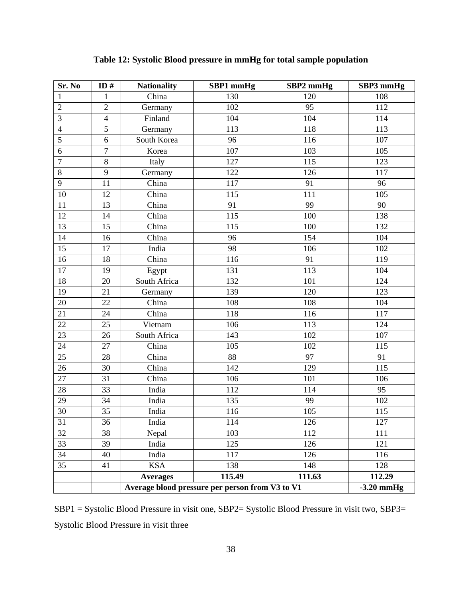<span id="page-47-0"></span>

| Sr. No         | ID#            | <b>Nationality</b> | SBP1 mmHg                                       | SBP2 mmHg | SBP3 mmHg              |  |  |  |
|----------------|----------------|--------------------|-------------------------------------------------|-----------|------------------------|--|--|--|
| 1              | $\mathbf{1}$   | China              | 130                                             | 120       | 108                    |  |  |  |
| $\overline{2}$ | $\overline{2}$ | Germany            | 102                                             | 95        | 112                    |  |  |  |
| 3              | $\overline{4}$ | Finland            | 104                                             | 104       | 114                    |  |  |  |
| $\overline{4}$ | 5              | Germany            | 113                                             | 118       | 113                    |  |  |  |
| 5              | 6              | South Korea        | 96                                              | 116       | 107                    |  |  |  |
| 6              | $\overline{7}$ | Korea              | 107                                             | 103       | 105                    |  |  |  |
| $\overline{7}$ | 8              | Italy              | 127                                             | 115       | 123                    |  |  |  |
| $8\,$          | 9              | Germany            | 122                                             | 126       | 117                    |  |  |  |
| 9              | 11             | China              | 117                                             | 91        | 96                     |  |  |  |
| 10             | 12             | China              | 115                                             | 111       | 105                    |  |  |  |
| 11             | 13             | China              | 91                                              | 99        | 90                     |  |  |  |
| 12             | 14             | China              | 115                                             | 100       | 138                    |  |  |  |
| 13             | 15             | China              | 115                                             | 100       | 132                    |  |  |  |
| 14             | 16             | China              | 96                                              | 154       | 104                    |  |  |  |
| 15             | 17             | India              | 98                                              | 106       | 102                    |  |  |  |
| 16             | 18             | China              | 116                                             | 91        | 119                    |  |  |  |
| 17             | 19             | Egypt              | 131                                             | 113       | 104                    |  |  |  |
| 18             | 20             | South Africa       | 132                                             | 101       | 124                    |  |  |  |
| 19             | 21             | Germany            | 139                                             | 120       | 123                    |  |  |  |
| 20             | 22             | China              | 108                                             | 108       | 104                    |  |  |  |
| 21             | 24             | China              | 118                                             | 116       | 117                    |  |  |  |
| 22             | 25             | Vietnam            | 106                                             | 113       | 124                    |  |  |  |
| 23             | 26             | South Africa       | 143                                             | 102       | 107                    |  |  |  |
| 24             | 27             | China              | 105                                             | 102       | 115                    |  |  |  |
| 25             | 28             | China              | 88                                              | 97        | 91                     |  |  |  |
| 26             | 30             | China              | 142                                             | 129       | 115                    |  |  |  |
| 27             | 31             | China              | 106                                             | 101       | 106                    |  |  |  |
| 28             | 33             | India              | 112                                             | 114       | 95                     |  |  |  |
| 29             | 34             | India              | 135                                             | 99        | 102                    |  |  |  |
| 30             | 35             | India              | 116                                             | 105       | 115                    |  |  |  |
| 31             | 36             | India              | 114                                             | 126       | 127                    |  |  |  |
| 32             | 38             | Nepal              | 103                                             | 112       | 111                    |  |  |  |
| 33             | 39             | India              | 125                                             | 126       | 121                    |  |  |  |
| 34             | 40             | India              | 117                                             | 126       | 116                    |  |  |  |
| 35             | 41             | <b>KSA</b>         | 138                                             | 148       | 128                    |  |  |  |
|                |                | <b>Averages</b>    | 115.49                                          | 111.63    | 112.29<br>$-3.20$ mmHg |  |  |  |
|                |                |                    | Average blood pressure per person from V3 to V1 |           |                        |  |  |  |

**Table 12: Systolic Blood pressure in mmHg for total sample population**

SBP1 = Systolic Blood Pressure in visit one, SBP2= Systolic Blood Pressure in visit two, SBP3= Systolic Blood Pressure in visit three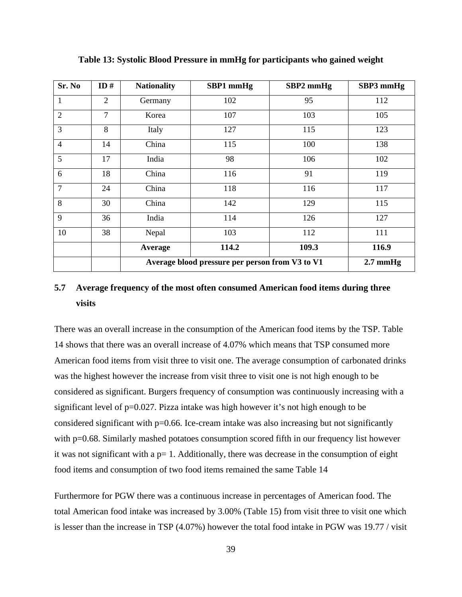| Sr. No         | ID#            | <b>Nationality</b>                              | SBP1 mmHg          | SBP2 mmHg | SBP3 mmHg |
|----------------|----------------|-------------------------------------------------|--------------------|-----------|-----------|
| $\mathbf 1$    | 2              | Germany                                         | 102                | 95        | 112       |
| $\overline{2}$ | $\overline{7}$ | Korea                                           | 107                | 103       | 105       |
| 3              | 8              | Italy                                           | 127                | 115       | 123       |
| $\overline{4}$ | 14             | China                                           | 115                | 100       | 138       |
| 5              | 17             | India                                           | 98                 | 106       | 102       |
| 6              | 18             | China                                           | 116                | 91        | 119       |
| $\overline{7}$ | 24             | China                                           | 118                | 116       | 117       |
| 8              | 30             | China                                           | 142                | 129       | 115       |
| 9              | 36             | India                                           | 114                | 126       | 127       |
| 10             | 38             | Nepal                                           | 103                | 112       | 111       |
|                |                | Average                                         | 114.2              | 109.3     | 116.9     |
|                |                | Average blood pressure per person from V3 to V1 | $2.7 \text{ mmHg}$ |           |           |

<span id="page-48-0"></span>**Table 13: Systolic Blood Pressure in mmHg for participants who gained weight**

# **5.7 Average frequency of the most often consumed American food items during three visits**

There was an overall increase in the consumption of the American food items by the TSP. [Table](#page-49-0) [14](#page-49-0) shows that there was an overall increase of 4.07% which means that TSP consumed more American food items from visit three to visit one. The average consumption of carbonated drinks was the highest however the increase from visit three to visit one is not high enough to be considered as significant. Burgers frequency of consumption was continuously increasing with a significant level of p=0.027. Pizza intake was high however it's not high enough to be considered significant with p=0.66. Ice-cream intake was also increasing but not significantly with p=0.68. Similarly mashed potatoes consumption scored fifth in our frequency list however it was not significant with a  $p=1$ . Additionally, there was decrease in the consumption of eight food items and consumption of two food items remained the same [Table 14](#page-50-0)

Furthermore for PGW there was a continuous increase in percentages of American food. The total American food intake was increased by 3.00% [\(Table 15\)](#page-51-0) from visit three to visit one which is lesser than the increase in TSP (4.07%) however the total food intake in PGW was 19.77 / visit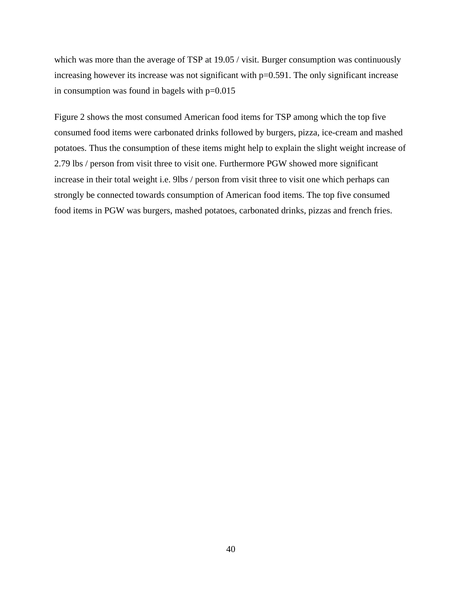which was more than the average of TSP at 19.05 / visit. Burger consumption was continuously increasing however its increase was not significant with  $p=0.591$ . The only significant increase in consumption was found in bagels with  $p=0.015$ 

<span id="page-49-0"></span>[Figure 2](#page-52-0) shows the most consumed American food items for TSP among which the top five consumed food items were carbonated drinks followed by burgers, pizza, ice-cream and mashed potatoes. Thus the consumption of these items might help to explain the slight weight increase of 2.79 lbs / person from visit three to visit one. Furthermore PGW showed more significant increase in their total weight i.e. 9lbs / person from visit three to visit one which perhaps can strongly be connected towards consumption of American food items. The top five consumed food items in PGW was burgers, mashed potatoes, carbonated drinks, pizzas and french fries.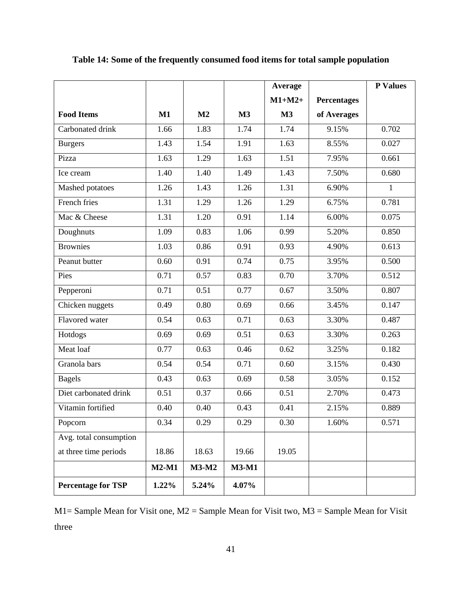|                           |               |                |         | Average  |                    | <b>P</b> Values |
|---------------------------|---------------|----------------|---------|----------|--------------------|-----------------|
|                           |               |                |         | $M1+M2+$ | <b>Percentages</b> |                 |
| <b>Food Items</b>         | $\mathbf{M1}$ | M <sub>2</sub> | M3      | M3       | of Averages        |                 |
| Carbonated drink          | 1.66          | 1.83           | 1.74    | 1.74     | 9.15%              | 0.702           |
| <b>Burgers</b>            | 1.43          | 1.54           | 1.91    | 1.63     | 8.55%              | 0.027           |
| Pizza                     | 1.63          | 1.29           | 1.63    | 1.51     | 7.95%              | 0.661           |
| Ice cream                 | 1.40          | 1.40           | 1.49    | 1.43     | 7.50%              | 0.680           |
| Mashed potatoes           | 1.26          | 1.43           | 1.26    | 1.31     | 6.90%              | $\mathbf{1}$    |
| French fries              | 1.31          | 1.29           | 1.26    | 1.29     | 6.75%              | 0.781           |
| Mac & Cheese              | 1.31          | 1.20           | 0.91    | 1.14     | 6.00%              | 0.075           |
| Doughnuts                 | 1.09          | 0.83           | 1.06    | 0.99     | 5.20%              | 0.850           |
| <b>Brownies</b>           | 1.03          | 0.86           | 0.91    | 0.93     | 4.90%              | 0.613           |
| Peanut butter             | 0.60          | 0.91           | 0.74    | 0.75     | 3.95%              | 0.500           |
| Pies                      | 0.71          | 0.57           | 0.83    | 0.70     | 3.70%              | 0.512           |
| Pepperoni                 | 0.71          | 0.51           | 0.77    | 0.67     | 3.50%              | 0.807           |
| Chicken nuggets           | 0.49          | 0.80           | 0.69    | 0.66     | 3.45%              | 0.147           |
| Flavored water            | 0.54          | 0.63           | 0.71    | 0.63     | 3.30%              | 0.487           |
| Hotdogs                   | 0.69          | 0.69           | 0.51    | 0.63     | 3.30%              | 0.263           |
| Meat loaf                 | 0.77          | 0.63           | 0.46    | 0.62     | 3.25%              | 0.182           |
| Granola bars              | 0.54          | 0.54           | 0.71    | 0.60     | 3.15%              | 0.430           |
| <b>Bagels</b>             | 0.43          | 0.63           | 0.69    | 0.58     | 3.05%              | 0.152           |
| Diet carbonated drink     | 0.51          | 0.37           | 0.66    | 0.51     | 2.70%              | 0.473           |
| Vitamin fortified         | 0.40          | 0.40           | 0.43    | 0.41     | 2.15%              | 0.889           |
| Popcorn                   | 0.34          | 0.29           | 0.29    | 0.30     | 1.60%              | 0.571           |
| Avg. total consumption    |               |                |         |          |                    |                 |
| at three time periods     | 18.86         | 18.63          | 19.66   | 19.05    |                    |                 |
|                           | $M2-M1$       | <b>M3-M2</b>   | $M3-M1$ |          |                    |                 |
| <b>Percentage for TSP</b> | $1.22\%$      | 5.24%          | 4.07%   |          |                    |                 |

<span id="page-50-0"></span>**Table 14: Some of the frequently consumed food items for total sample population**

M1= Sample Mean for Visit one, M2 = Sample Mean for Visit two, M3 = Sample Mean for Visit three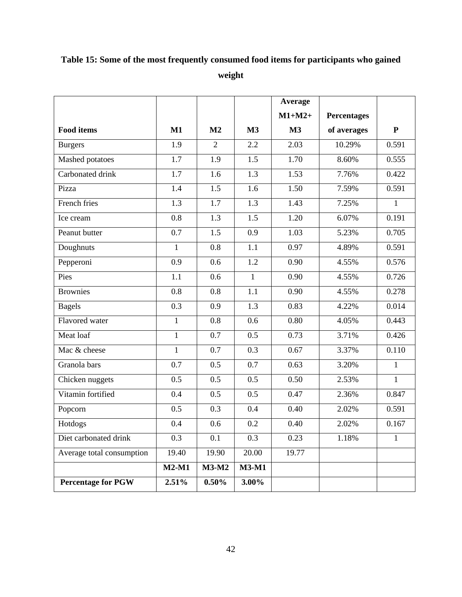# <span id="page-51-0"></span>**Table 15: Some of the most frequently consumed food items for participants who gained weight**

|                           |              |                |                  | Average  |                    |              |
|---------------------------|--------------|----------------|------------------|----------|--------------------|--------------|
|                           |              |                |                  | $M1+M2+$ | <b>Percentages</b> |              |
| <b>Food items</b>         | $M1$         | M <sub>2</sub> | M3               | M3       | of averages        | ${\bf P}$    |
| <b>Burgers</b>            | 1.9          | $\overline{2}$ | 2.2              | 2.03     | 10.29%             | 0.591        |
| Mashed potatoes           | 1.7          | 1.9            | 1.5              | 1.70     | 8.60%              | 0.555        |
| Carbonated drink          | 1.7          | 1.6            | 1.3              | 1.53     | 7.76%              | 0.422        |
| Pizza                     | 1.4          | 1.5            | 1.6              | 1.50     | 7.59%              | 0.591        |
| French fries              | 1.3          | 1.7            | 1.3              | 1.43     | 7.25%              | $\mathbf{1}$ |
| Ice cream                 | 0.8          | 1.3            | 1.5              | 1.20     | 6.07%              | 0.191        |
| Peanut butter             | 0.7          | 1.5            | 0.9              | 1.03     | 5.23%              | 0.705        |
| Doughnuts                 | $\mathbf{1}$ | 0.8            | 1.1              | 0.97     | 4.89%              | 0.591        |
| Pepperoni                 | 0.9          | 0.6            | 1.2              | 0.90     | 4.55%              | 0.576        |
| Pies                      | 1.1          | 0.6            | $\mathbf{1}$     | 0.90     | 4.55%              | 0.726        |
| <b>Brownies</b>           | 0.8          | 0.8            | 1.1              | 0.90     | 4.55%              | 0.278        |
| <b>Bagels</b>             | 0.3          | 0.9            | 1.3              | 0.83     | 4.22%              | 0.014        |
| Flavored water            | $\mathbf{1}$ | 0.8            | 0.6              | 0.80     | 4.05%              | 0.443        |
| Meat loaf                 | $\mathbf{1}$ | 0.7            | 0.5              | 0.73     | 3.71%              | 0.426        |
| Mac & cheese              | $\mathbf{1}$ | 0.7            | $\overline{0.3}$ | 0.67     | 3.37%              | 0.110        |
| Granola bars              | 0.7          | 0.5            | 0.7              | 0.63     | 3.20%              | $\mathbf{1}$ |
| Chicken nuggets           | 0.5          | 0.5            | 0.5              | 0.50     | 2.53%              | $\mathbf{1}$ |
| Vitamin fortified         | 0.4          | 0.5            | 0.5              | 0.47     | 2.36%              | 0.847        |
| Popcorn                   | 0.5          | 0.3            | 0.4              | 0.40     | 2.02%              | 0.591        |
| Hotdogs                   | 0.4          | 0.6            | 0.2              | 0.40     | 2.02%              | 0.167        |
| Diet carbonated drink     | 0.3          | 0.1            | 0.3              | 0.23     | 1.18%              | $\mathbf{1}$ |
| Average total consumption | 19.40        | 19.90          | 20.00            | 19.77    |                    |              |
|                           | $M2-M1$      | <b>M3-M2</b>   | <b>M3-M1</b>     |          |                    |              |
| <b>Percentage for PGW</b> | 2.51%        | 0.50%          | 3.00%            |          |                    |              |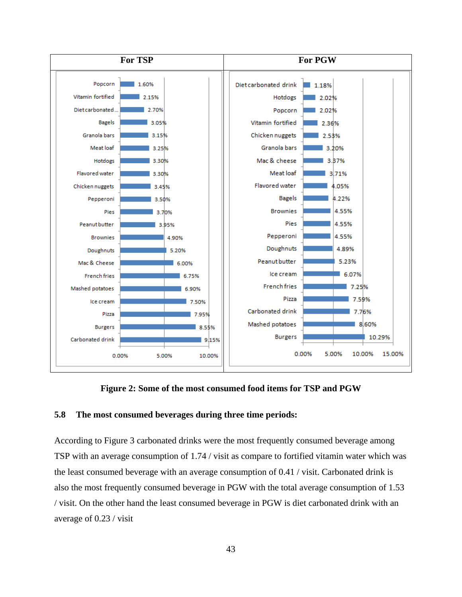

**Figure 2: Some of the most consumed food items for TSP and PGW**

#### <span id="page-52-0"></span>**5.8 The most consumed beverages during three time periods:**

According to [Figure 3](#page-53-0) carbonated drinks were the most frequently consumed beverage among TSP with an average consumption of 1.74 / visit as compare to fortified vitamin water which was the least consumed beverage with an average consumption of 0.41 / visit. Carbonated drink is also the most frequently consumed beverage in PGW with the total average consumption of 1.53 / visit. On the other hand the least consumed beverage in PGW is diet carbonated drink with an average of 0.23 / visit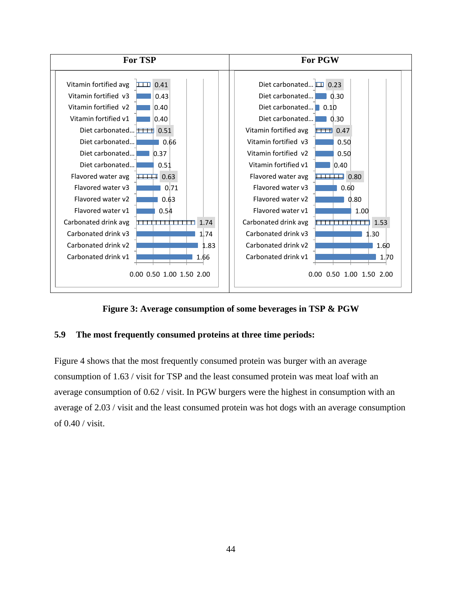

**Figure 3: Average consumption of some beverages in TSP & PGW**

## <span id="page-53-0"></span>**5.9 The most frequently consumed proteins at three time periods:**

[Figure 4](#page-54-0) shows that the most frequently consumed protein was burger with an average consumption of 1.63 / visit for TSP and the least consumed protein was meat loaf with an average consumption of 0.62 / visit. In PGW burgers were the highest in consumption with an average of 2.03 / visit and the least consumed protein was hot dogs with an average consumption of 0.40 / visit.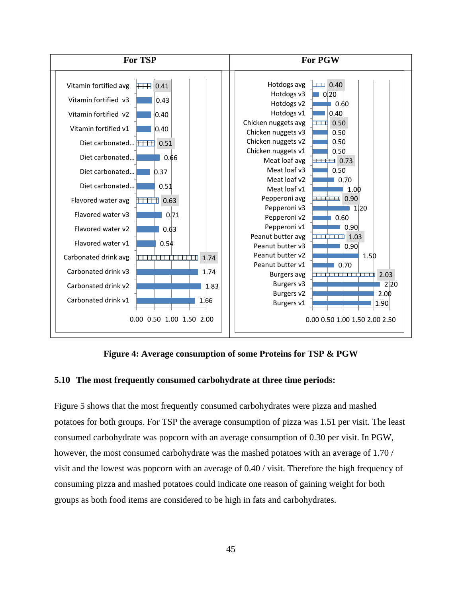

**Figure 4: Average consumption of some Proteins for TSP & PGW**

#### <span id="page-54-0"></span>**5.10 The most frequently consumed carbohydrate at three time periods:**

[Figure 5](#page-55-0) shows that the most frequently consumed carbohydrates were pizza and mashed potatoes for both groups. For TSP the average consumption of pizza was 1.51 per visit. The least consumed carbohydrate was popcorn with an average consumption of 0.30 per visit. In PGW, however, the most consumed carbohydrate was the mashed potatoes with an average of 1.70 / visit and the lowest was popcorn with an average of 0.40 / visit. Therefore the high frequency of consuming pizza and mashed potatoes could indicate one reason of gaining weight for both groups as both food items are considered to be high in fats and carbohydrates.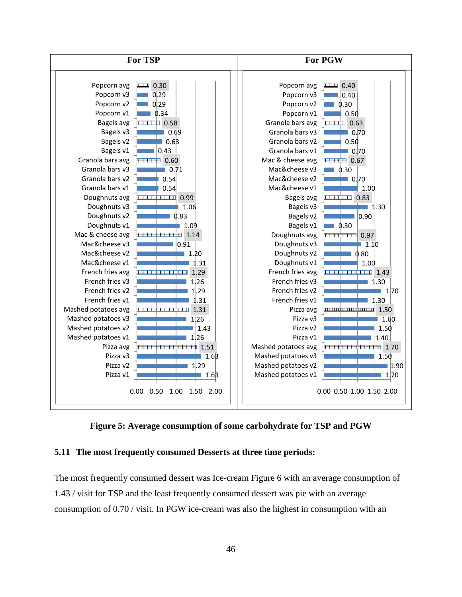

<span id="page-55-0"></span>**Figure 5: Average consumption of some carbohydrate for TSP and PGW**

#### **5.11 The most frequently consumed Desserts at three time periods:**

The most frequently consumed dessert was Ice-cream [Figure 6](#page-56-0) with an average consumption of 1.43 / visit for TSP and the least frequently consumed dessert was pie with an average consumption of 0.70 / visit. In PGW ice-cream was also the highest in consumption with an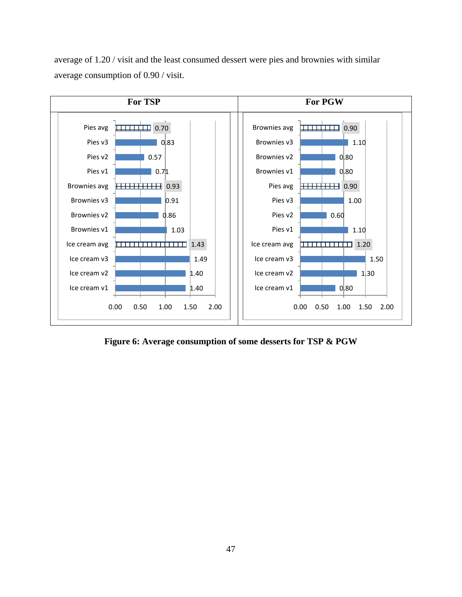average of 1.20 / visit and the least consumed dessert were pies and brownies with similar average consumption of 0.90 / visit.



<span id="page-56-0"></span>**Figure 6: Average consumption of some desserts for TSP & PGW**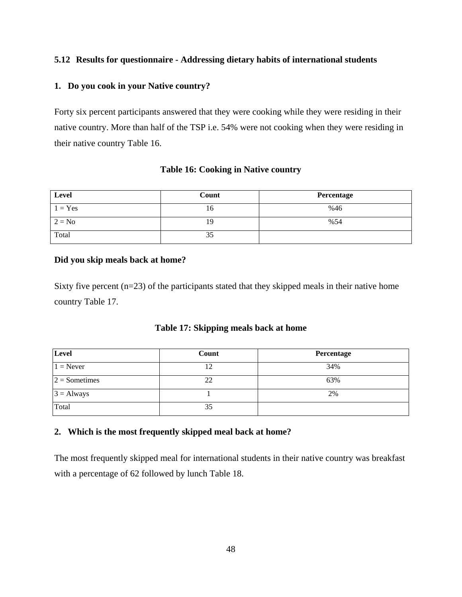## **5.12 Results for questionnaire - Addressing dietary habits of international students**

#### **1. Do you cook in your Native country?**

Forty six percent participants answered that they were cooking while they were residing in their native country. More than half of the TSP i.e. 54% were not cooking when they were residing in their native country [Table 16.](#page-57-0)

## **Table 16: Cooking in Native country**

<span id="page-57-0"></span>

| Level     | Count | Percentage |
|-----------|-------|------------|
| $1 = Yes$ | 16    | %46        |
| $2 = No$  | 19    | %54        |
| Total     | 35    |            |

## **Did you skip meals back at home?**

Sixty five percent (n=23) of the participants stated that they skipped meals in their native home country [Table 17.](#page-57-1)

#### **Table 17: Skipping meals back at home**

<span id="page-57-1"></span>

| Level           | Count | Percentage |
|-----------------|-------|------------|
| $1 =$ Never     | 12    | 34%        |
| $2 =$ Sometimes | 22    | 63%        |
| $3 =$ Always    |       | 2%         |
| Total           | 35    |            |

## **2. Which is the most frequently skipped meal back at home?**

The most frequently skipped meal for international students in their native country was breakfast with a percentage of 62 followed by lunch [Table 18.](#page-58-0)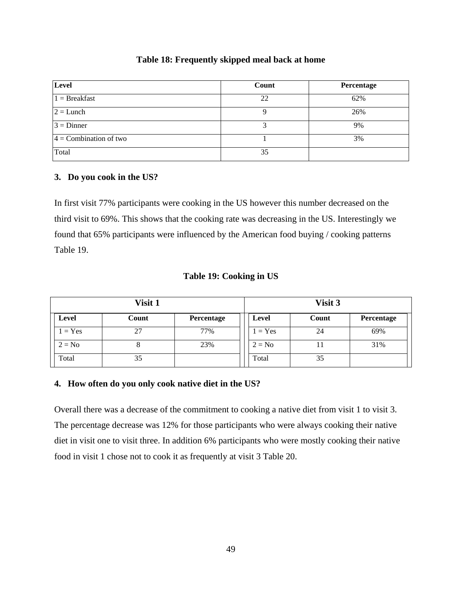#### **Table 18: Frequently skipped meal back at home**

<span id="page-58-0"></span>

| Level                    | Count | Percentage |
|--------------------------|-------|------------|
| $1 =$ Breakfast          | 22    | 62%        |
| $2 =$ Lunch              |       | 26%        |
| $3 =$ Dinner             |       | 9%         |
| $4 =$ Combination of two |       | 3%         |
| Total                    | 35    |            |

#### **3. Do you cook in the US?**

In first visit 77% participants were cooking in the US however this number decreased on the third visit to 69%. This shows that the cooking rate was decreasing in the US. Interestingly we found that 65% participants were influenced by the American food buying / cooking patterns [Table 19.](#page-58-1)

#### **Table 19: Cooking in US**

<span id="page-58-1"></span>

| Visit 1   |       |            | Visit 3 |          |       |            |
|-----------|-------|------------|---------|----------|-------|------------|
| Level     | Count | Percentage |         | Level    | Count | Percentage |
| $1 = Yes$ | 27    | 77%        |         | $= Yes$  | 24    | 69%        |
| $2 = No$  | Ō     | 23%        |         | $2 = No$ | 11    | 31%        |
| Total     | 35    |            |         | Total    | 35    |            |

#### **4. How often do you only cook native diet in the US?**

Overall there was a decrease of the commitment to cooking a native diet from visit 1 to visit 3. The percentage decrease was 12% for those participants who were always cooking their native diet in visit one to visit three. In addition 6% participants who were mostly cooking their native food in visit 1 chose not to cook it as frequently at visit 3 [Table 20.](#page-59-0)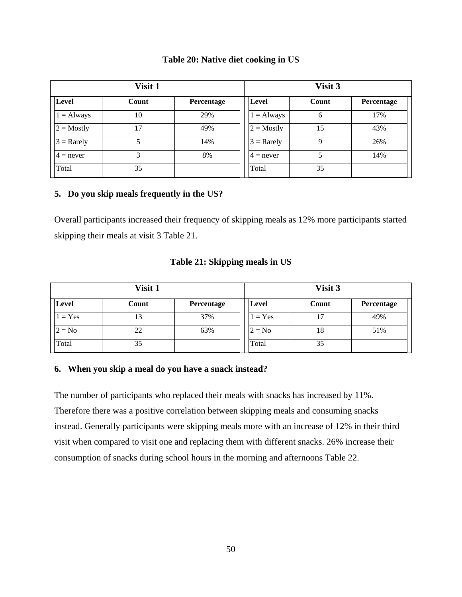| Table 20: Native diet cooking in US |  |  |  |  |  |
|-------------------------------------|--|--|--|--|--|
|-------------------------------------|--|--|--|--|--|

<span id="page-59-0"></span>

| Visit 1             |       |            | Visit 3             |       |            |  |
|---------------------|-------|------------|---------------------|-------|------------|--|
| Level               | Count | Percentage | Level               | Count | Percentage |  |
| $1 =$ Always        | 10    | 29%        | $=$ Always<br>1     | 6     | 17%        |  |
| $2 = \text{Mostly}$ | 17    | 49%        | $2 = \text{Mostly}$ | 15    | 43%        |  |
| $3 =$ Rarely        | 5     | 14%        | $3 =$ Rarely        | 9     | 26%        |  |
| $4 =$ never         | 3     | 8%         | $4 =$ never         | 5     | 14%        |  |
| Total               | 35    |            | Total               | 35    |            |  |

#### **5. Do you skip meals frequently in the US?**

Overall participants increased their frequency of skipping meals as 12% more participants started skipping their meals at visit 3 [Table 21.](#page-59-1)

#### **Table 21: Skipping meals in US**

<span id="page-59-1"></span>

| Visit 1      |       |            | Visit 3 |          |       |            |
|--------------|-------|------------|---------|----------|-------|------------|
| <b>Level</b> | Count | Percentage |         | Level    | Count | Percentage |
| $= Yes$      | 13    | 37%        |         | $= Yes$  | 17    | 49%        |
| $2 = No$     | 22    | 63%        |         | $2 = No$ | 18    | 51%        |
| Total        | 35    |            |         | Total    | 35    |            |

#### **6. When you skip a meal do you have a snack instead?**

The number of participants who replaced their meals with snacks has increased by 11%. Therefore there was a positive correlation between skipping meals and consuming snacks instead. Generally participants were skipping meals more with an increase of 12% in their third visit when compared to visit one and replacing them with different snacks. 26% increase their consumption of snacks during school hours in the morning and afternoons [Table 22.](#page-60-0)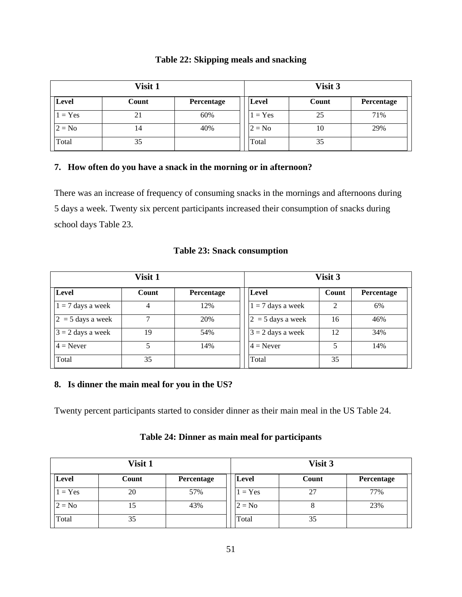| Table 22: Skipping meals and snacking |  |  |
|---------------------------------------|--|--|
|---------------------------------------|--|--|

<span id="page-60-0"></span>

| Visit 1   |       |            | Visit 3 |          |       |            |
|-----------|-------|------------|---------|----------|-------|------------|
| Level     | Count | Percentage |         | Level    | Count | Percentage |
| $1 = Yes$ | 21    | 60%        |         | $= Yes$  | 25    | 71%        |
| $2 = No$  | 14    | 40%        |         | $2 = No$ | 10    | 29%        |
| Total     | 35    |            |         | Total    | 35    |            |

## **7. How often do you have a snack in the morning or in afternoon?**

There was an increase of frequency of consuming snacks in the mornings and afternoons during 5 days a week. Twenty six percent participants increased their consumption of snacks during school days [Table 23.](#page-60-1)

## **Table 23: Snack consumption**

<span id="page-60-1"></span>

|                     |       | Visit 3    |  |                     |       |            |
|---------------------|-------|------------|--|---------------------|-------|------------|
| Level               | Count | Percentage |  | Level               | Count | Percentage |
| $1 = 7$ days a week | 4     | 12%        |  | $1 = 7$ days a week | 2     | 6%         |
| $2 = 5$ days a week | 7     | 20%        |  | $2 = 5$ days a week | 16    | 46%        |
| $3 = 2$ days a week | 19    | 54%        |  | $3 = 2$ days a week | 12    | 34%        |
| $4 =$ Never         |       | 14%        |  | $4 =$ Never         | 5     | 14%        |
| Total               | 35    |            |  | Total               | 35    |            |

## **8. Is dinner the main meal for you in the US?**

Twenty percent participants started to consider dinner as their main meal in the US [Table 24.](#page-60-2)

**Table 24: Dinner as main meal for participants**

<span id="page-60-2"></span>

| Visit 1   |       |            |          | Visit 3 |            |  |  |  |
|-----------|-------|------------|----------|---------|------------|--|--|--|
| Level     | Count | Percentage | Level    | Count   | Percentage |  |  |  |
| $1 = Yes$ | 20    | 57%        | $= Yes$  | 27      | 77%        |  |  |  |
| $2 = No$  | LD    | 43%        | $2 = No$ | $\circ$ | 23%        |  |  |  |
| Total     | 35    |            | Total    | 35      |            |  |  |  |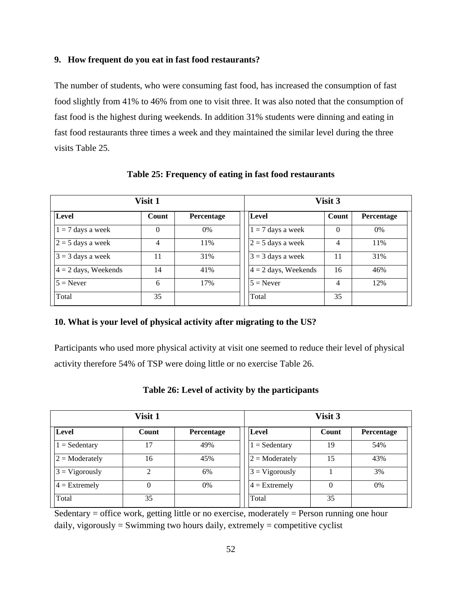#### **9. How frequent do you eat in fast food restaurants?**

The number of students, who were consuming fast food, has increased the consumption of fast food slightly from 41% to 46% from one to visit three. It was also noted that the consumption of fast food is the highest during weekends. In addition 31% students were dinning and eating in fast food restaurants three times a week and they maintained the similar level during the three visits [Table 25.](#page-61-0)

<span id="page-61-0"></span>

| Visit 1                |          |            |  | Visit 3                |          |                   |  |
|------------------------|----------|------------|--|------------------------|----------|-------------------|--|
| <b>Level</b>           | Count    | Percentage |  | Level                  | Count    | <b>Percentage</b> |  |
| $1 = 7$ days a week    | $\Omega$ | $0\%$      |  | $1 = 7$ days a week    | $\theta$ | $0\%$             |  |
| $2 = 5$ days a week    | 4        | 11%        |  | $2 = 5$ days a week    | 4        | 11%               |  |
| $3 = 3$ days a week    | 11       | 31%        |  | $3 = 3$ days a week    | 11       | 31%               |  |
| $4 = 2$ days, Weekends | 14       | 41%        |  | $4 = 2$ days, Weekends | 16       | 46%               |  |
| $5 =$ Never            | 6        | 17%        |  | $5 =$ Never            | 4        | 12%               |  |
| Total                  | 35       |            |  | Total                  | 35       |                   |  |

**Table 25: Frequency of eating in fast food restaurants**

#### **10. What is your level of physical activity after migrating to the US?**

Participants who used more physical activity at visit one seemed to reduce their level of physical activity therefore 54% of TSP were doing little or no exercise [Table 26.](#page-61-1)

<span id="page-61-1"></span>

|                  | Visit 1 |            |                        | Visit 3 |            |
|------------------|---------|------------|------------------------|---------|------------|
| Level            | Count   | Percentage | Level                  | Count   | Percentage |
| $=$ Sedentary    | 17      | 49%        | $1 = \text{Sedentary}$ | 19      | 54%        |
| $2 =$ Moderately | 16      | 45%        | $2 =$ Moderately       | 15      | 43%        |
| $3 = Vigorously$ | 2       | 6%         | $3 = Vigorously$       |         | 3%         |
| $4 =$ Extremely  | 0       | 0%         | $4$ = Extremely        | 0       | $0\%$      |
| Total            | 35      |            | Total                  | 35      |            |

**Table 26: Level of activity by the participants**

Sedentary  $=$  office work, getting little or no exercise, moderately  $=$  Person running one hour daily, vigorously = Swimming two hours daily, extremely = competitive cyclist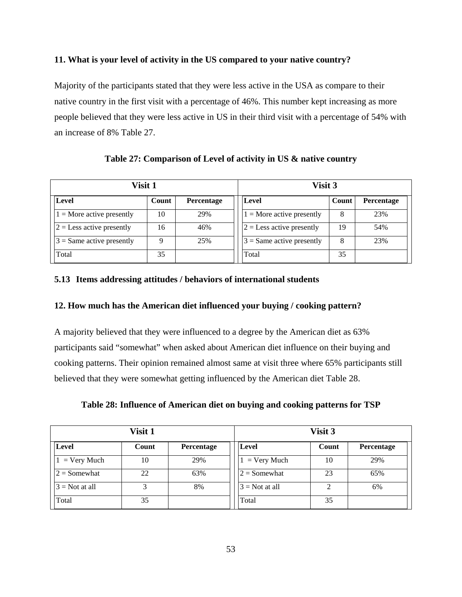## **11. What is your level of activity in the US compared to your native country?**

Majority of the participants stated that they were less active in the USA as compare to their native country in the first visit with a percentage of 46%. This number kept increasing as more people believed that they were less active in US in their third visit with a percentage of 54% with an increase of 8% [Table 27.](#page-62-0)

<span id="page-62-0"></span>

| Visit 1                     |       |                   |  | Visit 3                     |       |            |  |
|-----------------------------|-------|-------------------|--|-----------------------------|-------|------------|--|
| Level                       | Count | <b>Percentage</b> |  | <b>Level</b>                | Count | Percentage |  |
| $1 =$ More active presently | 10    | 29%               |  | $1 =$ More active presently | 8     | 23%        |  |
| $2 =$ Less active presently | 16    | 46%               |  | $2 =$ Less active presently | 19    | 54%        |  |
| $3$ = Same active presently | Q     | 25%               |  | $3 =$ Same active presently | 8     | 23%        |  |
| Total                       | 35    |                   |  | Total                       | 35    |            |  |

**Table 27: Comparison of Level of activity in US & native country**

## **5.13 Items addressing attitudes / behaviors of international students**

#### **12. How much has the American diet influenced your buying / cooking pattern?**

A majority believed that they were influenced to a degree by the American diet as 63% participants said "somewhat" when asked about American diet influence on their buying and cooking patterns. Their opinion remained almost same at visit three where 65% participants still believed that they were somewhat getting influenced by the American diet [Table 28.](#page-62-1)

|  | Table 28: Influence of American diet on buying and cooking patterns for TSP |  |  |  |  |
|--|-----------------------------------------------------------------------------|--|--|--|--|
|  |                                                                             |  |  |  |  |

<span id="page-62-1"></span>

|                        | Visit 1 |            | Visit 3          |       |                   |  |
|------------------------|---------|------------|------------------|-------|-------------------|--|
| Level                  | Count   | Percentage | Level            | Count | <b>Percentage</b> |  |
| $1 = \text{Very Much}$ | 10      | 29%        | $=$ Very Much    | 10    | 29%               |  |
| $2 =$ Somewhat         | 22      | 63%        | $2 =$ Somewhat   | 23    | 65%               |  |
| $3$ = Not at all       |         | 8%         | $3 = Not at all$ |       | 6%                |  |
| Total                  | 35      |            | Total            | 35    |                   |  |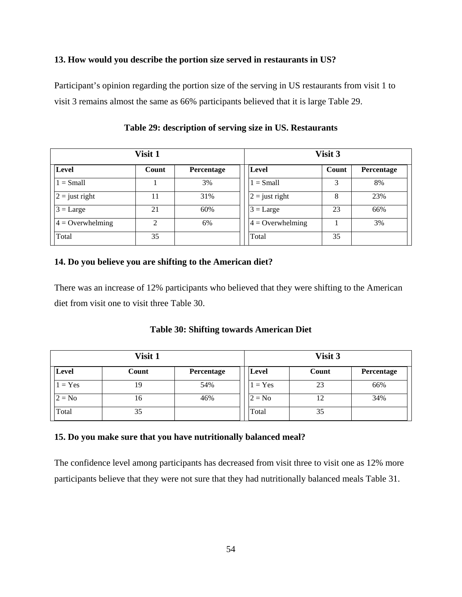#### **13. How would you describe the portion size served in restaurants in US?**

Participant's opinion regarding the portion size of the serving in US restaurants from visit 1 to visit 3 remains almost the same as 66% participants believed that it is large [Table 29.](#page-63-0)

<span id="page-63-0"></span>

| Visit 1            |       |            |  | Visit 3            |       |            |  |
|--------------------|-------|------------|--|--------------------|-------|------------|--|
| <b>Level</b>       | Count | Percentage |  | Level              | Count | Percentage |  |
| $1 = Small$        |       | 3%         |  | $1 = Small$        | 3     | 8%         |  |
| $2 =$ just right   | 11    | 31%        |  | $2 =$ just right   | 8     | 23%        |  |
| $3 = \text{Large}$ | 21    | 60%        |  | $3 = \text{Large}$ | 23    | 66%        |  |
| $4 =$ Overwhelming | ∍     | 6%         |  | $4 =$ Overwhelming |       | 3%         |  |
| Total              | 35    |            |  | Total              | 35    |            |  |

**Table 29: description of serving size in US. Restaurants**

#### **14. Do you believe you are shifting to the American diet?**

There was an increase of 12% participants who believed that they were shifting to the American diet from visit one to visit three [Table 30.](#page-63-1)

**Table 30: Shifting towards American Diet**

<span id="page-63-1"></span>

| Visit 1  |       |            | Visit 3  |       |            |  |
|----------|-------|------------|----------|-------|------------|--|
| Level    | Count | Percentage | Level    | Count | Percentage |  |
| $= Yes$  | 19    | 54%        | $= Yes$  | 23    | 66%        |  |
| $2 = No$ | 16    | 46%        | $2 = No$ | 12    | 34%        |  |
| Total    | 35    |            | Total    | 35    |            |  |

#### **15. Do you make sure that you have nutritionally balanced meal?**

The confidence level among participants has decreased from visit three to visit one as 12% more participants believe that they were not sure that they had nutritionally balanced meals [Table 31.](#page-64-0)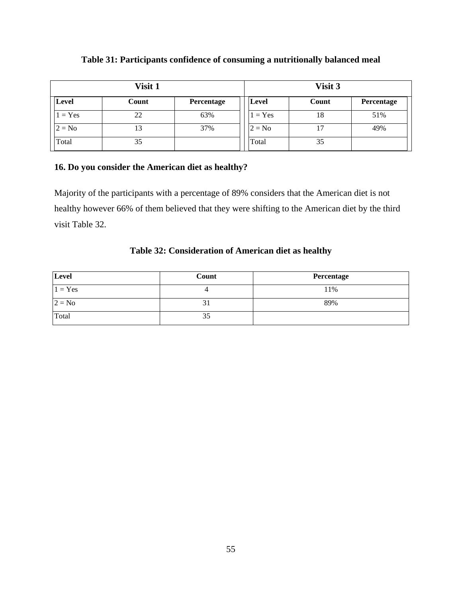<span id="page-64-0"></span>

| Visit 1   |       |            | Visit 3   |       |            |  |
|-----------|-------|------------|-----------|-------|------------|--|
| Level     | Count | Percentage | Level     | Count | Percentage |  |
| $1 = Yes$ | 22    | 63%        | $1 = Yes$ | 18    | 51%        |  |
| $2 = No$  | 13    | 37%        | $2 = No$  | 17    | 49%        |  |
| Total     | 35    |            | Total     | 35    |            |  |

## **Table 31: Participants confidence of consuming a nutritionally balanced meal**

## **16. Do you consider the American diet as healthy?**

Majority of the participants with a percentage of 89% considers that the American diet is not healthy however 66% of them believed that they were shifting to the American diet by the third visit [Table 32.](#page-64-1)

## **Table 32: Consideration of American diet as healthy**

<span id="page-64-1"></span>

| Level     | Count | Percentage |
|-----------|-------|------------|
| $1 = Yes$ |       | 11%        |
| $2 = No$  |       | 89%        |
| Total     | 35    |            |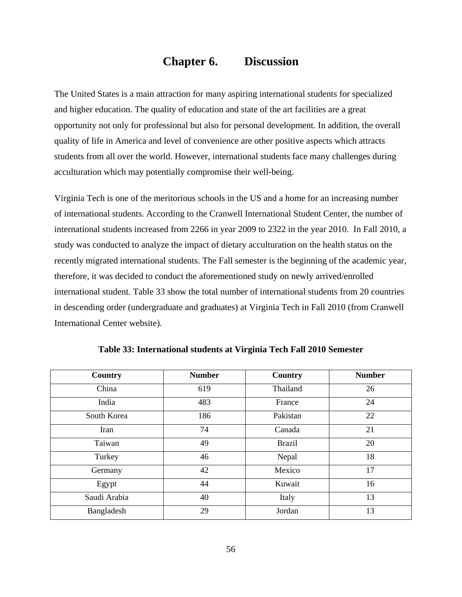# **Chapter 6. Discussion**

The United States is a main attraction for many aspiring international students for specialized and higher education. The quality of education and state of the art facilities are a great opportunity not only for professional but also for personal development. In addition, the overall quality of life in America and level of convenience are other positive aspects which attracts students from all over the world. However, international students face many challenges during acculturation which may potentially compromise their well-being.

Virginia Tech is one of the meritorious schools in the US and a home for an increasing number of international students. According to the Cranwell International Student Center, the number of international students increased from 2266 in year 2009 to 2322 in the year 2010. In Fall 2010, a study was conducted to analyze the impact of dietary acculturation on the health status on the recently migrated international students. The Fall semester is the beginning of the academic year, therefore, it was decided to conduct the aforementioned study on newly arrived/enrolled international student. [Table 33](#page-65-0) show the total number of international students from 20 countries in descending order (undergraduate and graduates) at Virginia Tech in Fall 2010 (from Cranwell International Center website).

<span id="page-65-0"></span>

| Country      | <b>Number</b> | Country       | <b>Number</b> |
|--------------|---------------|---------------|---------------|
| China        | 619           | Thailand      | 26            |
| India        | 483           | France        | 24            |
| South Korea  | 186           | Pakistan      | 22            |
| Iran         | 74            | Canada        | 21            |
| Taiwan       | 49            | <b>Brazil</b> | 20            |
| Turkey       | 46            | Nepal         | 18            |
| Germany      | 42            | Mexico        | 17            |
| Egypt        | 44            | Kuwait        | 16            |
| Saudi Arabia | 40            | Italy         | 13            |
| Bangladesh   | 29            | Jordan        | 13            |

**Table 33: International students at Virginia Tech Fall 2010 Semester**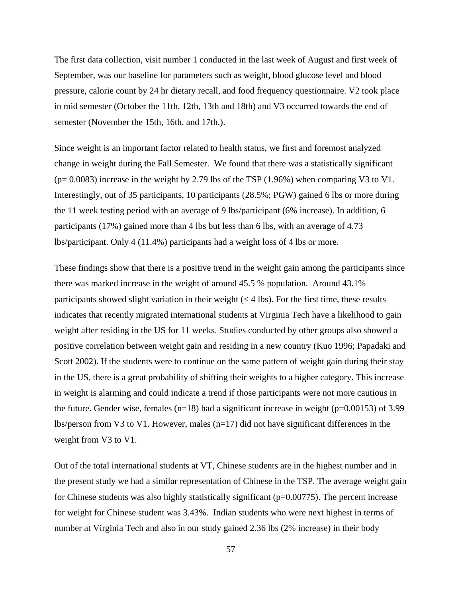The first data collection, visit number 1 conducted in the last week of August and first week of September, was our baseline for parameters such as weight, blood glucose level and blood pressure, calorie count by 24 hr dietary recall, and food frequency questionnaire. V2 took place in mid semester (October the 11th, 12th, 13th and 18th) and V3 occurred towards the end of semester (November the 15th, 16th, and 17th.).

Since weight is an important factor related to health status, we first and foremost analyzed change in weight during the Fall Semester. We found that there was a statistically significant  $(p= 0.0083)$  increase in the weight by 2.79 lbs of the TSP (1.96%) when comparing V3 to V1. Interestingly, out of 35 participants, 10 participants (28.5%; PGW) gained 6 lbs or more during the 11 week testing period with an average of 9 lbs/participant (6% increase). In addition, 6 participants (17%) gained more than 4 lbs but less than 6 lbs, with an average of 4.73 lbs/participant. Only 4 (11.4%) participants had a weight loss of 4 lbs or more.

These findings show that there is a positive trend in the weight gain among the participants since there was marked increase in the weight of around 45.5 % population. Around 43.1% participants showed slight variation in their weight  $(< 4 \text{ lbs})$ . For the first time, these results indicates that recently migrated international students at Virginia Tech have a likelihood to gain weight after residing in the US for 11 weeks. Studies conducted by other groups also showed a positive correlation between weight gain and residing in a new country (Kuo 1996; Papadaki and Scott 2002). If the students were to continue on the same pattern of weight gain during their stay in the US, there is a great probability of shifting their weights to a higher category. This increase in weight is alarming and could indicate a trend if those participants were not more cautious in the future. Gender wise, females ( $n=18$ ) had a significant increase in weight ( $p=0.00153$ ) of 3.99 lbs/person from V3 to V1. However, males  $(n=17)$  did not have significant differences in the weight from V3 to V1.

Out of the total international students at VT, Chinese students are in the highest number and in the present study we had a similar representation of Chinese in the TSP. The average weight gain for Chinese students was also highly statistically significant ( $p=0.00775$ ). The percent increase for weight for Chinese student was 3.43%. Indian students who were next highest in terms of number at Virginia Tech and also in our study gained 2.36 lbs (2% increase) in their body

57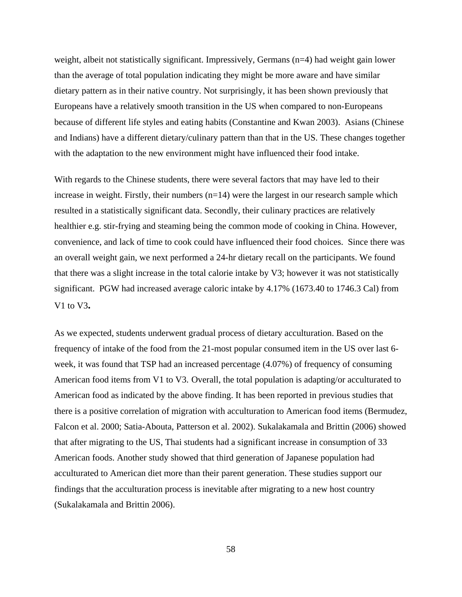weight, albeit not statistically significant. Impressively, Germans (n=4) had weight gain lower than the average of total population indicating they might be more aware and have similar dietary pattern as in their native country. Not surprisingly, it has been shown previously that Europeans have a relatively smooth transition in the US when compared to non-Europeans because of different life styles and eating habits (Constantine and Kwan 2003). Asians (Chinese and Indians) have a different dietary/culinary pattern than that in the US. These changes together with the adaptation to the new environment might have influenced their food intake.

With regards to the Chinese students, there were several factors that may have led to their increase in weight. Firstly, their numbers  $(n=14)$  were the largest in our research sample which resulted in a statistically significant data. Secondly, their culinary practices are relatively healthier e.g. stir-frying and steaming being the common mode of cooking in China. However, convenience, and lack of time to cook could have influenced their food choices. Since there was an overall weight gain, we next performed a 24-hr dietary recall on the participants. We found that there was a slight increase in the total calorie intake by V3; however it was not statistically significant. PGW had increased average caloric intake by 4.17% (1673.40 to 1746.3 Cal) from V1 to V3**.** 

As we expected, students underwent gradual process of dietary acculturation. Based on the frequency of intake of the food from the 21-most popular consumed item in the US over last 6 week, it was found that TSP had an increased percentage (4.07%) of frequency of consuming American food items from V1 to V3. Overall, the total population is adapting/or acculturated to American food as indicated by the above finding. It has been reported in previous studies that there is a positive correlation of migration with acculturation to American food items (Bermudez, Falcon et al. 2000; Satia-Abouta, Patterson et al. 2002). Sukalakamala and Brittin (2006) showed that after migrating to the US, Thai students had a significant increase in consumption of 33 American foods. Another study showed that third generation of Japanese population had acculturated to American diet more than their parent generation. These studies support our findings that the acculturation process is inevitable after migrating to a new host country (Sukalakamala and Brittin 2006).

58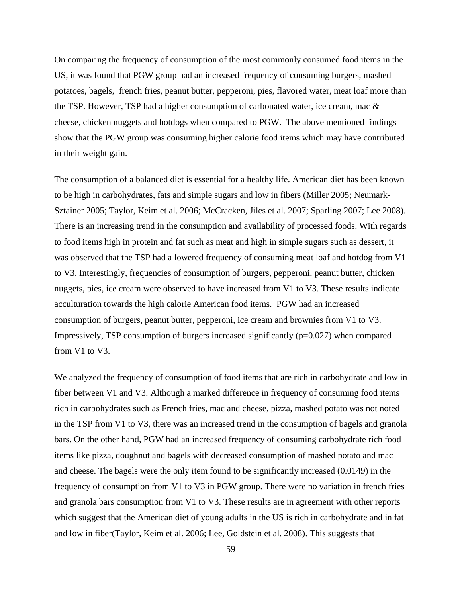On comparing the frequency of consumption of the most commonly consumed food items in the US, it was found that PGW group had an increased frequency of consuming burgers, mashed potatoes, bagels, french fries, peanut butter, pepperoni, pies, flavored water, meat loaf more than the TSP. However, TSP had a higher consumption of carbonated water, ice cream, mac & cheese, chicken nuggets and hotdogs when compared to PGW. The above mentioned findings show that the PGW group was consuming higher calorie food items which may have contributed in their weight gain.

The consumption of a balanced diet is essential for a healthy life. American diet has been known to be high in carbohydrates, fats and simple sugars and low in fibers (Miller 2005; Neumark-Sztainer 2005; Taylor, Keim et al. 2006; McCracken, Jiles et al. 2007; Sparling 2007; Lee 2008). There is an increasing trend in the consumption and availability of processed foods. With regards to food items high in protein and fat such as meat and high in simple sugars such as dessert, it was observed that the TSP had a lowered frequency of consuming meat loaf and hotdog from V1 to V3. Interestingly, frequencies of consumption of burgers, pepperoni, peanut butter, chicken nuggets, pies, ice cream were observed to have increased from V1 to V3. These results indicate acculturation towards the high calorie American food items. PGW had an increased consumption of burgers, peanut butter, pepperoni, ice cream and brownies from V1 to V3. Impressively, TSP consumption of burgers increased significantly (p=0.027) when compared from V1 to V3.

We analyzed the frequency of consumption of food items that are rich in carbohydrate and low in fiber between V1 and V3. Although a marked difference in frequency of consuming food items rich in carbohydrates such as French fries, mac and cheese, pizza, mashed potato was not noted in the TSP from V1 to V3, there was an increased trend in the consumption of bagels and granola bars. On the other hand, PGW had an increased frequency of consuming carbohydrate rich food items like pizza, doughnut and bagels with decreased consumption of mashed potato and mac and cheese. The bagels were the only item found to be significantly increased (0.0149) in the frequency of consumption from V1 to V3 in PGW group. There were no variation in french fries and granola bars consumption from V1 to V3. These results are in agreement with other reports which suggest that the American diet of young adults in the US is rich in carbohydrate and in fat and low in fiber(Taylor, Keim et al. 2006; Lee, Goldstein et al. 2008). This suggests that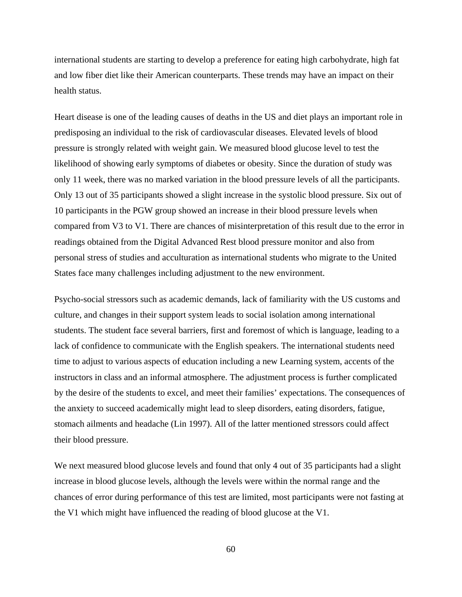international students are starting to develop a preference for eating high carbohydrate, high fat and low fiber diet like their American counterparts. These trends may have an impact on their health status.

Heart disease is one of the leading causes of deaths in the US and diet plays an important role in predisposing an individual to the risk of cardiovascular diseases. Elevated levels of blood pressure is strongly related with weight gain. We measured blood glucose level to test the likelihood of showing early symptoms of diabetes or obesity. Since the duration of study was only 11 week, there was no marked variation in the blood pressure levels of all the participants. Only 13 out of 35 participants showed a slight increase in the systolic blood pressure. Six out of 10 participants in the PGW group showed an increase in their blood pressure levels when compared from V3 to V1. There are chances of misinterpretation of this result due to the error in readings obtained from the Digital Advanced Rest blood pressure monitor and also from personal stress of studies and acculturation as international students who migrate to the United States face many challenges including adjustment to the new environment.

Psycho-social stressors such as academic demands, lack of familiarity with the US customs and culture, and changes in their support system leads to social isolation among international students. The student face several barriers, first and foremost of which is language, leading to a lack of confidence to communicate with the English speakers. The international students need time to adjust to various aspects of education including a new Learning system, accents of the instructors in class and an informal atmosphere. The adjustment process is further complicated by the desire of the students to excel, and meet their families' expectations. The consequences of the anxiety to succeed academically might lead to sleep disorders, eating disorders, fatigue, stomach ailments and headache (Lin 1997). All of the latter mentioned stressors could affect their blood pressure.

We next measured blood glucose levels and found that only 4 out of 35 participants had a slight increase in blood glucose levels, although the levels were within the normal range and the chances of error during performance of this test are limited, most participants were not fasting at the V1 which might have influenced the reading of blood glucose at the V1.

60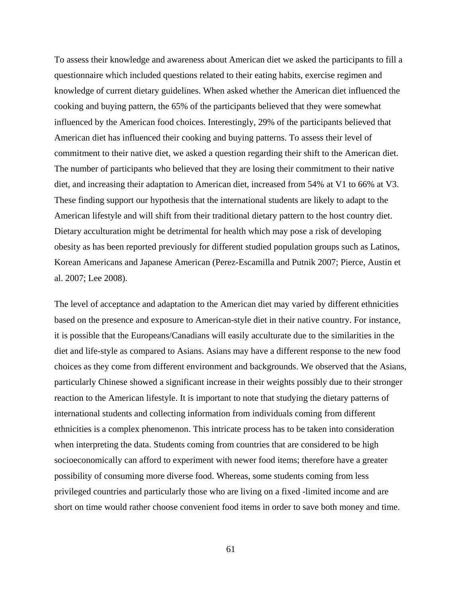To assess their knowledge and awareness about American diet we asked the participants to fill a questionnaire which included questions related to their eating habits, exercise regimen and knowledge of current dietary guidelines. When asked whether the American diet influenced the cooking and buying pattern, the 65% of the participants believed that they were somewhat influenced by the American food choices. Interestingly, 29% of the participants believed that American diet has influenced their cooking and buying patterns. To assess their level of commitment to their native diet, we asked a question regarding their shift to the American diet. The number of participants who believed that they are losing their commitment to their native diet, and increasing their adaptation to American diet, increased from 54% at V1 to 66% at V3. These finding support our hypothesis that the international students are likely to adapt to the American lifestyle and will shift from their traditional dietary pattern to the host country diet. Dietary acculturation might be detrimental for health which may pose a risk of developing obesity as has been reported previously for different studied population groups such as Latinos, Korean Americans and Japanese American (Perez-Escamilla and Putnik 2007; Pierce, Austin et al. 2007; Lee 2008).

The level of acceptance and adaptation to the American diet may varied by different ethnicities based on the presence and exposure to American-style diet in their native country. For instance, it is possible that the Europeans/Canadians will easily acculturate due to the similarities in the diet and life-style as compared to Asians. Asians may have a different response to the new food choices as they come from different environment and backgrounds. We observed that the Asians, particularly Chinese showed a significant increase in their weights possibly due to their stronger reaction to the American lifestyle. It is important to note that studying the dietary patterns of international students and collecting information from individuals coming from different ethnicities is a complex phenomenon. This intricate process has to be taken into consideration when interpreting the data. Students coming from countries that are considered to be high socioeconomically can afford to experiment with newer food items; therefore have a greater possibility of consuming more diverse food. Whereas, some students coming from less privileged countries and particularly those who are living on a fixed -limited income and are short on time would rather choose convenient food items in order to save both money and time.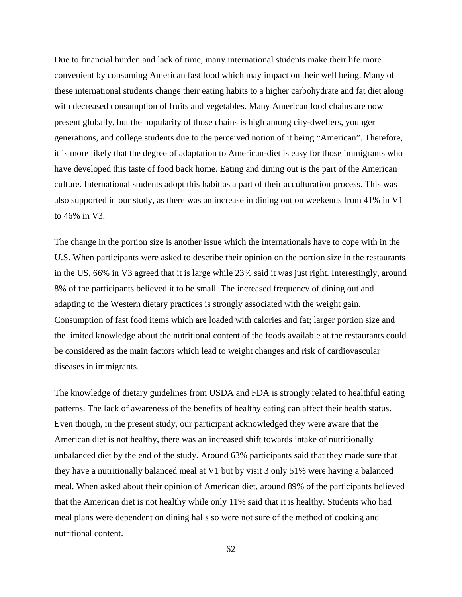Due to financial burden and lack of time, many international students make their life more convenient by consuming American fast food which may impact on their well being. Many of these international students change their eating habits to a higher carbohydrate and fat diet along with decreased consumption of fruits and vegetables. Many American food chains are now present globally, but the popularity of those chains is high among city-dwellers, younger generations, and college students due to the perceived notion of it being "American". Therefore, it is more likely that the degree of adaptation to American-diet is easy for those immigrants who have developed this taste of food back home. Eating and dining out is the part of the American culture. International students adopt this habit as a part of their acculturation process. This was also supported in our study, as there was an increase in dining out on weekends from 41% in V1 to 46% in V3.

The change in the portion size is another issue which the internationals have to cope with in the U.S. When participants were asked to describe their opinion on the portion size in the restaurants in the US, 66% in V3 agreed that it is large while 23% said it was just right. Interestingly, around 8% of the participants believed it to be small. The increased frequency of dining out and adapting to the Western dietary practices is strongly associated with the weight gain. Consumption of fast food items which are loaded with calories and fat; larger portion size and the limited knowledge about the nutritional content of the foods available at the restaurants could be considered as the main factors which lead to weight changes and risk of cardiovascular diseases in immigrants.

The knowledge of dietary guidelines from USDA and FDA is strongly related to healthful eating patterns. The lack of awareness of the benefits of healthy eating can affect their health status. Even though, in the present study, our participant acknowledged they were aware that the American diet is not healthy, there was an increased shift towards intake of nutritionally unbalanced diet by the end of the study. Around 63% participants said that they made sure that they have a nutritionally balanced meal at V1 but by visit 3 only 51% were having a balanced meal. When asked about their opinion of American diet, around 89% of the participants believed that the American diet is not healthy while only 11% said that it is healthy. Students who had meal plans were dependent on dining halls so were not sure of the method of cooking and nutritional content.

62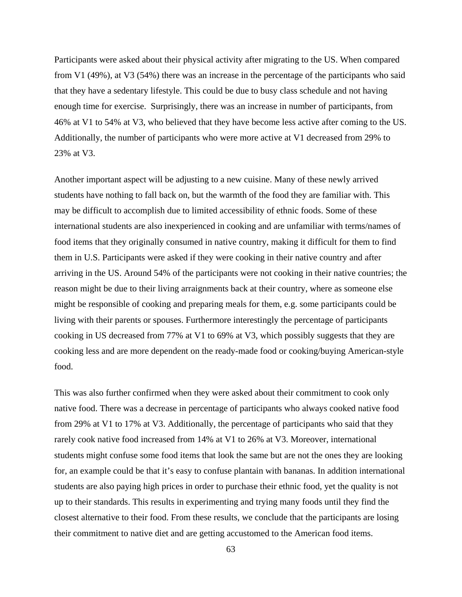Participants were asked about their physical activity after migrating to the US. When compared from V1 (49%), at V3 (54%) there was an increase in the percentage of the participants who said that they have a sedentary lifestyle. This could be due to busy class schedule and not having enough time for exercise. Surprisingly, there was an increase in number of participants, from 46% at V1 to 54% at V3, who believed that they have become less active after coming to the US. Additionally, the number of participants who were more active at V1 decreased from 29% to 23% at V3.

Another important aspect will be adjusting to a new cuisine. Many of these newly arrived students have nothing to fall back on, but the warmth of the food they are familiar with. This may be difficult to accomplish due to limited accessibility of ethnic foods. Some of these international students are also inexperienced in cooking and are unfamiliar with terms/names of food items that they originally consumed in native country, making it difficult for them to find them in U.S. Participants were asked if they were cooking in their native country and after arriving in the US. Around 54% of the participants were not cooking in their native countries; the reason might be due to their living arraignments back at their country, where as someone else might be responsible of cooking and preparing meals for them, e.g. some participants could be living with their parents or spouses. Furthermore interestingly the percentage of participants cooking in US decreased from 77% at V1 to 69% at V3, which possibly suggests that they are cooking less and are more dependent on the ready-made food or cooking/buying American-style food.

This was also further confirmed when they were asked about their commitment to cook only native food. There was a decrease in percentage of participants who always cooked native food from 29% at V1 to 17% at V3. Additionally, the percentage of participants who said that they rarely cook native food increased from 14% at V1 to 26% at V3. Moreover, international students might confuse some food items that look the same but are not the ones they are looking for, an example could be that it's easy to confuse plantain with bananas. In addition international students are also paying high prices in order to purchase their ethnic food, yet the quality is not up to their standards. This results in experimenting and trying many foods until they find the closest alternative to their food. From these results, we conclude that the participants are losing their commitment to native diet and are getting accustomed to the American food items.

63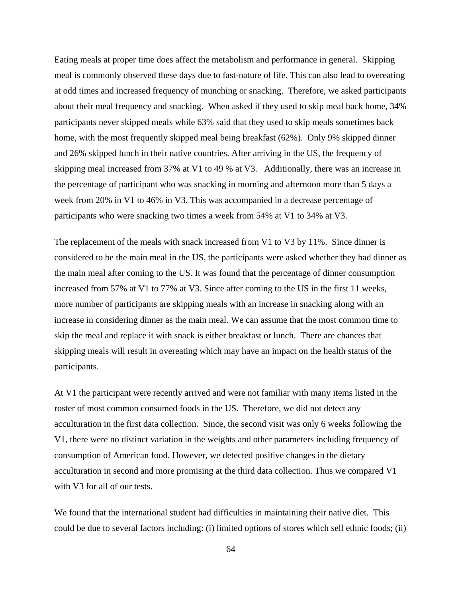Eating meals at proper time does affect the metabolism and performance in general. Skipping meal is commonly observed these days due to fast-nature of life. This can also lead to overeating at odd times and increased frequency of munching or snacking. Therefore, we asked participants about their meal frequency and snacking. When asked if they used to skip meal back home, 34% participants never skipped meals while 63% said that they used to skip meals sometimes back home, with the most frequently skipped meal being breakfast (62%). Only 9% skipped dinner and 26% skipped lunch in their native countries. After arriving in the US, the frequency of skipping meal increased from 37% at V1 to 49 % at V3. Additionally, there was an increase in the percentage of participant who was snacking in morning and afternoon more than 5 days a week from 20% in V1 to 46% in V3. This was accompanied in a decrease percentage of participants who were snacking two times a week from 54% at V1 to 34% at V3.

The replacement of the meals with snack increased from V1 to V3 by 11%. Since dinner is considered to be the main meal in the US, the participants were asked whether they had dinner as the main meal after coming to the US. It was found that the percentage of dinner consumption increased from 57% at V1 to 77% at V3. Since after coming to the US in the first 11 weeks, more number of participants are skipping meals with an increase in snacking along with an increase in considering dinner as the main meal. We can assume that the most common time to skip the meal and replace it with snack is either breakfast or lunch. There are chances that skipping meals will result in overeating which may have an impact on the health status of the participants.

At V1 the participant were recently arrived and were not familiar with many items listed in the roster of most common consumed foods in the US. Therefore, we did not detect any acculturation in the first data collection. Since, the second visit was only 6 weeks following the V1, there were no distinct variation in the weights and other parameters including frequency of consumption of American food. However, we detected positive changes in the dietary acculturation in second and more promising at the third data collection. Thus we compared V1 with V3 for all of our tests.

We found that the international student had difficulties in maintaining their native diet. This could be due to several factors including: (i) limited options of stores which sell ethnic foods; (ii)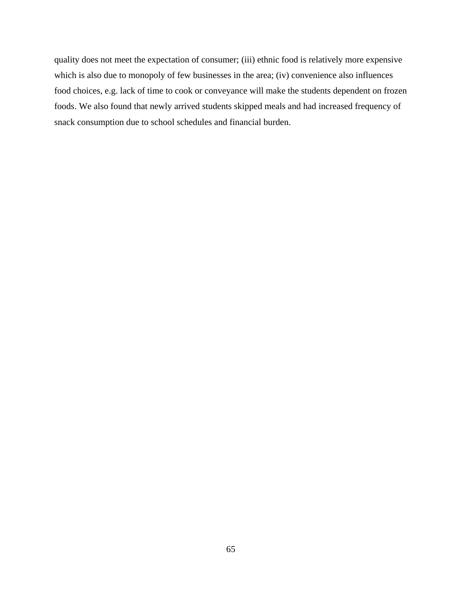quality does not meet the expectation of consumer; (iii) ethnic food is relatively more expensive which is also due to monopoly of few businesses in the area; (iv) convenience also influences food choices, e.g. lack of time to cook or conveyance will make the students dependent on frozen foods. We also found that newly arrived students skipped meals and had increased frequency of snack consumption due to school schedules and financial burden.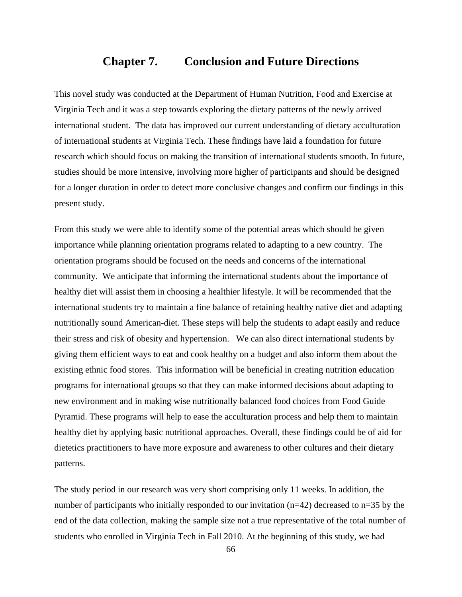### **Chapter 7. Conclusion and Future Directions**

This novel study was conducted at the Department of Human Nutrition, Food and Exercise at Virginia Tech and it was a step towards exploring the dietary patterns of the newly arrived international student. The data has improved our current understanding of dietary acculturation of international students at Virginia Tech. These findings have laid a foundation for future research which should focus on making the transition of international students smooth. In future, studies should be more intensive, involving more higher of participants and should be designed for a longer duration in order to detect more conclusive changes and confirm our findings in this present study.

From this study we were able to identify some of the potential areas which should be given importance while planning orientation programs related to adapting to a new country. The orientation programs should be focused on the needs and concerns of the international community. We anticipate that informing the international students about the importance of healthy diet will assist them in choosing a healthier lifestyle. It will be recommended that the international students try to maintain a fine balance of retaining healthy native diet and adapting nutritionally sound American-diet. These steps will help the students to adapt easily and reduce their stress and risk of obesity and hypertension. We can also direct international students by giving them efficient ways to eat and cook healthy on a budget and also inform them about the existing ethnic food stores. This information will be beneficial in creating nutrition education programs for international groups so that they can make informed decisions about adapting to new environment and in making wise nutritionally balanced food choices from Food Guide Pyramid. These programs will help to ease the acculturation process and help them to maintain healthy diet by applying basic nutritional approaches. Overall, these findings could be of aid for dietetics practitioners to have more exposure and awareness to other cultures and their dietary patterns.

The study period in our research was very short comprising only 11 weeks. In addition, the number of participants who initially responded to our invitation (n=42) decreased to n=35 by the end of the data collection, making the sample size not a true representative of the total number of students who enrolled in Virginia Tech in Fall 2010. At the beginning of this study, we had

66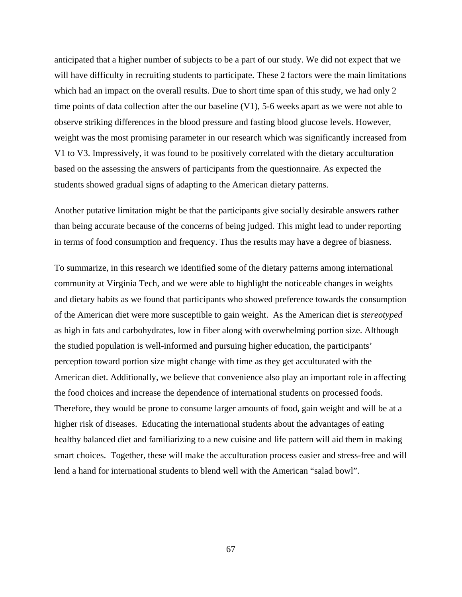anticipated that a higher number of subjects to be a part of our study. We did not expect that we will have difficulty in recruiting students to participate. These 2 factors were the main limitations which had an impact on the overall results. Due to short time span of this study, we had only 2 time points of data collection after the our baseline  $(V1)$ , 5-6 weeks apart as we were not able to observe striking differences in the blood pressure and fasting blood glucose levels. However, weight was the most promising parameter in our research which was significantly increased from V1 to V3. Impressively, it was found to be positively correlated with the dietary acculturation based on the assessing the answers of participants from the questionnaire. As expected the students showed gradual signs of adapting to the American dietary patterns.

Another putative limitation might be that the participants give socially desirable answers rather than being accurate because of the concerns of being judged. This might lead to under reporting in terms of food consumption and frequency. Thus the results may have a degree of biasness.

To summarize, in this research we identified some of the dietary patterns among international community at Virginia Tech, and we were able to highlight the noticeable changes in weights and dietary habits as we found that participants who showed preference towards the consumption of the American diet were more susceptible to gain weight. As the American diet is *stereotyped* as high in fats and carbohydrates, low in fiber along with overwhelming portion size. Although the studied population is well-informed and pursuing higher education, the participants' perception toward portion size might change with time as they get acculturated with the American diet. Additionally, we believe that convenience also play an important role in affecting the food choices and increase the dependence of international students on processed foods. Therefore, they would be prone to consume larger amounts of food, gain weight and will be at a higher risk of diseases. Educating the international students about the advantages of eating healthy balanced diet and familiarizing to a new cuisine and life pattern will aid them in making smart choices. Together, these will make the acculturation process easier and stress-free and will lend a hand for international students to blend well with the American "salad bowl".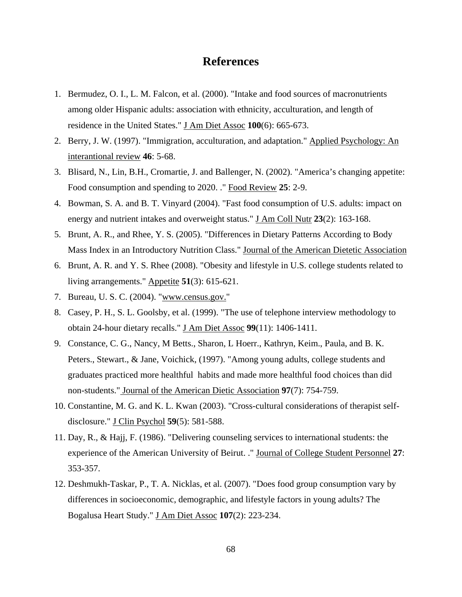## **References**

- 1. Bermudez, O. I., L. M. Falcon, et al. (2000). "Intake and food sources of macronutrients among older Hispanic adults: association with ethnicity, acculturation, and length of residence in the United States." J Am Diet Assoc **100**(6): 665-673.
- 2. Berry, J. W. (1997). "Immigration, acculturation, and adaptation." Applied Psychology: An interantional review **46**: 5-68.
- 3. Blisard, N., Lin, B.H., Cromartie, J. and Ballenger, N. (2002). "America's changing appetite: Food consumption and spending to 2020. ." Food Review **25**: 2-9.
- 4. Bowman, S. A. and B. T. Vinyard (2004). "Fast food consumption of U.S. adults: impact on energy and nutrient intakes and overweight status." **J** Am Coll Nutr 23(2): 163-168.
- 5. Brunt, A. R., and Rhee, Y. S. (2005). "Differences in Dietary Patterns According to Body Mass Index in an Introductory Nutrition Class." Journal of the American Dietetic Association
- 6. Brunt, A. R. and Y. S. Rhee (2008). "Obesity and lifestyle in U.S. college students related to living arrangements." Appetite **51**(3): 615-621.
- 7. Bureau, U. S. C. (2004). "[www.census.gov."](http://www.census.gov./)
- 8. Casey, P. H., S. L. Goolsby, et al. (1999). "The use of telephone interview methodology to obtain 24-hour dietary recalls." J Am Diet Assoc **99**(11): 1406-1411.
- 9. Constance, C. G., Nancy, M Betts., Sharon, L Hoerr., Kathryn, Keim., Paula, and B. K. Peters., Stewart., & Jane, Voichick, (1997). "Among young adults, college students and graduates practiced more healthful habits and made more healthful food choices than did non-students." Journal of the American Dietic Association **97**(7): 754-759.
- 10. Constantine, M. G. and K. L. Kwan (2003). "Cross-cultural considerations of therapist selfdisclosure." J Clin Psychol **59**(5): 581-588.
- 11. Day, R., & Hajj, F. (1986). "Delivering counseling services to international students: the experience of the American University of Beirut. ." Journal of College Student Personnel **27**: 353-357.
- 12. Deshmukh-Taskar, P., T. A. Nicklas, et al. (2007). "Does food group consumption vary by differences in socioeconomic, demographic, and lifestyle factors in young adults? The Bogalusa Heart Study." J Am Diet Assoc **107**(2): 223-234.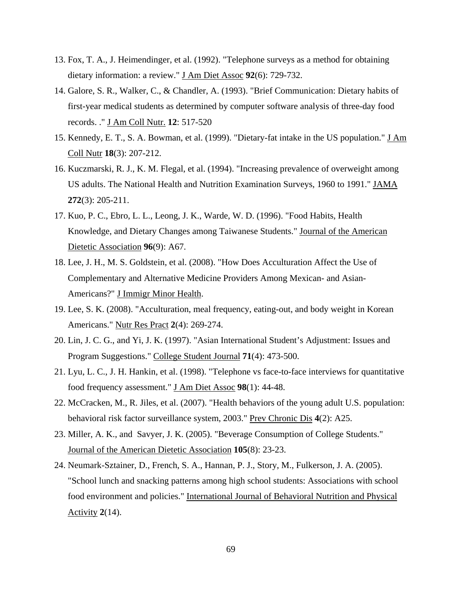- 13. Fox, T. A., J. Heimendinger, et al. (1992). "Telephone surveys as a method for obtaining dietary information: a review." J Am Diet Assoc **92**(6): 729-732.
- 14. Galore, S. R., Walker, C., & Chandler, A. (1993). "Brief Communication: Dietary habits of first-year medical students as determined by computer software analysis of three-day food records. ." J Am Coll Nutr. **12**: 517-520
- 15. Kennedy, E. T., S. A. Bowman, et al. (1999). "Dietary-fat intake in the US population." *J. Am* Coll Nutr **18**(3): 207-212.
- 16. Kuczmarski, R. J., K. M. Flegal, et al. (1994). "Increasing prevalence of overweight among US adults. The National Health and Nutrition Examination Surveys, 1960 to 1991." JAMA **272**(3): 205-211.
- 17. Kuo, P. C., Ebro, L. L., Leong, J. K., Warde, W. D. (1996). "Food Habits, Health Knowledge, and Dietary Changes among Taiwanese Students." Journal of the American Dietetic Association **96**(9): A67.
- 18. Lee, J. H., M. S. Goldstein, et al. (2008). "How Does Acculturation Affect the Use of Complementary and Alternative Medicine Providers Among Mexican- and Asian-Americans?" J Immigr Minor Health.
- 19. Lee, S. K. (2008). "Acculturation, meal frequency, eating-out, and body weight in Korean Americans." Nutr Res Pract **2**(4): 269-274.
- 20. Lin, J. C. G., and Yi, J. K. (1997). "Asian International Student's Adjustment: Issues and Program Suggestions." College Student Journal **71**(4): 473-500.
- 21. Lyu, L. C., J. H. Hankin, et al. (1998). "Telephone vs face-to-face interviews for quantitative food frequency assessment." J Am Diet Assoc **98**(1): 44-48.
- 22. McCracken, M., R. Jiles, et al. (2007). "Health behaviors of the young adult U.S. population: behavioral risk factor surveillance system, 2003." Prev Chronic Dis **4**(2): A25.
- 23. Miller, A. K., and Savyer, J. K. (2005). "Beverage Consumption of College Students." Journal of the American Dietetic Association **105**(8): 23-23.
- 24. Neumark-Sztainer, D., French, S. A., Hannan, P. J., Story, M., Fulkerson, J. A. (2005). "School lunch and snacking patterns among high school students: Associations with school food environment and policies." International Journal of Behavioral Nutrition and Physical Activity **2**(14).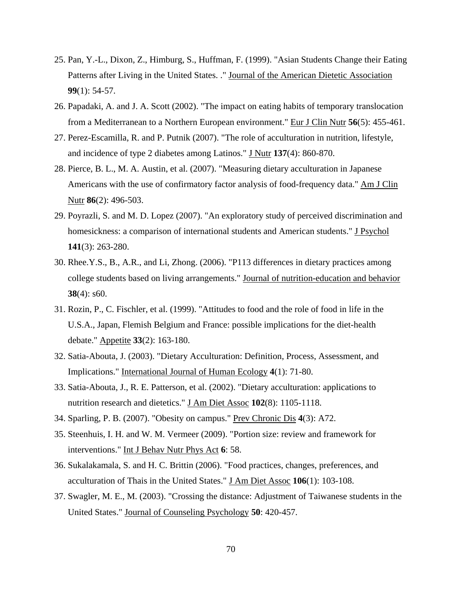- 25. Pan, Y.-L., Dixon, Z., Himburg, S., Huffman, F. (1999). "Asian Students Change their Eating Patterns after Living in the United States. ." Journal of the American Dietetic Association **99**(1): 54-57.
- 26. Papadaki, A. and J. A. Scott (2002). "The impact on eating habits of temporary translocation from a Mediterranean to a Northern European environment." Eur J Clin Nutr **56**(5): 455-461.
- 27. Perez-Escamilla, R. and P. Putnik (2007). "The role of acculturation in nutrition, lifestyle, and incidence of type 2 diabetes among Latinos." **J Nutr 137**(4): 860-870.
- 28. Pierce, B. L., M. A. Austin, et al. (2007). "Measuring dietary acculturation in Japanese Americans with the use of confirmatory factor analysis of food-frequency data." Am J Clin Nutr **86**(2): 496-503.
- 29. Poyrazli, S. and M. D. Lopez (2007). "An exploratory study of perceived discrimination and homesickness: a comparison of international students and American students." **J Psychol 141**(3): 263-280.
- 30. Rhee.Y.S., B., A.R., and Li, Zhong. (2006). "P113 differences in dietary practices among college students based on living arrangements." Journal of nutrition-education and behavior **38**(4): s60.
- 31. Rozin, P., C. Fischler, et al. (1999). "Attitudes to food and the role of food in life in the U.S.A., Japan, Flemish Belgium and France: possible implications for the diet-health debate." Appetite **33**(2): 163-180.
- 32. Satia-Abouta, J. (2003). "Dietary Acculturation: Definition, Process, Assessment, and Implications." International Journal of Human Ecology **4**(1): 71-80.
- 33. Satia-Abouta, J., R. E. Patterson, et al. (2002). "Dietary acculturation: applications to nutrition research and dietetics." J Am Diet Assoc **102**(8): 1105-1118.
- 34. Sparling, P. B. (2007). "Obesity on campus." Prev Chronic Dis **4**(3): A72.
- 35. Steenhuis, I. H. and W. M. Vermeer (2009). "Portion size: review and framework for interventions." Int J Behav Nutr Phys Act 6: 58.
- 36. Sukalakamala, S. and H. C. Brittin (2006). "Food practices, changes, preferences, and acculturation of Thais in the United States." J Am Diet Assoc **106**(1): 103-108.
- 37. Swagler, M. E., M. (2003). "Crossing the distance: Adjustment of Taiwanese students in the United States." Journal of Counseling Psychology **50**: 420-457.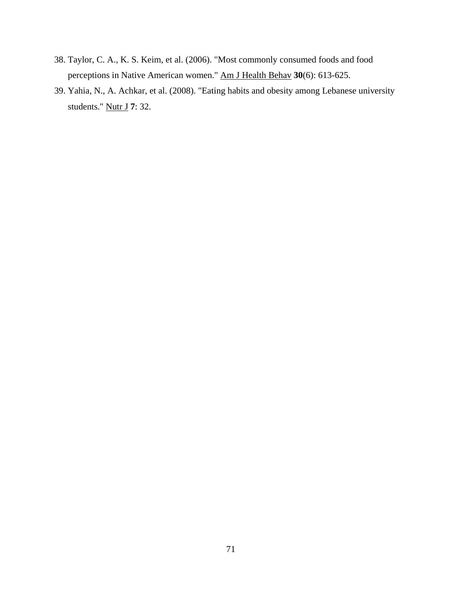- 38. Taylor, C. A., K. S. Keim, et al. (2006). "Most commonly consumed foods and food perceptions in Native American women." Am J Health Behav **30**(6): 613-625.
- 39. Yahia, N., A. Achkar, et al. (2008). "Eating habits and obesity among Lebanese university students." Nutr J **7**: 32.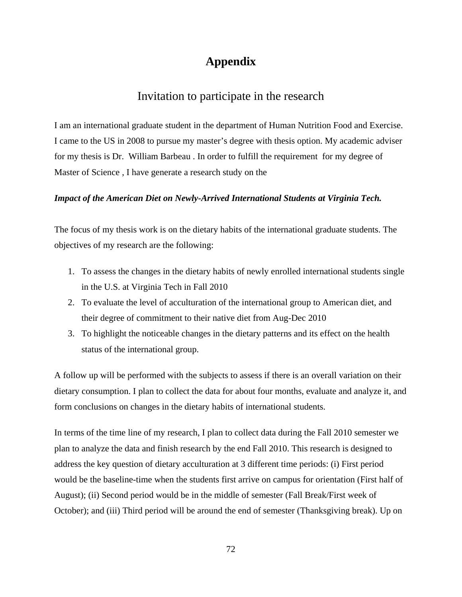## **Appendix**

## Invitation to participate in the research

I am an international graduate student in the department of Human Nutrition Food and Exercise. I came to the US in 2008 to pursue my master's degree with thesis option. My academic adviser for my thesis is Dr. William Barbeau . In order to fulfill the requirement for my degree of Master of Science , I have generate a research study on the

#### *Impact of the American Diet on Newly-Arrived International Students at Virginia Tech.*

The focus of my thesis work is on the dietary habits of the international graduate students. The objectives of my research are the following:

- 1. To assess the changes in the dietary habits of newly enrolled international students single in the U.S. at Virginia Tech in Fall 2010
- 2. To evaluate the level of acculturation of the international group to American diet, and their degree of commitment to their native diet from Aug-Dec 2010
- 3. To highlight the noticeable changes in the dietary patterns and its effect on the health status of the international group.

A follow up will be performed with the subjects to assess if there is an overall variation on their dietary consumption. I plan to collect the data for about four months, evaluate and analyze it, and form conclusions on changes in the dietary habits of international students.

In terms of the time line of my research, I plan to collect data during the Fall 2010 semester we plan to analyze the data and finish research by the end Fall 2010. This research is designed to address the key question of dietary acculturation at 3 different time periods: (i) First period would be the baseline-time when the students first arrive on campus for orientation (First half of August); (ii) Second period would be in the middle of semester (Fall Break/First week of October); and (iii) Third period will be around the end of semester (Thanksgiving break). Up on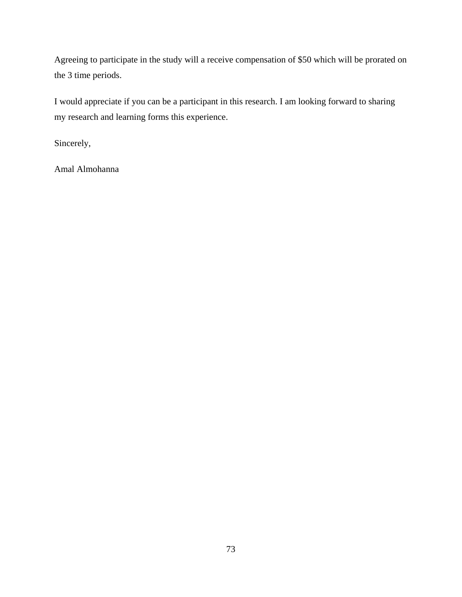Agreeing to participate in the study will a receive compensation of \$50 which will be prorated on the 3 time periods.

I would appreciate if you can be a participant in this research. I am looking forward to sharing my research and learning forms this experience.

Sincerely,

Amal Almohanna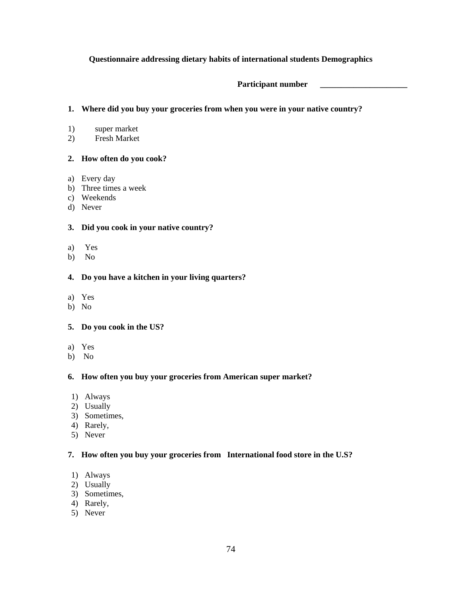#### **Questionnaire addressing dietary habits of international students Demographics**

**Participant number \_\_\_\_\_\_\_\_\_\_\_\_\_\_\_\_\_\_\_\_\_**

#### **1. Where did you buy your groceries from when you were in your native country?**

- 1) super market
- 2) Fresh Market

#### **2. How often do you cook?**

- a) Every day
- b) Three times a week
- c) Weekends
- d) Never

#### **3. Did you cook in your native country?**

- a) Yes
- b) No

#### **4. Do you have a kitchen in your living quarters?**

- a) Yes
- b) No

#### **5. Do you cook in the US?**

- a) Yes
- b) No

#### **6. How often you buy your groceries from American super market?**

- 1) Always
- 2) Usually
- 3) Sometimes,
- 4) Rarely,
- 5) Never

#### **7. How often you buy your groceries from International food store in the U.S?**

- 1) Always
- 2) Usually
- 3) Sometimes,
- 4) Rarely,
- 5) Never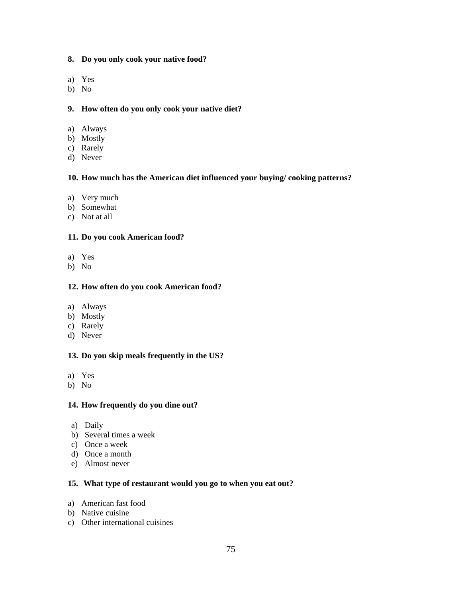- **8. Do you only cook your native food?**
- a) Yes
- b) No

#### **9. How often do you only cook your native diet?**

- a) Always
- b) Mostly
- c) Rarely
- d) Never

#### **10. How much has the American diet influenced your buying/ cooking patterns?**

- a) Very much
- b) Somewhat
- c) Not at all

#### **11. Do you cook American food?**

- a) Yes
- b) No

#### **12. How often do you cook American food?**

- a) Always
- b) Mostly
- c) Rarely
- d) Never

#### **13. Do you skip meals frequently in the US?**

- a) Yes
- b) No

#### **14. How frequently do you dine out?**

- a) Daily
- b) Several times a week
- c) Once a week
- d) Once a month
- e) Almost never

#### **15. What type of restaurant would you go to when you eat out?**

- a) American fast food
- b) Native cuisine
- c) Other international cuisines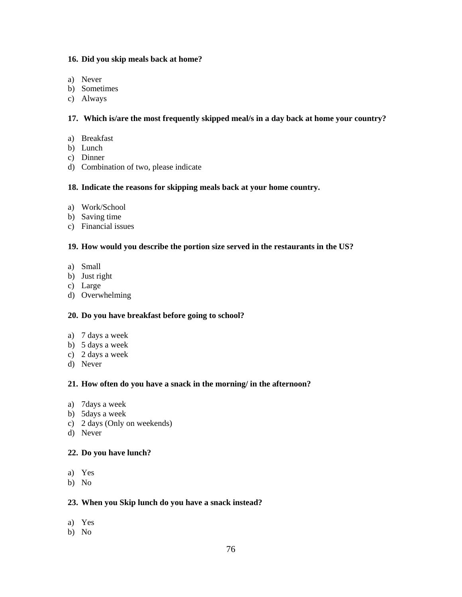#### **16. Did you skip meals back at home?**

- a) Never
- b) Sometimes
- c) Always

#### **17. Which is/are the most frequently skipped meal/s in a day back at home your country?**

- a) Breakfast
- b) Lunch
- c) Dinner
- d) Combination of two, please indicate

#### **18. Indicate the reasons for skipping meals back at your home country.**

- a) Work/School
- b) Saving time
- c) Financial issues

#### **19. How would you describe the portion size served in the restaurants in the US?**

- a) Small
- b) Just right
- c) Large
- d) Overwhelming

#### **20. Do you have breakfast before going to school?**

- a) 7 days a week
- b) 5 days a week
- c) 2 days a week
- d) Never

#### **21. How often do you have a snack in the morning/ in the afternoon?**

- a) 7days a week
- b) 5days a week
- c) 2 days (Only on weekends)
- d) Never

#### **22. Do you have lunch?**

- a) Yes
- b) No

#### **23. When you Skip lunch do you have a snack instead?**

- a) Yes
- b) No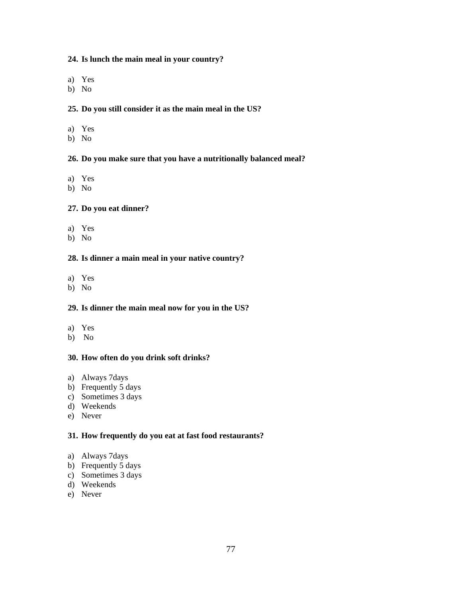#### **24. Is lunch the main meal in your country?**

- a) Yes
- b) No

#### **25. Do you still consider it as the main meal in the US?**

- a) Yes
- b) No

#### **26. Do you make sure that you have a nutritionally balanced meal?**

- a) Yes
- b) No

#### **27. Do you eat dinner?**

- a) Yes
- b) No

### **28. Is dinner a main meal in your native country?**

- a) Yes
- b) No

#### **29. Is dinner the main meal now for you in the US?**

- a) Yes
- b) No

#### **30. How often do you drink soft drinks?**

- a) Always 7days
- b) Frequently 5 days
- c) Sometimes 3 days
- d) Weekends
- e) Never

#### **31. How frequently do you eat at fast food restaurants?**

- a) Always 7days
- b) Frequently 5 days
- c) Sometimes 3 days
- d) Weekends
- e) Never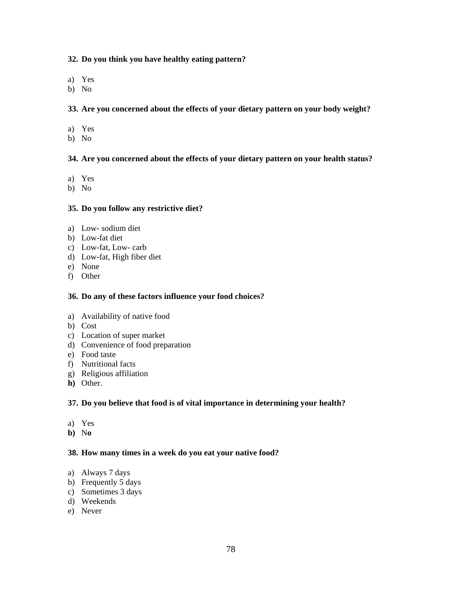#### **32. Do you think you have healthy eating pattern?**

- a) Yes
- b) No

#### **33. Are you concerned about the effects of your dietary pattern on your body weight?**

- a) Yes
- b) No

#### **34. Are you concerned about the effects of your dietary pattern on your health status?**

- a) Yes
- b) No

#### **35. Do you follow any restrictive diet?**

- a) Low- sodium diet
- b) Low-fat diet
- c) Low-fat, Low- carb
- d) Low-fat, High fiber diet
- e) None
- f) Other

#### **36. Do any of these factors influence your food choices?**

- a) Availability of native food
- b) Cost
- c) Location of super market
- d) Convenience of food preparation
- e) Food taste
- f) Nutritional facts
- g) Religious affiliation
- **h)** Other.

#### **37. Do you believe that food is of vital importance in determining your health?**

- a) Yes
- **b)** N**o**

#### **38. How many times in a week do you eat your native food?**

- a) Always 7 days
- b) Frequently 5 days
- c) Sometimes 3 days
- d) Weekends
- e) Never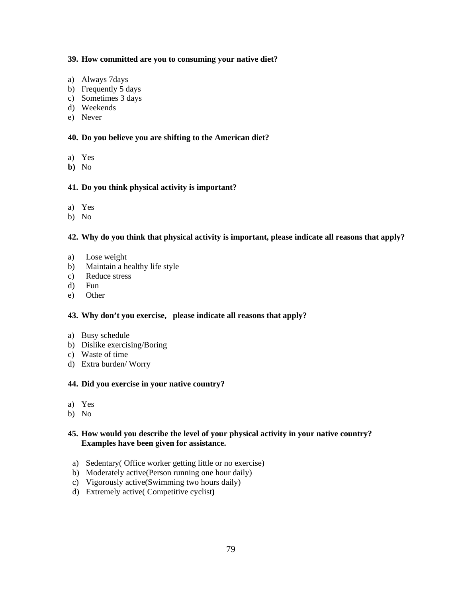#### **39. How committed are you to consuming your native diet?**

- a) Always 7days
- b) Frequently 5 days
- c) Sometimes 3 days
- d) Weekends
- e) Never

#### **40. Do you believe you are shifting to the American diet?**

- a) Yes
- **b)** No

#### **41. Do you think physical activity is important?**

- a) Yes
- b) No

#### **42. Why do you think that physical activity is important, please indicate all reasons that apply?**

- a) Lose weight
- b) Maintain a healthy life style
- c) Reduce stress
- d) Fun
- e) Other

### **43. Why don't you exercise, please indicate all reasons that apply?**

- a) Busy schedule
- b) Dislike exercising/Boring
- c) Waste of time
- d) Extra burden/ Worry

#### **44. Did you exercise in your native country?**

- a) Yes
- b) No

#### **45. How would you describe the level of your physical activity in your native country? Examples have been given for assistance.**

- a) Sedentary( Office worker getting little or no exercise)
- b) Moderately active(Person running one hour daily)
- c) Vigorously active(Swimming two hours daily)
- d) Extremely active( Competitive cyclist**)**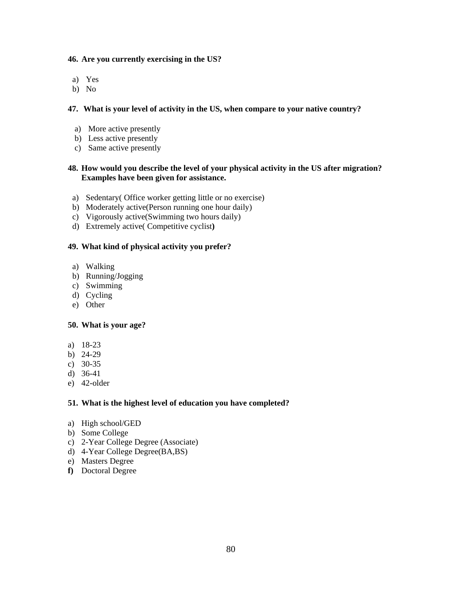#### **46. Are you currently exercising in the US?**

- a) Yes
- b) No

#### **47. What is your level of activity in the US, when compare to your native country?**

- a) More active presently
- b) Less active presently
- c) Same active presently

#### **48. How would you describe the level of your physical activity in the US after migration? Examples have been given for assistance.**

- a) Sedentary( Office worker getting little or no exercise)
- b) Moderately active(Person running one hour daily)
- c) Vigorously active(Swimming two hours daily)
- d) Extremely active( Competitive cyclist**)**

#### **49. What kind of physical activity you prefer?**

- a) Walking
- b) Running/Jogging
- c) Swimming
- d) Cycling
- e) Other

#### **50. What is your age?**

- a) 18-23
- b) 24-29
- c) 30-35
- d) 36-41
- e) 42-older

#### **51. What is the highest level of education you have completed?**

- a) High school/GED
- b) Some College
- c) 2-Year College Degree (Associate)
- d) 4-Year College Degree(BA,BS)
- e) Masters Degree
- **f)** Doctoral Degree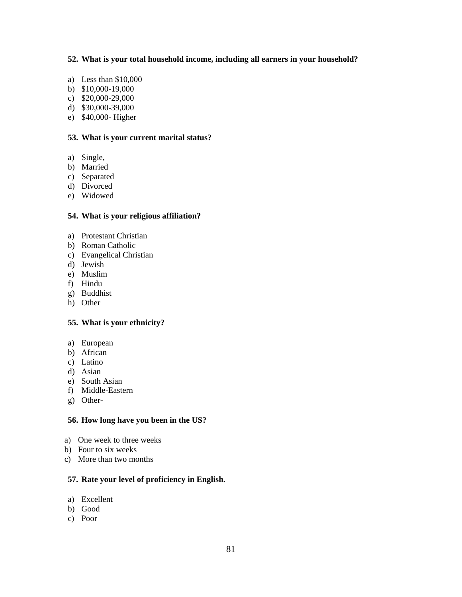#### **52. What is your total household income, including all earners in your household?**

- a) Less than \$10,000
- b) \$10,000-19,000
- c) \$20,000-29,000
- d) \$30,000-39,000
- e) \$40,000- Higher

#### **53. What is your current marital status?**

- a) Single,
- b) Married
- c) Separated
- d) Divorced
- e) Widowed

#### **54. What is your religious affiliation?**

- a) Protestant Christian
- b) Roman Catholic
- c) Evangelical Christian
- d) Jewish
- e) Muslim
- f) Hindu
- g) Buddhist
- h) Other

#### **55. What is your ethnicity?**

- a) European
- b) African
- c) Latino
- d) Asian
- e) South Asian
- f) Middle-Eastern
- g) Other-

#### **56. How long have you been in the US?**

- a) One week to three weeks
- b) Four to six weeks
- c) More than two months

#### **57. Rate your level of proficiency in English.**

- a) Excellent
- b) Good
- c) Poor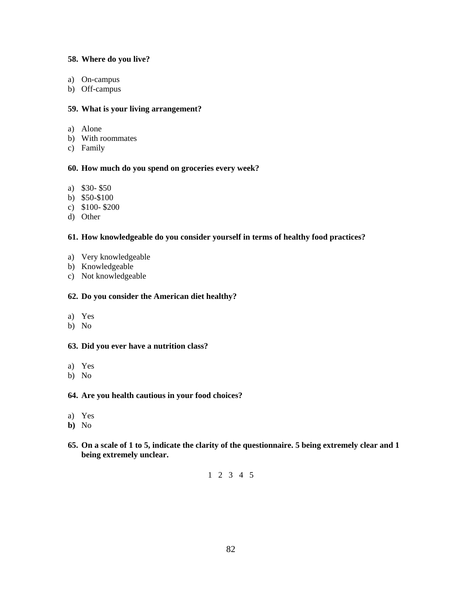#### **58. Where do you live?**

- a) On-campus
- b) Off-campus

#### **59. What is your living arrangement?**

- a) Alone
- b) With roommates
- c) Family

#### **60. How much do you spend on groceries every week?**

- a) \$30- \$50
- b) \$50-\$100
- c) \$100- \$200
- d) Other

#### **61. How knowledgeable do you consider yourself in terms of healthy food practices?**

- a) Very knowledgeable
- b) Knowledgeable
- c) Not knowledgeable

#### **62. Do you consider the American diet healthy?**

- a) Yes
- b) No

#### **63. Did you ever have a nutrition class?**

- a) Yes
- b) No

#### **64. Are you health cautious in your food choices?**

- a) Yes
- **b)** No
- **65. On a scale of 1 to 5, indicate the clarity of the questionnaire. 5 being extremely clear and 1 being extremely unclear.**

### 1 2 3 4 5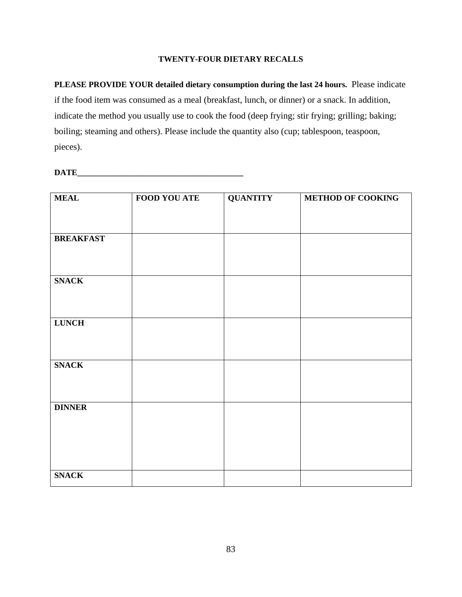#### **TWENTY-FOUR DIETARY RECALLS**

**PLEASE PROVIDE YOUR detailed dietary consumption during the last 24 hours.** Please indicate if the food item was consumed as a meal (breakfast, lunch, or dinner) or a snack. In addition, indicate the method you usually use to cook the food (deep frying; stir frying; grilling; baking; boiling; steaming and others). Please include the quantity also (cup; tablespoon, teaspoon, pieces).

#### **DATE**

| <b>MEAL</b>      | <b>FOOD YOU ATE</b> | <b>QUANTITY</b> | <b>METHOD OF COOKING</b> |
|------------------|---------------------|-----------------|--------------------------|
|                  |                     |                 |                          |
|                  |                     |                 |                          |
|                  |                     |                 |                          |
| <b>BREAKFAST</b> |                     |                 |                          |
|                  |                     |                 |                          |
|                  |                     |                 |                          |
| <b>SNACK</b>     |                     |                 |                          |
|                  |                     |                 |                          |
|                  |                     |                 |                          |
|                  |                     |                 |                          |
| <b>LUNCH</b>     |                     |                 |                          |
|                  |                     |                 |                          |
|                  |                     |                 |                          |
|                  |                     |                 |                          |
| <b>SNACK</b>     |                     |                 |                          |
|                  |                     |                 |                          |
|                  |                     |                 |                          |
| <b>DINNER</b>    |                     |                 |                          |
|                  |                     |                 |                          |
|                  |                     |                 |                          |
|                  |                     |                 |                          |
|                  |                     |                 |                          |
|                  |                     |                 |                          |
| <b>SNACK</b>     |                     |                 |                          |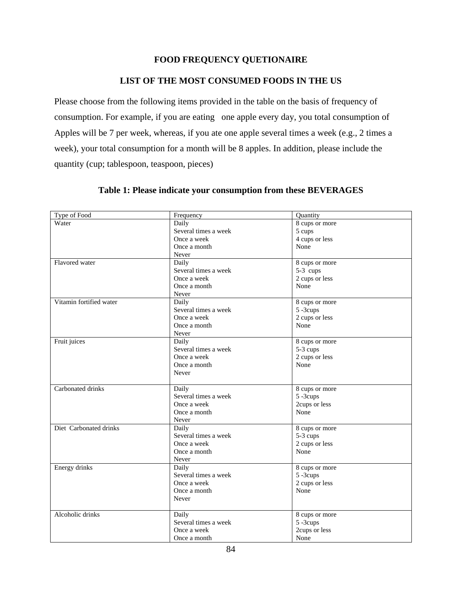### **FOOD FREQUENCY QUETIONAIRE**

### **LIST OF THE MOST CONSUMED FOODS IN THE US**

Please choose from the following items provided in the table on the basis of frequency of consumption. For example, if you are eating one apple every day, you total consumption of Apples will be 7 per week, whereas, if you ate one apple several times a week (e.g., 2 times a week), your total consumption for a month will be 8 apples. In addition, please include the quantity (cup; tablespoon, teaspoon, pieces)

| Type of Food            | Frequency            | Quantity       |
|-------------------------|----------------------|----------------|
| Water                   | Daily                | 8 cups or more |
|                         | Several times a week | 5 cups         |
|                         | Once a week          | 4 cups or less |
|                         | Once a month         | None           |
|                         | Never                |                |
| Flavored water          | Daily                | 8 cups or more |
|                         | Several times a week | 5-3 cups       |
|                         | Once a week          | 2 cups or less |
|                         | Once a month         | None           |
|                         | Never                |                |
| Vitamin fortified water | Daily                | 8 cups or more |
|                         | Several times a week | 5-3cups        |
|                         | Once a week          | 2 cups or less |
|                         | Once a month         | None           |
|                         | Never                |                |
| Fruit juices            | Daily                | 8 cups or more |
|                         | Several times a week | $5-3$ cups     |
|                         | Once a week          | 2 cups or less |
|                         | Once a month         | None           |
|                         | Never                |                |
|                         |                      |                |
| Carbonated drinks       | Daily                | 8 cups or more |
|                         | Several times a week | 5-3cups        |
|                         | Once a week          | 2cups or less  |
|                         | Once a month         | None           |
|                         | Never                |                |
| Diet Carbonated drinks  | Daily                | 8 cups or more |
|                         | Several times a week | 5-3 cups       |
|                         | Once a week          | 2 cups or less |
|                         | Once a month         | None           |
|                         | Never                |                |
| Energy drinks           | Daily                | 8 cups or more |
|                         | Several times a week | 5-3cups        |
|                         | Once a week          | 2 cups or less |
|                         | Once a month         | None           |
|                         | Never                |                |
|                         |                      |                |
| Alcoholic drinks        | Daily                | 8 cups or more |
|                         | Several times a week | 5-3cups        |
|                         | Once a week          | 2cups or less  |
|                         | Once a month         | None           |

### **Table 1: Please indicate your consumption from these BEVERAGES**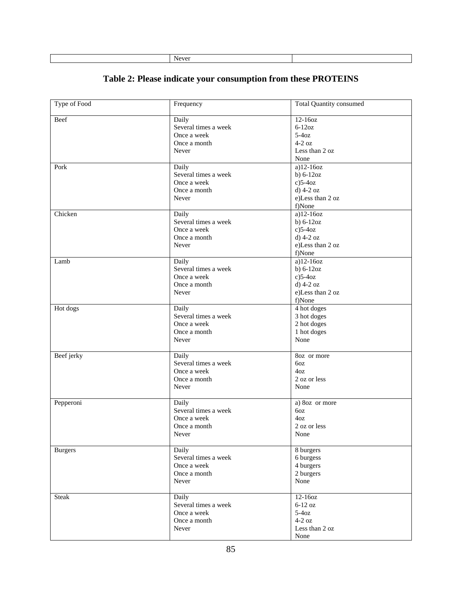| Table 2: Please indicate your consumption from these PROTEINS |  |  |  |
|---------------------------------------------------------------|--|--|--|
|                                                               |  |  |  |

| Type of Food   | Frequency                                                             | <b>Total Quantity consumed</b>                                                                     |
|----------------|-----------------------------------------------------------------------|----------------------------------------------------------------------------------------------------|
| Beef           | Daily<br>Several times a week<br>Once a week<br>Once a month          | $12-160z$<br>$6-12oz$<br>$5-4oz$<br>$4-2$ oz                                                       |
|                | Never                                                                 | Less than 2 oz<br>None                                                                             |
| Pork           | Daily<br>Several times a week<br>Once a week<br>Once a month<br>Never | a)12-16oz<br>b) $6-12oz$<br>$c)$ 5-4 $oz$<br>$d)$ 4-2 oz<br>e)Less than 2 oz<br>f)None             |
| Chicken        | Daily<br>Several times a week<br>Once a week<br>Once a month<br>Never | $\overline{a}$ )12-16oz<br>$b) 6-12oz$<br>$c)$ 5-4 $oz$<br>d) 4-2 oz<br>e)Less than 2 oz<br>f)None |
| Lamb           | Daily<br>Several times a week<br>Once a week<br>Once a month<br>Never | $a)$ 12-16oz<br>$b) 6-12oz$<br>$c)$ 5-4 $oz$<br>$d)$ 4-2 oz<br>e)Less than 2 oz<br>f)None          |
| Hot dogs       | Daily<br>Several times a week<br>Once a week<br>Once a month<br>Never | 4 hot doges<br>3 hot doges<br>2 hot doges<br>1 hot doges<br>None                                   |
| Beef jerky     | Daily<br>Several times a week<br>Once a week<br>Once a month<br>Never | 8oz or more<br>6oz<br>4oz<br>2 oz or less<br>None                                                  |
| Pepperoni      | Daily<br>Several times a week<br>Once a week<br>Once a month<br>Never | a) 8oz or more<br>6oz<br>4oz<br>2 oz or less<br>None                                               |
| <b>Burgers</b> | Daily<br>Several times a week<br>Once a week<br>Once a month<br>Never | 8 burgers<br>6 burgess<br>4 burgers<br>2 burgers<br>None                                           |
| <b>Steak</b>   | Daily<br>Several times a week<br>Once a week<br>Once a month<br>Never | 12-16oz<br>$6-12$ oz<br>$5-4oz$<br>$4-2$ oz<br>Less than 2 oz<br>None                              |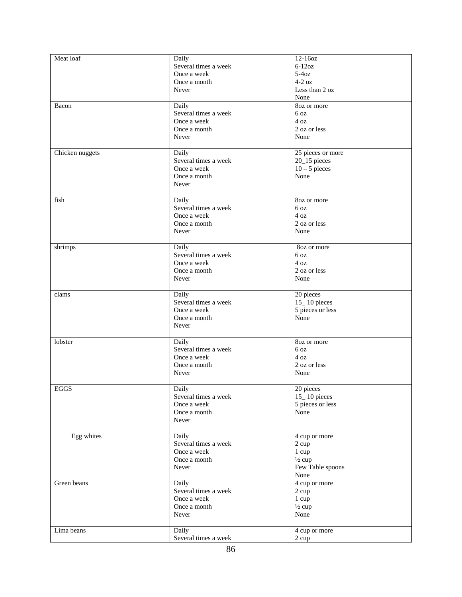| Meat loaf       | Daily                | 12-16oz           |
|-----------------|----------------------|-------------------|
|                 | Several times a week | $6-12oz$          |
|                 | Once a week          | $5-4oz$           |
|                 | Once a month         | $4-2$ oz          |
|                 | Never                | Less than 2 oz    |
|                 |                      | None              |
|                 |                      |                   |
| Bacon           | Daily                | 8oz or more       |
|                 | Several times a week | 6 oz              |
|                 | Once a week          | 4 oz              |
|                 | Once a month         | 2 oz or less      |
|                 | Never                | None              |
|                 |                      |                   |
| Chicken nuggets | Daily                | 25 pieces or more |
|                 | Several times a week | 20_15 pieces      |
|                 | Once a week          | $10 - 5$ pieces   |
|                 | Once a month         | None              |
|                 | Never                |                   |
|                 |                      |                   |
| fish            |                      | 8oz or more       |
|                 | Daily                |                   |
|                 | Several times a week | 6 <sub>oz</sub>   |
|                 | Once a week          | 4 oz              |
|                 | Once a month         | 2 oz or less      |
|                 | Never                | None              |
|                 |                      |                   |
| shrimps         | Daily                | 8oz or more       |
|                 | Several times a week | 6 <sub>oz</sub>   |
|                 | Once a week          | 4 oz              |
|                 | Once a month         | 2 oz or less      |
|                 | Never                | None              |
|                 |                      |                   |
| clams           | Daily                | 20 pieces         |
|                 | Several times a week | 15_10 pieces      |
|                 |                      |                   |
|                 | Once a week          | 5 pieces or less  |
|                 | Once a month         | None              |
|                 | Never                |                   |
|                 |                      |                   |
| lobster         | Daily                | 8oz or more       |
|                 | Several times a week | 6 <sub>oz</sub>   |
|                 | Once a week          | 4 oz              |
|                 | Once a month         | 2 oz or less      |
|                 | Never                | None              |
|                 |                      |                   |
| <b>EGGS</b>     | Daily                | 20 pieces         |
|                 | Several times a week | 15_10 pieces      |
|                 | Once a week          | 5 pieces or less  |
|                 | Once a month         | None              |
|                 | Never                |                   |
|                 |                      |                   |
| Egg whites      | Daily                | 4 cup or more     |
|                 | Several times a week | 2 cup             |
|                 | Once a week          |                   |
|                 |                      | 1 cup             |
|                 | Once a month         | $\frac{1}{2}$ cup |
|                 | Never                | Few Table spoons  |
|                 |                      | None              |
| Green beans     | Daily                | 4 cup or more     |
|                 | Several times a week | 2 cup             |
|                 | Once a week          | 1 cup             |
|                 | Once a month         | $\frac{1}{2}$ cup |
|                 | Never                | None              |
|                 |                      |                   |
| Lima beans      | Daily                | 4 cup or more     |
|                 | Several times a week | 2 cup             |
|                 |                      |                   |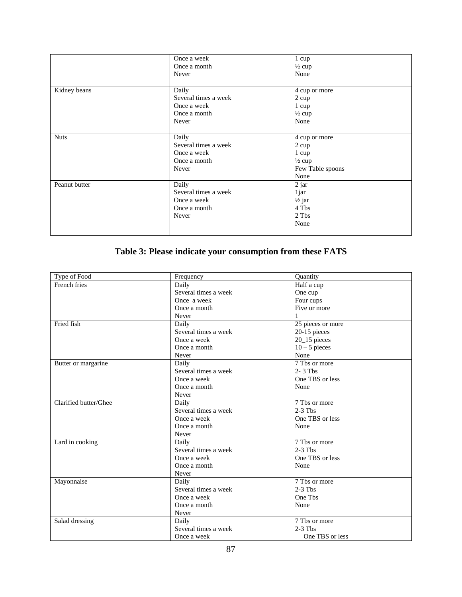|               | Once a week          | 1 cup             |
|---------------|----------------------|-------------------|
|               | Once a month         | $\frac{1}{2}$ cup |
|               | Never                | None              |
|               |                      |                   |
| Kidney beans  | Daily                | 4 cup or more     |
|               | Several times a week | 2 cup             |
|               | Once a week          | 1 cup             |
|               | Once a month         | $\frac{1}{2}$ cup |
|               | Never                | None              |
|               |                      |                   |
| <b>Nuts</b>   | Daily                | 4 cup or more     |
|               | Several times a week | 2 cup             |
|               | Once a week          | 1 cup             |
|               | Once a month         | $\frac{1}{2}$ cup |
|               | Never                | Few Table spoons  |
|               |                      | None              |
| Peanut butter | Daily                | 2 jar             |
|               | Several times a week | 1jar              |
|               | Once a week          | $\frac{1}{2}$ jar |
|               | Once a month         | 4 Tbs             |
|               | Never                | 2 Tbs             |
|               |                      | None              |
|               |                      |                   |

## **Table 3: Please indicate your consumption from these FATS**

| Type of Food          | Frequency            | Quantity                   |
|-----------------------|----------------------|----------------------------|
| French fries          | Daily                | Half a cup                 |
|                       | Several times a week | One cup                    |
|                       | Once a week          | Four cups                  |
|                       | Once a month         | Five or more               |
|                       | Never                | 1                          |
| Fried fish            | Daily                | 25 pieces or more          |
|                       | Several times a week | 20-15 pieces               |
|                       | Once a week          | $20$ <sub>-15</sub> pieces |
|                       | Once a month         | $10 - 5$ pieces            |
|                       | Never                | None                       |
| Butter or margarine   | Daily                | $\overline{7}$ Tbs or more |
|                       | Several times a week | $2 - 3$ Tbs                |
|                       | Once a week          | One TBS or less            |
|                       | Once a month         | None                       |
|                       | Never                |                            |
| Clarified butter/Ghee | Daily                | 7 Ths or more              |
|                       | Several times a week | $2-3$ Ths                  |
|                       | Once a week          | One TBS or less            |
|                       | Once a month         | None                       |
|                       | Never                |                            |
| Lard in cooking       | Daily                | 7 Tbs or more              |
|                       | Several times a week | $2-3$ Tbs                  |
|                       | Once a week          | One TBS or less            |
|                       | Once a month         | None                       |
|                       | Never                |                            |
| Mayonnaise            | Daily                | 7 Tbs or more              |
|                       | Several times a week | $2-3$ Ths                  |
|                       | Once a week          | One Tbs                    |
|                       | Once a month         | None                       |
|                       | Never                |                            |
| Salad dressing        | Daily                | $\overline{7}$ Tbs or more |
|                       | Several times a week | $2-3$ Tbs                  |
|                       | Once a week          | One TBS or less            |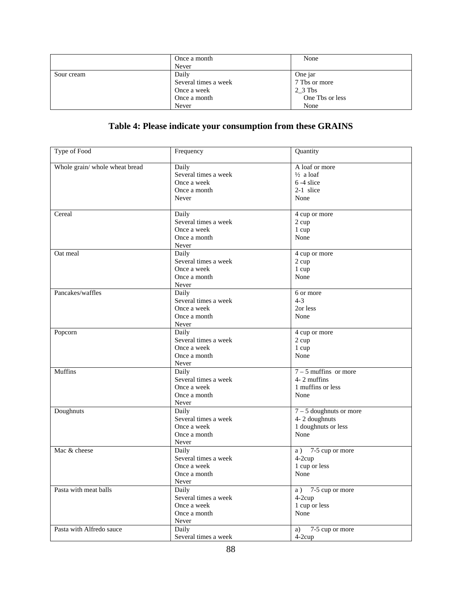|            | Once a month         | None            |
|------------|----------------------|-----------------|
|            | Never                |                 |
| Sour cream | Daily                | One jar         |
|            | Several times a week | 7 Tbs or more   |
|            | Once a week          | $2\_3$ Tbs      |
|            | Once a month         | One Tbs or less |
|            | Never                | None            |

# **Table 4: Please indicate your consumption from these GRAINS**

| Type of Food                   | Frequency            | Quantity                  |
|--------------------------------|----------------------|---------------------------|
| Whole grain/ whole wheat bread | Daily                | A loaf or more            |
|                                | Several times a week | $\frac{1}{2}$ a loaf      |
|                                | Once a week          | 6-4 slice                 |
|                                | Once a month         | 2-1 slice                 |
|                                |                      |                           |
|                                | Never                | None                      |
| Cereal                         | Daily                | 4 cup or more             |
|                                | Several times a week | 2 cup                     |
|                                | Once a week          | 1 cup                     |
|                                | Once a month         | None                      |
|                                | Never                |                           |
| Oat meal                       | Daily                | 4 cup or more             |
|                                | Several times a week | 2 cup                     |
|                                | Once a week          | 1 cup                     |
|                                | Once a month         | None                      |
|                                | Never                |                           |
| Pancakes/waffles               | Daily                | 6 or more                 |
|                                | Several times a week | $4 - 3$                   |
|                                | Once a week          | 2or less                  |
|                                | Once a month         | None                      |
|                                | Never                |                           |
| Popcorn                        | Daily                | 4 cup or more             |
|                                | Several times a week | 2 cup                     |
|                                | Once a week          | 1 cup                     |
|                                | Once a month         | None                      |
|                                | Never                |                           |
| Muffins                        | Daily                | $7 - 5$ muffins or more   |
|                                | Several times a week | 4-2 muffins               |
|                                |                      | 1 muffins or less         |
|                                | Once a week          |                           |
|                                | Once a month         | None                      |
|                                | Never                |                           |
| Doughnuts                      | Daily                | $7 - 5$ doughnuts or more |
|                                | Several times a week | 4-2 doughnuts             |
|                                | Once a week          | 1 doughnuts or less       |
|                                | Once a month         | None                      |
|                                | Never                |                           |
| Mac & cheese                   | Daily                | $a)$ 7-5 cup or more      |
|                                | Several times a week | 4-2cup                    |
|                                | Once a week          | 1 cup or less             |
|                                | Once a month         | None                      |
|                                | Never                |                           |
| Pasta with meat balls          | Daily                | $a)$ 7-5 cup or more      |
|                                | Several times a week | $4-2cup$                  |
|                                | Once a week          | 1 cup or less             |
|                                | Once a month         | None                      |
|                                | Never                |                           |
| Pasta with Alfredo sauce       | Daily                | 7-5 cup or more<br>a)     |
|                                | Several times a week | $4-2cup$                  |
|                                |                      |                           |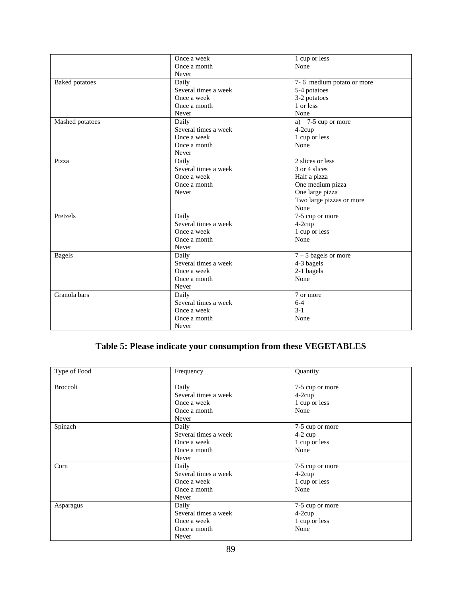|                       | Once a week          | 1 cup or less             |
|-----------------------|----------------------|---------------------------|
|                       | Once a month         | None                      |
|                       | Never                |                           |
| <b>Baked</b> potatoes | Daily                | 7-6 medium potato or more |
|                       | Several times a week | 5-4 potatoes              |
|                       | Once a week          | 3-2 potatoes              |
|                       | Once a month         | 1 or less                 |
|                       | Never                | None                      |
| Mashed potatoes       | Daily                | 7-5 cup or more<br>a)     |
|                       | Several times a week | 4-2cup                    |
|                       | Once a week          | 1 cup or less             |
|                       | Once a month         | None                      |
|                       | Never                |                           |
| Pizza                 | Daily                | 2 slices or less          |
|                       | Several times a week | 3 or 4 slices             |
|                       | Once a week          | Half a pizza              |
|                       | Once a month         | One medium pizza          |
|                       | Never                | One large pizza           |
|                       |                      | Two large pizzas or more  |
|                       |                      | None                      |
| Pretzels              | Daily                | 7-5 cup or more           |
|                       | Several times a week | 4-2cup                    |
|                       | Once a week          | 1 cup or less             |
|                       | Once a month         | None                      |
|                       | Never                |                           |
| <b>Bagels</b>         | Daily                | $7 - 5$ bagels or more    |
|                       | Several times a week | 4-3 bagels                |
|                       | Once a week          | 2-1 bagels                |
|                       | Once a month         | None                      |
|                       | Never                |                           |
| Granola bars          | Daily                | 7 or more                 |
|                       | Several times a week | $6 - 4$                   |
|                       | Once a week          | $3 - 1$                   |
|                       | Once a month         | None                      |
|                       | Never                |                           |

# **Table 5: Please indicate your consumption from these VEGETABLES**

| Type of Food    | Frequency            | Quantity        |
|-----------------|----------------------|-----------------|
| <b>Broccoli</b> | Daily                | 7-5 cup or more |
|                 | Several times a week | $4-2cup$        |
|                 | Once a week          | 1 cup or less   |
|                 | Once a month         | None            |
|                 | Never                |                 |
| Spinach         | Daily                | 7-5 cup or more |
|                 | Several times a week | $4-2$ cup       |
|                 | Once a week          | 1 cup or less   |
|                 | Once a month         | None            |
|                 | Never                |                 |
| Corn            | Daily                | 7-5 cup or more |
|                 | Several times a week | $4-2cup$        |
|                 | Once a week          | 1 cup or less   |
|                 | Once a month         | None            |
|                 | Never                |                 |
| Asparagus       | Daily                | 7-5 cup or more |
|                 | Several times a week | $4-2cup$        |
|                 | Once a week          | 1 cup or less   |
|                 | Once a month         | None            |
|                 | Never                |                 |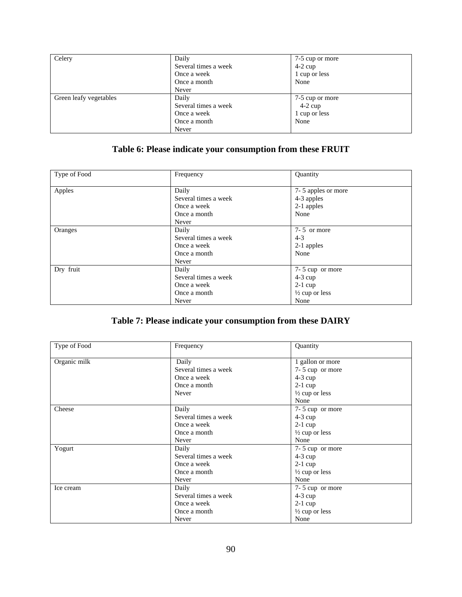| Celery                 | Daily                | 7-5 cup or more |
|------------------------|----------------------|-----------------|
|                        | Several times a week | $4-2$ cup       |
|                        | Once a week          | 1 cup or less   |
|                        | Once a month         | None            |
|                        | Never                |                 |
| Green leafy vegetables | Daily                | 7-5 cup or more |
|                        | Several times a week | $4-2$ cup       |
|                        | Once a week          | 1 cup or less   |
|                        | Once a month         | None            |
|                        | Never                |                 |

## **Table 6: Please indicate your consumption from these FRUIT**

| Type of Food | Frequency                                                             | Quantity                                                                       |
|--------------|-----------------------------------------------------------------------|--------------------------------------------------------------------------------|
| Apples       | Daily<br>Several times a week<br>Once a week<br>Once a month<br>Never | 7-5 apples or more<br>4-3 apples<br>2-1 apples<br>None                         |
| Oranges      | Daily<br>Several times a week<br>Once a week<br>Once a month<br>Never | $7 - 5$ or more<br>$4 - 3$<br>2-1 apples<br>None                               |
| Dry fruit    | Daily<br>Several times a week<br>Once a week<br>Once a month<br>Never | 7-5 cup or more<br>$4-3$ cup<br>$2-1$ cup<br>$\frac{1}{2}$ cup or less<br>None |

## **Table 7: Please indicate your consumption from these DAIRY**

| Type of Food | Frequency            | Quantity                  |
|--------------|----------------------|---------------------------|
| Organic milk | Daily                | 1 gallon or more          |
|              | Several times a week | 7-5 cup or more           |
|              | Once a week          | $4-3$ cup                 |
|              | Once a month         | $2-1$ cup                 |
|              | Never                | $\frac{1}{2}$ cup or less |
|              |                      | None                      |
| Cheese       | Daily                | 7-5 cup or more           |
|              | Several times a week | $4-3$ cup                 |
|              | Once a week          | $2-1$ cup                 |
|              | Once a month         | $\frac{1}{2}$ cup or less |
|              | Never                | None                      |
| Yogurt       | Daily                | 7-5 cup or more           |
|              | Several times a week | $4-3$ cup                 |
|              | Once a week          | $2-1$ cup                 |
|              | Once a month         | $\frac{1}{2}$ cup or less |
|              | Never                | None                      |
| Ice cream    | Daily                | 7-5 cup or more           |
|              | Several times a week | $4-3$ cup                 |
|              | Once a week          | $2-1$ cup                 |
|              | Once a month         | $\frac{1}{2}$ cup or less |
|              | Never                | None                      |